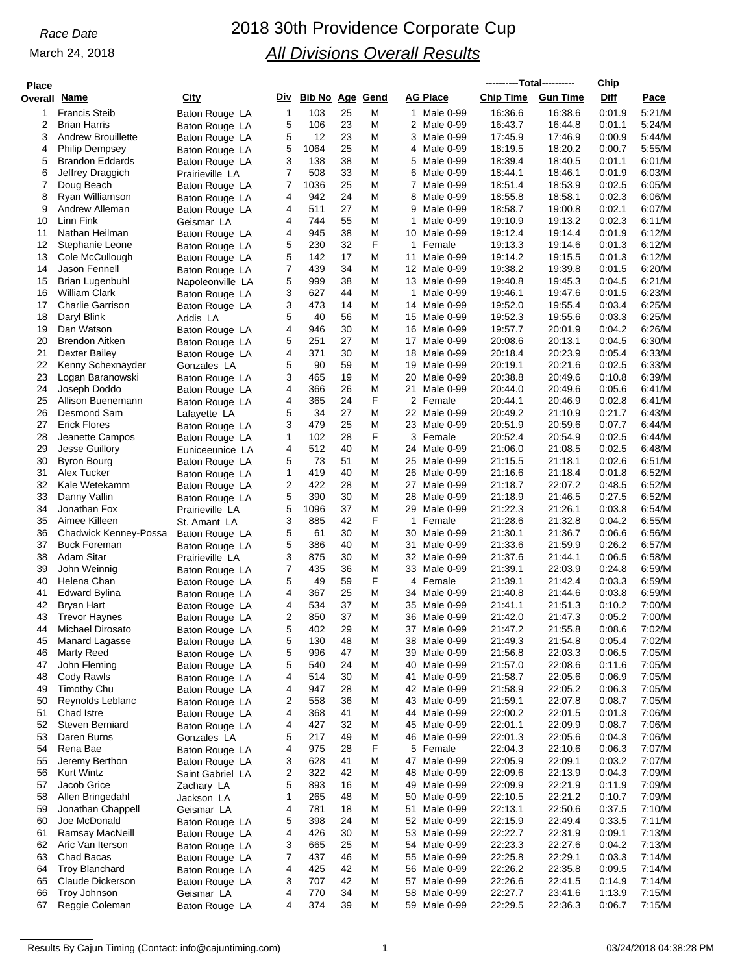# *Race Date* 2018 30th Providence Corporate Cup *All Divisions Overall Results*

| Place    |                                                |                                  |        |                        |          |        |                                 | ----------Total---------- |                    | Chip             |                  |
|----------|------------------------------------------------|----------------------------------|--------|------------------------|----------|--------|---------------------------------|---------------------------|--------------------|------------------|------------------|
| Overall  | Name                                           | City                             | Div    | <b>Bib No Age Gend</b> |          |        | <b>AG Place</b>                 | <b>Chip Time</b>          | <b>Gun Time</b>    | <b>Diff</b>      | Pace             |
| 1        | <b>Francis Steib</b>                           | Baton Rouge LA                   | 1      | 103                    | 25       | M      | 1 Male 0-99                     | 16:36.6                   | 16:38.6            | 0:01.9           | 5:21/M           |
| 2        | <b>Brian Harris</b>                            | Baton Rouge LA                   | 5      | 106                    | 23       | M      | 2 Male 0-99                     | 16:43.7                   | 16:44.8            | 0:01.1           | 5:24/M           |
| 3        | <b>Andrew Brouillette</b>                      | Baton Rouge LA                   | 5      | 12                     | 23       | M      | 3 Male 0-99                     | 17:45.9                   | 17:46.9            | 0:00.9           | 5:44/M           |
| 4        | <b>Philip Dempsey</b>                          | Baton Rouge LA                   | 5      | 1064                   | 25       | M      | 4 Male 0-99                     | 18:19.5                   | 18:20.2            | 0:00.7           | 5:55/M           |
| 5        | <b>Brandon Eddards</b>                         | Baton Rouge LA                   | 3      | 138                    | 38       | M      | 5<br>Male 0-99                  | 18:39.4                   | 18:40.5            | 0:01.1           | 6:01/M           |
| 6<br>7   | Jeffrey Draggich<br>Doug Beach                 | Prairieville LA                  | 7<br>7 | 508<br>1036            | 33<br>25 | M<br>M | 6 Male 0-99<br>7<br>Male 0-99   | 18:44.1<br>18:51.4        | 18:46.1<br>18:53.9 | 0:01.9<br>0:02.5 | 6:03/M<br>6:05/M |
| 8        | Ryan Williamson                                | Baton Rouge LA<br>Baton Rouge LA | 4      | 942                    | 24       | M      | 8<br>Male 0-99                  | 18:55.8                   | 18:58.1            | 0:02.3           | 6:06/M           |
| 9        | Andrew Alleman                                 | Baton Rouge LA                   | 4      | 511                    | 27       | M      | 9<br>Male 0-99                  | 18:58.7                   | 19:00.8            | 0:02.1           | 6:07/M           |
| 10       | Linn Fink                                      | Geismar LA                       | 4      | 744                    | 55       | M      | Male 0-99<br>1                  | 19:10.9                   | 19:13.2            | 0:02.3           | 6:11/M           |
| 11       | Nathan Heilman                                 | Baton Rouge LA                   | 4      | 945                    | 38       | M      | 10 Male 0-99                    | 19:12.4                   | 19:14.4            | 0:01.9           | 6:12/M           |
| 12       | Stephanie Leone                                | Baton Rouge LA                   | 5      | 230                    | 32       | F      | $\mathbf{1}$<br>Female          | 19:13.3                   | 19:14.6            | 0.01.3           | 6:12/M           |
| 13       | Cole McCullough                                | Baton Rouge LA                   | 5      | 142                    | 17       | M      | 11<br>Male 0-99                 | 19:14.2                   | 19:15.5            | 0:01.3           | 6:12/M           |
| 14       | Jason Fennell                                  | Baton Rouge LA                   | 7      | 439                    | 34<br>38 | M      | 12 Male 0-99                    | 19:38.2                   | 19:39.8            | 0:01.5           | 6:20/M           |
| 15<br>16 | <b>Brian Lugenbuhl</b><br><b>William Clark</b> | Napoleonville LA                 | 5<br>3 | 999<br>627             | 44       | M<br>M | 13 Male 0-99<br>1<br>Male 0-99  | 19:40.8<br>19:46.1        | 19:45.3<br>19:47.6 | 0:04.5<br>0:01.5 | 6:21/M<br>6:23/M |
| 17       | <b>Charlie Garrison</b>                        | Baton Rouge LA<br>Baton Rouge LA | 3      | 473                    | 14       | M      | 14 Male 0-99                    | 19:52.0                   | 19:55.4            | 0:03.4           | 6:25/M           |
| 18       | Daryl Blink                                    | Addis LA                         | 5      | 40                     | 56       | M      | 15 Male 0-99                    | 19:52.3                   | 19:55.6            | 0:03.3           | 6:25/M           |
| 19       | Dan Watson                                     | Baton Rouge LA                   | 4      | 946                    | 30       | M      | 16 Male 0-99                    | 19:57.7                   | 20:01.9            | 0:04.2           | 6:26/M           |
| 20       | Brendon Aitken                                 | Baton Rouge LA                   | 5      | 251                    | 27       | M      | 17 Male 0-99                    | 20:08.6                   | 20:13.1            | 0:04.5           | 6:30/M           |
| 21       | Dexter Bailey                                  | Baton Rouge LA                   | 4      | 371                    | 30       | M      | 18 Male 0-99                    | 20:18.4                   | 20:23.9            | 0.05.4           | 6:33/M           |
| 22       | Kenny Schexnayder                              | Gonzales LA                      | 5      | 90                     | 59       | M      | 19 Male 0-99                    | 20:19.1                   | 20:21.6            | 0:02.5           | 6:33/M           |
| 23       | Logan Baranowski                               | Baton Rouge LA                   | 3      | 465                    | 19       | M      | 20<br>Male 0-99                 | 20:38.8                   | 20:49.6            | 0:10.8           | 6:39/M           |
| 24<br>25 | Joseph Doddo<br>Allison Buenemann              | Baton Rouge LA                   | 4<br>4 | 366<br>365             | 26<br>24 | M<br>F | 21<br>Male 0-99<br>2 Female     | 20:44.0<br>20:44.1        | 20:49.6<br>20:46.9 | 0:05.6<br>0:02.8 | 6:41/M<br>6:41/M |
| 26       | Desmond Sam                                    | Baton Rouge LA<br>Lafayette LA   | 5      | 34                     | 27       | M      | 22 Male 0-99                    | 20:49.2                   | 21:10.9            | 0:21.7           | 6:43/M           |
| 27       | <b>Erick Flores</b>                            | Baton Rouge LA                   | 3      | 479                    | 25       | M      | 23 Male 0-99                    | 20:51.9                   | 20:59.6            | 0:07.7           | 6:44/M           |
| 28       | Jeanette Campos                                | Baton Rouge LA                   | 1      | 102                    | 28       | F      | 3 Female                        | 20:52.4                   | 20:54.9            | 0:02.5           | 6:44/M           |
| 29       | Jesse Guillory                                 | Euniceeunice LA                  | 4      | 512                    | 40       | M      | 24 Male 0-99                    | 21:06.0                   | 21:08.5            | 0:02.5           | 6:48/M           |
| 30       | Byron Bourg                                    | Baton Rouge LA                   | 5      | 73                     | 51       | M      | 25 Male 0-99                    | 21:15.5                   | 21:18.1            | 0:02.6           | 6:51/M           |
| 31       | Alex Tucker                                    | Baton Rouge LA                   | 1      | 419                    | 40       | M      | 26 Male 0-99                    | 21:16.6                   | 21:18.4            | 0:01.8           | 6:52/M           |
| 32       | Kale Wetekamm                                  | Baton Rouge LA                   | 2      | 422                    | 28       | M      | 27<br>Male 0-99                 | 21:18.7                   | 22:07.2            | 0:48.5           | 6:52/M           |
| 33<br>34 | Danny Vallin<br>Jonathan Fox                   | Baton Rouge LA                   | 5<br>5 | 390<br>1096            | 30<br>37 | M<br>M | 28 Male 0-99<br>29<br>Male 0-99 | 21:18.9<br>21:22.3        | 21:46.5<br>21:26.1 | 0:27.5<br>0:03.8 | 6:52/M<br>6:54/M |
| 35       | Aimee Killeen                                  | Prairieville LA<br>St. Amant LA  | 3      | 885                    | 42       | F      | 1<br>Female                     | 21:28.6                   | 21:32.8            | 0:04.2           | 6:55/M           |
| 36       | Chadwick Kenney-Possa                          | Baton Rouge LA                   | 5      | 61                     | 30       | M      | 30 Male 0-99                    | 21:30.1                   | 21:36.7            | 0.06.6           | 6:56/M           |
| 37       | <b>Buck Foreman</b>                            | Baton Rouge LA                   | 5      | 386                    | 40       | M      | 31<br>Male 0-99                 | 21:33.6                   | 21:59.9            | 0:26.2           | 6:57/M           |
| 38       | <b>Adam Sitar</b>                              | Prairieville LA                  | 3      | 875                    | 30       | M      | 32 Male 0-99                    | 21:37.6                   | 21:44.1            | 0:06.5           | 6.58/M           |
| 39       | John Weinnig                                   | Baton Rouge LA                   | 7      | 435                    | 36       | M      | 33 Male 0-99                    | 21:39.1                   | 22:03.9            | 0:24.8           | 6:59/M           |
| 40       | Helena Chan                                    | Baton Rouge LA                   | 5      | 49                     | 59       | F      | 4 Female                        | 21:39.1                   | 21:42.4            | 0:03.3           | 6:59/M           |
| 41       | Edward Bylina                                  | Baton Rouge LA                   | 4      | 367                    | 25       | M      | 34 Male 0-99                    | 21:40.8                   | 21:44.6            | 0:03.8           | 6:59/M           |
| 42<br>43 | Bryan Hart<br><b>Trevor Haynes</b>             | Baton Rouge LA                   | 4<br>2 | 534<br>850             | 37<br>37 | M<br>M | 35 Male 0-99<br>36 Male 0-99    | 21:41.1<br>21:42.0        | 21:51.3<br>21:47.3 | 0:10.2<br>0:05.2 | 7:00/M<br>7:00/M |
| 44       | Michael Dirosato                               | Baton Rouge LA<br>Baton Rouge LA | 5      | 402                    | 29       | M      | 37 Male 0-99                    | 21:47.2                   | 21:55.8            | 0.08.6           | 7:02/M           |
| 45       | Manard Lagasse                                 | Baton Rouge LA                   | 5      | 130                    | 48       | M      | 38 Male 0-99                    | 21:49.3                   | 21:54.8            | 0:05.4           | 7:02/M           |
| 46       | Marty Reed                                     | Baton Rouge LA                   | 5      | 996                    | 47       | M      | 39 Male 0-99                    | 21:56.8                   | 22:03.3            | 0:06.5           | 7:05/M           |
| 47       | John Fleming                                   | Baton Rouge LA                   | 5      | 540                    | 24       | M      | 40 Male 0-99                    | 21:57.0                   | 22:08.6            | 0:11.6           | 7:05/M           |
| 48       | Cody Rawls                                     | Baton Rouge LA                   | 4      | 514                    | 30       | M      | Male 0-99<br>41                 | 21:58.7                   | 22:05.6            | 0:06.9           | 7:05/M           |
| 49       | <b>Timothy Chu</b>                             | Baton Rouge LA                   | 4      | 947                    | 28       | M      | 42 Male 0-99                    | 21:58.9                   | 22:05.2            | 0:06.3           | 7:05/M           |
| 50       | Reynolds Leblanc                               | Baton Rouge LA                   | 2      | 558                    | 36       | M      | 43 Male 0-99                    | 21:59.1                   | 22:07.8            | 0:08.7           | 7:05/M           |
| 51       | Chad Istre                                     | Baton Rouge LA                   | 4      | 368                    | 41       | M      | 44 Male 0-99                    | 22:00.2                   | 22:01.5            | 0:01.3           | 7:06/M           |
| 52<br>53 | Steven Berniard<br>Daren Burns                 | Baton Rouge LA<br>Gonzales LA    | 4<br>5 | 427<br>217             | 32<br>49 | M<br>M | 45 Male 0-99<br>46 Male 0-99    | 22:01.1<br>22:01.3        | 22:09.9<br>22:05.6 | 0:08.7<br>0:04.3 | 7:06/M<br>7:06/M |
| 54       | Rena Bae                                       | Baton Rouge LA                   | 4      | 975                    | 28       | F      | 5 Female                        | 22:04.3                   | 22:10.6            | 0:06.3           | 7:07/M           |
| 55       | Jeremy Berthon                                 | Baton Rouge LA                   | 3      | 628                    | 41       | M      | 47 Male 0-99                    | 22:05.9                   | 22:09.1            | 0:03.2           | 7:07/M           |
| 56       | <b>Kurt Wintz</b>                              | Saint Gabriel LA                 | 2      | 322                    | 42       | M      | 48 Male 0-99                    | 22:09.6                   | 22:13.9            | 0:04.3           | 7:09/M           |
| 57       | Jacob Grice                                    | Zachary LA                       | 5      | 893                    | 16       | M      | 49 Male 0-99                    | 22:09.9                   | 22:21.9            | 0:11.9           | 7:09/M           |
| 58       | Allen Bringedahl                               | Jackson LA                       | 1      | 265                    | 48       | M      | 50 Male 0-99                    | 22:10.5                   | 22:21.2            | 0:10.7           | 7:09/M           |
| 59       | Jonathan Chappell                              | Geismar LA                       | 4      | 781                    | 18       | M      | 51<br>Male 0-99                 | 22:13.1                   | 22:50.6            | 0:37.5           | 7:10/M           |
| 60       | Joe McDonald                                   | Baton Rouge LA                   | 5      | 398                    | 24       | M      | 52 Male 0-99                    | 22:15.9                   | 22:49.4            | 0:33.5           | 7:11/M           |
| 61       | Ramsay MacNeill                                | Baton Rouge LA                   | 4      | 426                    | 30       | M      | 53 Male 0-99                    | 22:22.7                   | 22:31.9            | 0:09.1           | 7:13/M           |
| 62<br>63 | Aric Van Iterson<br>Chad Bacas                 | Baton Rouge LA<br>Baton Rouge LA | 3<br>7 | 665<br>437             | 25<br>46 | M<br>M | 54 Male 0-99<br>55 Male 0-99    | 22:23.3<br>22:25.8        | 22:27.6<br>22:29.1 | 0:04.2<br>0:03.3 | 7:13/M<br>7:14/M |
| 64       | <b>Troy Blanchard</b>                          | Baton Rouge LA                   | 4      | 425                    | 42       | M      | 56 Male 0-99                    | 22:26.2                   | 22:35.8            | 0:09.5           | 7:14/M           |
| 65       | Claude Dickerson                               | Baton Rouge LA                   | 3      | 707                    | 42       | M      | 57 Male 0-99                    | 22:26.6                   | 22:41.5            | 0:14.9           | 7:14/M           |
| 66       | Troy Johnson                                   | Geismar LA                       | 4      | 770                    | 34       | M      | 58<br>Male 0-99                 | 22:27.7                   | 23:41.6            | 1:13.9           | 7:15/M           |
| 67       | Reggie Coleman                                 | Baton Rouge LA                   | 4      | 374                    | 39       | M      | 59 Male 0-99                    | 22:29.5                   | 22:36.3            | 0:06.7           | 7:15/M           |
|          |                                                |                                  |        |                        |          |        |                                 |                           |                    |                  |                  |

Results By Cajun Timing (Contact: info@cajuntiming.com) 1 1 03/24/2018 04:38:28 PM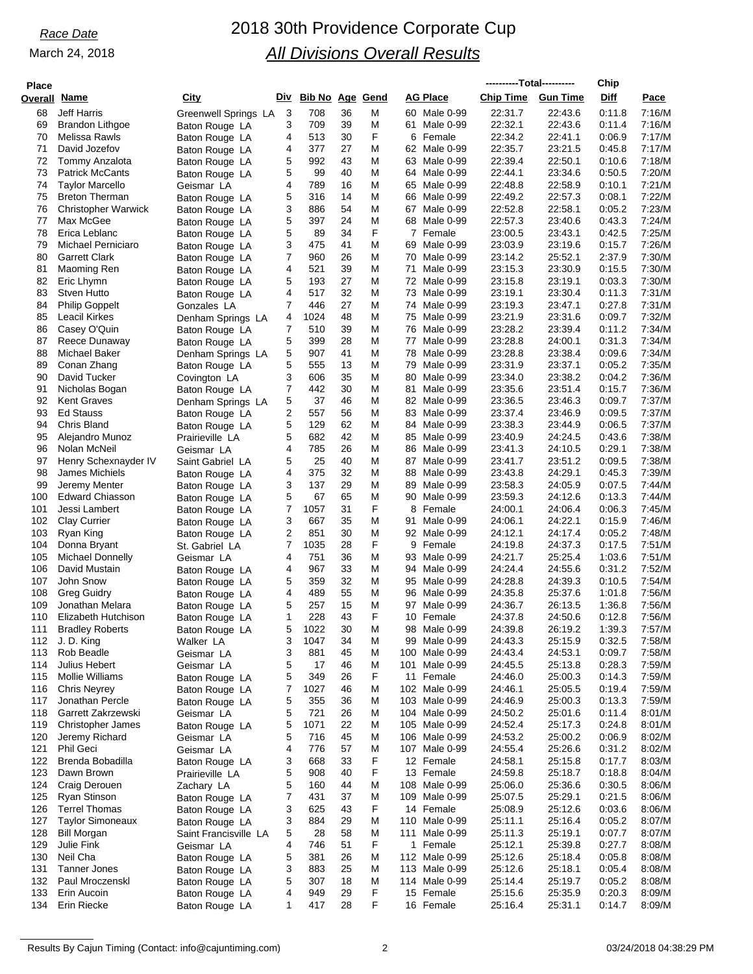| <b>Place</b>   |                                |                                  |              |                     |          |        |                            |                    | ----------Total---------- | Chip             |                  |
|----------------|--------------------------------|----------------------------------|--------------|---------------------|----------|--------|----------------------------|--------------------|---------------------------|------------------|------------------|
| <b>Overall</b> | <u>Name</u>                    | <u>City</u>                      |              | Div Bib No Age Gend |          |        | AG Place                   | <b>Chip Time</b>   | <b>Gun Time</b>           | <b>Diff</b>      | Pace             |
| 68             | <b>Jeff Harris</b>             | Greenwell Springs LA             | 3            | 708                 | 36       | M      | 60 Male 0-99               | 22:31.7            | 22:43.6                   | 0:11.8           | 7:16/M           |
| 69             | Brandon Lithgoe                | Baton Rouge LA                   | 3            | 709                 | 39       | Μ      | 61 Male 0-99               | 22:32.1            | 22:43.6                   | 0:11.4           | 7:16/M           |
| 70             | Melissa Rawls                  | Baton Rouge LA                   | 4            | 513                 | 30       | F      | 6 Female                   | 22:34.2            | 22:41.1                   | 0.06.9           | 7:17/M           |
| 71             | David Jozefov                  | Baton Rouge LA                   | 4            | 377                 | 27       | Μ      | 62 Male 0-99               | 22:35.7            | 23:21.5                   | 0.45.8           | 7:17/M           |
| 72             | Tommy Anzalota                 | Baton Rouge LA                   | 5            | 992                 | 43       | M      | 63 Male 0-99               | 22:39.4            | 22:50.1                   | 0:10.6           | 7:18/M           |
| 73             | <b>Patrick McCants</b>         | Baton Rouge LA                   | 5            | 99                  | 40       | M      | 64 Male 0-99               | 22:44.1            | 23:34.6                   | 0:50.5           | 7:20/M           |
| 74             | <b>Taylor Marcello</b>         | Geismar LA                       | 4            | 789                 | 16       | Μ      | 65 Male 0-99               | 22:48.8            | 22:58.9                   | 0:10.1           | 7:21/M           |
| 75             | <b>Breton Therman</b>          | Baton Rouge LA                   | 5            | 316                 | 14       | Μ      | 66 Male 0-99               | 22:49.2            | 22:57.3                   | 0:08.1           | 7:22/M           |
| 76             | <b>Christopher Warwick</b>     | Baton Rouge LA                   | 3            | 886                 | 54       | M      | 67 Male 0-99               | 22:52.8            | 22:58.1                   | 0:05.2           | 7:23/M           |
| 77             | Max McGee                      | Baton Rouge LA                   | 5            | 397                 | 24       | Μ      | 68 Male 0-99               | 22:57.3            | 23:40.6                   | 0:43.3           | 7:24/M           |
| 78             | Erica Leblanc                  | Baton Rouge LA                   | 5            | 89                  | 34       | F      | 7<br>Female                | 23:00.5            | 23:43.1                   | 0:42.5           | 7:25/M           |
| 79             | Michael Perniciaro             | Baton Rouge LA                   | 3            | 475                 | 41       | Μ      | 69 Male 0-99               | 23:03.9            | 23:19.6                   | 0:15.7           | 7:26/M           |
| 80             | <b>Garrett Clark</b>           | Baton Rouge LA                   | 7            | 960                 | 26       | M      | 70 Male 0-99               | 23:14.2            | 25:52.1                   | 2:37.9           | 7:30/M           |
| 81             | Maoming Ren                    | Baton Rouge LA                   | 4            | 521                 | 39       | M      | 71<br>Male 0-99            | 23:15.3            | 23:30.9                   | 0:15.5           | 7:30/M           |
| 82             | Eric Lhymn                     | Baton Rouge LA                   | 5            | 193                 | 27       | М      | 72 Male 0-99               | 23:15.8            | 23:19.1                   | 0:03.3           | 7:30/M           |
| 83             | Stven Hutto                    | Baton Rouge LA                   | 4            | 517                 | 32       | M      | 73 Male 0-99               | 23:19.1            | 23:30.4                   | 0:11.3           | 7:31/M           |
| 84             | <b>Philip Goppelt</b>          | Gonzales LA                      | 7            | 446                 | 27       | M      | 74 Male 0-99               | 23:19.3            | 23:47.1                   | 0:27.8           | 7:31/M           |
| 85             | Leacil Kirkes                  | Denham Springs LA                | 4            | 1024                | 48       | Μ      | 75 Male 0-99               | 23:21.9            | 23:31.6                   | 0:09.7           | 7:32/M           |
| 86             | Casey O'Quin                   | Baton Rouge LA                   | 7            | 510                 | 39       | M      | 76 Male 0-99               | 23:28.2            | 23:39.4                   | 0:11.2           | 7:34/M           |
| 87             | Reece Dunaway                  | Baton Rouge LA                   | 5            | 399                 | 28       | Μ      | 77 Male 0-99               | 23:28.8            | 24:00.1                   | 0:31.3           | 7:34/M           |
| 88             | Michael Baker                  | Denham Springs LA                | 5            | 907                 | 41       | M      | 78 Male 0-99               | 23:28.8            | 23:38.4                   | 0:09.6           | 7:34/M           |
| 89             | Conan Zhang                    | Baton Rouge LA                   | 5            | 555                 | 13       | M      | 79<br>Male 0-99            | 23:31.9            | 23:37.1                   | 0:05.2           | 7:35/M           |
| 90             | David Tucker                   |                                  | 3            | 606                 | 35       | Μ      | 80 Male 0-99               | 23:34.0            | 23:38.2                   | 0:04.2           | 7:36/M           |
| 91             | Nicholas Bogan                 | Covington LA<br>Baton Rouge LA   | 7            | 442                 | 30       | M      | Male 0-99<br>81            | 23:35.6            | 23:51.4                   | 0:15.7           | 7:36/M           |
| 92             | <b>Kent Graves</b>             |                                  | 5            | 37                  | 46       | M      | 82 Male 0-99               | 23:36.5            | 23:46.3                   | 0:09.7           | 7:37/M           |
| 93             | <b>Ed Stauss</b>               | Denham Springs LA                | 2            | 557                 | 56       | M      | 83 Male 0-99               | 23:37.4            | 23:46.9                   | 0:09.5           | 7:37/M           |
| 94             | Chris Bland                    | Baton Rouge LA                   | 5            | 129                 | 62       | M      | Male 0-99<br>84            | 23:38.3            | 23:44.9                   | 0:06.5           | 7:37/M           |
| 95             | Alejandro Munoz                | Baton Rouge LA                   | 5            | 682                 | 42       | Μ      | 85 Male 0-99               | 23:40.9            | 24:24.5                   | 0.43.6           | 7:38/M           |
| 96             | Nolan McNeil                   | Prairieville LA                  | 4            | 785                 | 26       | M      | 86 Male 0-99               | 23:41.3            | 24:10.5                   | 0:29.1           | 7:38/M           |
| 97             | Henry Schexnayder IV           | Geismar LA                       | 5            | 25                  | 40       | M      | 87 Male 0-99               | 23:41.7            | 23:51.2                   | 0:09.5           | 7:38/M           |
| 98             | James Michiels                 | Saint Gabriel LA                 | 4            | 375                 | 32       | Μ      | 88 Male 0-99               | 23:43.8            | 24:29.1                   | 0:45.3           | 7:39/M           |
| 99             | Jeremy Menter                  | Baton Rouge LA                   | 3            | 137                 | 29       | M      | 89 Male 0-99               | 23:58.3            | 24:05.9                   | 0:07.5           | 7:44/M           |
| 100            | <b>Edward Chiasson</b>         | Baton Rouge LA                   | 5            | 67                  | 65       | M      | 90 Male 0-99               | 23:59.3            | 24:12.6                   | 0:13.3           | 7:44/M           |
| 101            | Jessi Lambert                  | Baton Rouge LA                   | 7            | 1057                | 31       | F      | 8<br>Female                | 24:00.1            | 24:06.4                   | 0:06.3           | 7:45/M           |
| 102            | <b>Clay Currier</b>            | Baton Rouge LA                   | 3            | 667                 | 35       | M      | Male 0-99<br>91            | 24:06.1            | 24:22.1                   | 0:15.9           | 7:46/M           |
| 103            | Ryan King                      | Baton Rouge LA<br>Baton Rouge LA | 2            | 851                 | 30       | Μ      | 92 Male 0-99               | 24:12.1            | 24:17.4                   | 0:05.2           | 7:48/M           |
| 104            | Donna Bryant                   | St. Gabriel LA                   | 7            | 1035                | 28       | F      | 9<br>Female                | 24:19.8            | 24:37.3                   | 0:17.5           | 7:51/M           |
| 105            | Michael Donnelly               | Geismar LA                       | 4            | 751                 | 36       | M      | 93 Male 0-99               | 24:21.7            | 25:25.4                   | 1:03.6           | 7:51/M           |
| 106            | David Mustain                  | Baton Rouge LA                   | 4            | 967                 | 33       | М      | 94 Male 0-99               | 24:24.4            | 24.55.6                   | 0:31.2           | 7:52/M           |
| 107            | John Snow                      | Baton Rouge LA                   | 5            | 359                 | 32       | M      | 95 Male 0-99               | 24:28.8            | 24:39.3                   | 0:10.5           | 7:54/M           |
| 108            | <b>Greg Guidry</b>             | Baton Rouge LA                   | 4            | 489                 | 55       | M      | 96 Male 0-99               | 24:35.8            | 25:37.6                   | 1:01.8           | 7:56/M           |
| 109            | Jonathan Melara                | Baton Rouge LA                   | 5            | 257                 | 15       | Μ      | 97 Male 0-99               | 24:36.7            | 26:13.5                   | 1:36.8           | 7:56/M           |
| 110            | Elizabeth Hutchison            | Baton Rouge LA                   | $\mathbf{1}$ | 228                 | 43       | F      | 10 Female                  | 24:37.8            | 24:50.6                   | 0:12.8           | 7:56/M           |
| 111            | <b>Bradley Roberts</b>         | Baton Rouge LA                   | 5            | 1022                | 30       | м      | 98 Male 0-99               | 24:39.8            | 26:19.2                   | 1:39.3           | 7:57/M           |
|                | 112 J.D. King                  | Walker LA                        | 3            | 1047                | 34       | M      | 99 Male 0-99               | 24:43.3            | 25:15.9                   | 0:32.5           | 7:58/M           |
| 113            | Rob Beadle                     | Geismar LA                       | 3            | 881                 | 45       | M      | 100 Male 0-99              | 24:43.4            | 24:53.1                   | 0:09.7           | 7:58/M           |
| 114            | Julius Hebert                  | Geismar LA                       | 5            | 17                  | 46       | M      | 101 Male 0-99              | 24:45.5            | 25:13.8                   | 0:28.3           | 7:59/M           |
| 115            | <b>Mollie Williams</b>         | Baton Rouge LA                   | 5            | 349                 | 26       | F      | 11 Female                  | 24:46.0            | 25:00.3                   | 0.14.3           | 7:59/M           |
| 116            | <b>Chris Neyrey</b>            | Baton Rouge LA                   | 7            | 1027                | 46       | Μ      | 102 Male 0-99              | 24:46.1            | 25:05.5                   | 0.19.4           | 7:59/M           |
| 117            | Jonathan Percle                | Baton Rouge LA                   | 5            | 355                 | 36       | M      | 103 Male 0-99              | 24:46.9            | 25:00.3                   | 0:13.3           | 7:59/M           |
| 118            | Garrett Zakrzewski             | Geismar LA                       | 5            | 721                 | 26       | M      | 104 Male 0-99              | 24:50.2            | 25:01.6                   | 0.11.4           | 8:01/M           |
| 119            | <b>Christopher James</b>       |                                  | 5            | 1071                | 22       | Μ      | 105 Male 0-99              | 24.52.4            | 25:17.3                   | 0.24.8           | 8:01/M           |
| 120            | Jeremy Richard                 | Baton Rouge LA<br>Geismar LA     | 5            | 716                 | 45       | M      | 106 Male 0-99              | 24:53.2            | 25:00.2                   | 0:06.9           | 8:02/M           |
| 121            | Phil Geci                      | Geismar LA                       | 4            | 776                 | 57       | Μ      | 107 Male 0-99              | 24.55.4            | 25:26.6                   | 0:31.2           | 8:02/M           |
| 122            | Brenda Bobadilla               |                                  | 3            | 668                 | 33       | F      | 12 Female                  | 24:58.1            | 25:15.8                   | 0:17.7           | 8:03/M           |
| 123            | Dawn Brown                     | Baton Rouge LA                   | 5            | 908                 | 40       | F      | 13 Female                  | 24:59.8            | 25:18.7                   | 0.18.8           | 8:04/M           |
| 124            | Craig Derouen                  | Prairieville LA                  | 5            | 160                 | 44       | Μ      | 108 Male 0-99              | 25:06.0            | 25:36.6                   | 0:30.5           | 8:06/M           |
| 125            | Ryan Stinson                   | Zachary LA                       | 7            | 431                 | 37       | M      | 109 Male 0-99              | 25:07.5            | 25:29.1                   | 0:21.5           | 8:06/M           |
| 126            | <b>Terrel Thomas</b>           | Baton Rouge LA                   | 3            | 625                 | 43       | F      | 14 Female                  | 25:08.9            | 25:12.6                   | 0:03.6           | 8:06/M           |
| 127            | <b>Taylor Simoneaux</b>        | Baton Rouge LA                   | 3            | 884                 | 29       |        | 110 Male 0-99              | 25:11.1            | 25:16.4                   | 0:05.2           | 8:07/M           |
|                |                                | Baton Rouge LA                   |              |                     |          | M      |                            |                    |                           |                  |                  |
| 128<br>129     | Bill Morgan<br>Julie Fink      | Saint Francisville LA            | 5<br>4       | 28<br>746           | 58<br>51 | M<br>F | 111 Male 0-99              | 25:11.3<br>25:12.1 | 25:19.1<br>25:39.8        | 0:07.7<br>0.27.7 | 8:07/M<br>8:08/M |
| 130            | Neil Cha                       | Geismar LA                       |              | 381                 | 26       | Μ      | 1 Female<br>112 Male 0-99  | 25:12.6            | 25:18.4                   | 0.05.8           | 8:08/M           |
| 131            | Tanner Jones                   | Baton Rouge LA                   | 5<br>3       | 883                 | 25       | M      | 113 Male 0-99              | 25:12.6            | 25:18.1                   | 0.05.4           | 8:08/M           |
| 132            |                                | Baton Rouge LA                   | 5            |                     |          | M      |                            |                    | 25:19.7                   | 0:05.2           |                  |
| 133            | Paul Mroczenski<br>Erin Aucoin | Baton Rouge LA                   | 4            | 307<br>949          | 18<br>29 | F      | 114 Male 0-99<br>15 Female | 25:14.4<br>25:15.6 | 25:35.9                   | 0:20.3           | 8:08/M<br>8:09/M |
| 134            | Erin Riecke                    | Baton Rouge LA                   | 1            | 417                 | 28       | F      | 16 Female                  | 25:16.4            | 25:31.1                   | 0.14.7           | 8:09/M           |
|                |                                | Baton Rouge LA                   |              |                     |          |        |                            |                    |                           |                  |                  |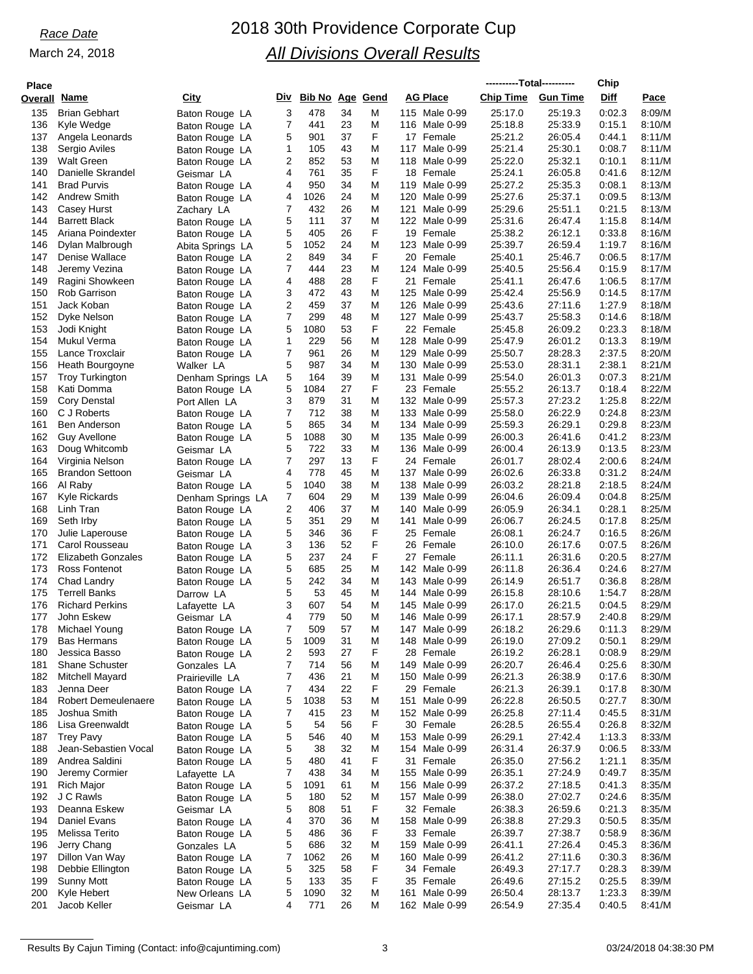| <b>Place</b> |                                                |                                     |        |                        |          |        |                 |                                | ----------Total---------- |                    | Chip             |                  |
|--------------|------------------------------------------------|-------------------------------------|--------|------------------------|----------|--------|-----------------|--------------------------------|---------------------------|--------------------|------------------|------------------|
| Overall      | <u>Name</u>                                    | City                                | Div    | <b>Bib No Age Gend</b> |          |        | <b>AG Place</b> |                                | <b>Chip Time</b>          | <b>Gun Time</b>    | Diff             | Pace             |
| 135          | <b>Brian Gebhart</b>                           | Baton Rouge LA                      | 3      | 478                    | 34       | M      |                 | 115 Male 0-99                  | 25:17.0                   | 25:19.3            | 0:02.3           | 8:09/M           |
| 136          | Kyle Wedge                                     | Baton Rouge LA                      | 7      | 441                    | 23       | M      |                 | 116 Male 0-99                  | 25:18.8                   | 25:33.9            | 0:15.1           | 8:10/M           |
| 137          | Angela Leonards                                | Baton Rouge LA                      | 5      | 901                    | 37       | F      |                 | 17 Female                      | 25:21.2                   | 26:05.4            | 0:44.1           | 8:11/M           |
| 138          | Sergio Aviles                                  | Baton Rouge LA                      | 1      | 105                    | 43       | M      |                 | 117 Male 0-99                  | 25:21.4                   | 25:30.1            | 0:08.7           | 8:11/M           |
| 139          | <b>Walt Green</b>                              | Baton Rouge LA                      | 2      | 852                    | 53       | M<br>F |                 | 118 Male 0-99                  | 25:22.0                   | 25:32.1            | 0:10.1           | 8:11/M           |
| 140<br>141   | Danielle Skrandel<br><b>Brad Purvis</b>        | Geismar LA<br>Baton Rouge LA        | 4<br>4 | 761<br>950             | 35<br>34 | M      |                 | 18 Female<br>119 Male 0-99     | 25:24.1<br>25:27.2        | 26:05.8<br>25:35.3 | 0:41.6<br>0:08.1 | 8:12/M<br>8:13/M |
| 142          | <b>Andrew Smith</b>                            | Baton Rouge LA                      | 4      | 1026                   | 24       | M      | 120             | Male 0-99                      | 25:27.6                   | 25:37.1            | 0:09.5           | 8:13/M           |
| 143          | Casey Hurst                                    | Zachary LA                          | 7      | 432                    | 26       | M      |                 | 121 Male 0-99                  | 25:29.6                   | 25:51.1            | 0.21.5           | 8:13/M           |
| 144          | <b>Barrett Black</b>                           | Baton Rouge LA                      | 5      | 111                    | 37       | M      |                 | 122 Male 0-99                  | 25:31.6                   | 26:47.4            | 1:15.8           | 8:14/M           |
| 145          | Ariana Poindexter                              | Baton Rouge LA                      | 5      | 405                    | 26       | F      |                 | 19 Female                      | 25:38.2                   | 26:12.1            | 0:33.8           | 8:16/M           |
| 146          | Dylan Malbrough                                | Abita Springs LA                    | 5      | 1052                   | 24       | M      |                 | 123 Male 0-99                  | 25:39.7                   | 26:59.4            | 1:19.7           | 8:16/M           |
| 147          | Denise Wallace                                 | Baton Rouge LA                      | 2      | 849                    | 34       | F      |                 | 20 Female                      | 25:40.1                   | 25:46.7            | 0:06.5           | 8:17/M           |
| 148          | Jeremy Vezina                                  | Baton Rouge LA                      | 7      | 444<br>488             | 23<br>28 | M<br>F |                 | 124 Male 0-99                  | 25:40.5                   | 25:56.4            | 0:15.9<br>1:06.5 | 8:17/M<br>8:17/M |
| 149<br>150   | Ragini Showkeen<br>Rob Garrison                | Baton Rouge LA<br>Baton Rouge LA    | 4<br>3 | 472                    | 43       | M      | 125             | 21 Female<br>Male 0-99         | 25:41.1<br>25:42.4        | 26:47.6<br>25:56.9 | 0:14.5           | 8:17/M           |
| 151          | Jack Koban                                     | Baton Rouge LA                      | 2      | 459                    | 37       | M      |                 | 126 Male 0-99                  | 25:43.6                   | 27:11.6            | 1:27.9           | 8:18/M           |
| 152          | Dyke Nelson                                    | Baton Rouge LA                      | 7      | 299                    | 48       | M      | 127             | Male 0-99                      | 25:43.7                   | 25:58.3            | 0:14.6           | 8:18/M           |
| 153          | Jodi Knight                                    | Baton Rouge LA                      | 5      | 1080                   | 53       | F      |                 | 22 Female                      | 25:45.8                   | 26:09.2            | 0:23.3           | 8:18/M           |
| 154          | Mukul Verma                                    | Baton Rouge LA                      | 1      | 229                    | 56       | M      |                 | 128 Male 0-99                  | 25:47.9                   | 26:01.2            | 0:13.3           | 8:19/M           |
| 155          | Lance Troxclair                                | Baton Rouge LA                      | 7      | 961                    | 26       | M      |                 | 129 Male 0-99                  | 25:50.7                   | 28:28.3            | 2:37.5           | 8:20/M           |
| 156          | Heath Bourgoyne                                | Walker LA                           | 5      | 987                    | 34       | M      |                 | 130 Male 0-99                  | 25:53.0                   | 28:31.1            | 2:38.1           | 8:21/M           |
| 157          | <b>Troy Turkington</b>                         | Denham Springs LA                   | 5<br>5 | 164                    | 39<br>27 | M<br>F | 131             | Male 0-99                      | 25:54.0<br>25:55.2        | 26:01.3            | 0:07.3           | 8:21/M<br>8:22/M |
| 158<br>159   | Kati Domma<br><b>Cory Denstal</b>              | Baton Rouge LA<br>Port Allen LA     | 3      | 1084<br>879            | 31       | M      |                 | 23 Female<br>132 Male 0-99     | 25:57.3                   | 26:13.7<br>27:23.2 | 0:18.4<br>1:25.8 | 8:22/M           |
| 160          | C J Roberts                                    | Baton Rouge LA                      | 7      | 712                    | 38       | M      |                 | 133 Male 0-99                  | 25:58.0                   | 26:22.9            | 0:24.8           | 8:23/M           |
| 161          | <b>Ben Anderson</b>                            | Baton Rouge LA                      | 5      | 865                    | 34       | M      |                 | 134 Male 0-99                  | 25:59.3                   | 26:29.1            | 0:29.8           | 8:23/M           |
| 162          | <b>Guy Avellone</b>                            | Baton Rouge LA                      | 5      | 1088                   | 30       | M      |                 | 135 Male 0-99                  | 26:00.3                   | 26:41.6            | 0:41.2           | 8:23/M           |
| 163          | Doug Whitcomb                                  | Geismar LA                          | 5      | 722                    | 33       | M      |                 | 136 Male 0-99                  | 26:00.4                   | 26:13.9            | 0:13.5           | 8:23/M           |
| 164          | Virginia Nelson                                | Baton Rouge LA                      | 7      | 297                    | 13       | F      |                 | 24 Female                      | 26:01.7                   | 28:02.4            | 2:00.6           | 8:24/M           |
| 165          | <b>Brandon Settoon</b>                         | Geismar LA                          | 4      | 778                    | 45       | M      |                 | 137 Male 0-99                  | 26:02.6                   | 26:33.8            | 0:31.2           | 8:24/M           |
| 166<br>167   | Al Raby<br>Kyle Rickards                       | Baton Rouge LA                      | 5<br>7 | 1040<br>604            | 38<br>29 | M<br>M |                 | 138 Male 0-99<br>139 Male 0-99 | 26:03.2<br>26:04.6        | 28:21.8<br>26:09.4 | 2:18.5<br>0:04.8 | 8:24/M<br>8:25/M |
| 168          | Linh Tran                                      | Denham Springs LA<br>Baton Rouge LA | 2      | 406                    | 37       | M      |                 | 140 Male 0-99                  | 26:05.9                   | 26:34.1            | 0:28.1           | 8:25/M           |
| 169          | Seth Irby                                      | Baton Rouge LA                      | 5      | 351                    | 29       | M      | 141             | Male 0-99                      | 26:06.7                   | 26:24.5            | 0:17.8           | 8:25/M           |
| 170          | Julie Laperouse                                | Baton Rouge LA                      | 5      | 346                    | 36       | F      |                 | 25 Female                      | 26:08.1                   | 26:24.7            | 0:16.5           | 8:26/M           |
| 171          | Carol Rousseau                                 | Baton Rouge LA                      | 3      | 136                    | 52       | F      | 26              | Female                         | 26:10.0                   | 26:17.6            | 0:07.5           | 8:26/M           |
| 172          | <b>Elizabeth Gonzales</b>                      | Baton Rouge LA                      | 5      | 237                    | 24       | F      |                 | 27 Female                      | 26:11.1                   | 26:31.6            | 0:20.5           | 8:27/M           |
| 173          | Ross Fontenot                                  | Baton Rouge LA                      | 5      | 685                    | 25       | M      |                 | 142 Male 0-99                  | 26:11.8                   | 26:36.4            | 0:24.6           | 8:27/M           |
| 174          | Chad Landry                                    | Baton Rouge LA                      | 5      | 242                    | 34       | M      |                 | 143 Male 0-99                  | 26:14.9                   | 26:51.7            | 0:36.8           | 8:28/M           |
| 175<br>176   | <b>Terrell Banks</b><br><b>Richard Perkins</b> | Darrow LA                           | 5<br>3 | 53<br>607              | 45<br>54 | M<br>M |                 | 144 Male 0-99<br>145 Male 0-99 | 26:15.8<br>26:17.0        | 28:10.6<br>26:21.5 | 1:54.7<br>0:04.5 | 8:28/M<br>8:29/M |
| 177          | John Eskew                                     | Lafayette LA<br>Geismar LA          | 4      | 779                    | 50       | M      |                 | 146 Male 0-99                  | 26:17.1                   | 28:57.9            | 2:40.8           | 8:29/M           |
| 178          | Michael Young                                  | Baton Rouge LA                      |        | 509                    | 57       | M      |                 | 147 Male 0-99                  | 26:18.2                   | 26:29.6            | 0:11.3           | 8:29/M           |
| 179          | <b>Bas Hermans</b>                             | Baton Rouge LA                      | 5      | 1009                   | 31       | M      |                 | 148 Male 0-99                  | 26:19.0                   | 27:09.2            | 0:50.1           | 8:29/M           |
| 180          | Jessica Basso                                  | Baton Rouge LA                      | 2      | 593                    | 27       | F      |                 | 28 Female                      | 26:19.2                   | 26:28.1            | 0:08.9           | 8:29/M           |
| 181          | <b>Shane Schuster</b>                          | Gonzales LA                         | 7      | 714                    | 56       | M      |                 | 149 Male 0-99                  | 26:20.7                   | 26:46.4            | 0:25.6           | 8:30/M           |
| 182          | Mitchell Mayard                                | Prairieville LA                     | 7      | 436                    | 21       | M      |                 | 150 Male 0-99                  | 26:21.3                   | 26:38.9            | 0:17.6           | 8:30/M           |
| 183          | Jenna Deer                                     | Baton Rouge LA                      | 7      | 434                    | 22       | F      |                 | 29 Female                      | 26:21.3                   | 26:39.1            | 0:17.8           | 8:30/M           |
| 184<br>185   | <b>Robert Demeulenaere</b><br>Joshua Smith     | Baton Rouge LA<br>Baton Rouge LA    | 5<br>7 | 1038<br>415            | 53<br>23 | M<br>M |                 | 151 Male 0-99<br>152 Male 0-99 | 26:22.8<br>26:25.8        | 26:50.5<br>27:11.4 | 0.27.7<br>0.45.5 | 8:30/M<br>8:31/M |
| 186          | Lisa Greenwaldt                                | Baton Rouge LA                      | 5      | 54                     | 56       | F      |                 | 30 Female                      | 26:28.5                   | 26:55.4            | 0:26.8           | 8:32/M           |
| 187          | <b>Trey Pavy</b>                               | Baton Rouge LA                      | 5      | 546                    | 40       | M      |                 | 153 Male 0-99                  | 26:29.1                   | 27:42.4            | 1:13.3           | 8:33/M           |
| 188          | Jean-Sebastien Vocal                           | Baton Rouge LA                      | 5      | 38                     | 32       | M      |                 | 154 Male 0-99                  | 26:31.4                   | 26:37.9            | 0:06.5           | 8:33/M           |
| 189          | Andrea Saldini                                 | Baton Rouge LA                      | 5      | 480                    | 41       | F      |                 | 31 Female                      | 26:35.0                   | 27:56.2            | 1:21.1           | 8:35/M           |
| 190          | Jeremy Cormier                                 | Lafayette LA                        | 7      | 438                    | 34       | M      |                 | 155 Male 0-99                  | 26:35.1                   | 27:24.9            | 0:49.7           | 8:35/M           |
| 191          | <b>Rich Major</b>                              | Baton Rouge LA                      | 5      | 1091                   | 61       | M      |                 | 156 Male 0-99                  | 26:37.2                   | 27:18.5            | 0:41.3           | 8:35/M           |
| 192          | J C Rawls                                      | Baton Rouge LA                      | 5      | 180                    | 52       | M<br>F |                 | 157 Male 0-99                  | 26:38.0                   | 27:02.7            | 0.24.6           | 8:35/M           |
| 193<br>194   | Deanna Eskew<br><b>Daniel Evans</b>            | Geismar LA                          | 5<br>4 | 808<br>370             | 51<br>36 | M      |                 | 32 Female<br>158 Male 0-99     | 26:38.3<br>26:38.8        | 26:59.6<br>27:29.3 | 0:21.3<br>0:50.5 | 8:35/M<br>8:35/M |
| 195          | Melissa Terito                                 | Baton Rouge LA<br>Baton Rouge LA    | 5      | 486                    | 36       | F      |                 | 33 Female                      | 26:39.7                   | 27:38.7            | 0:58.9           | 8:36/M           |
| 196          | Jerry Chang                                    | Gonzales LA                         | 5      | 686                    | 32       | M      |                 | 159 Male 0-99                  | 26:41.1                   | 27:26.4            | 0:45.3           | 8:36/M           |
| 197          | Dillon Van Way                                 | Baton Rouge LA                      | 7      | 1062                   | 26       | M      |                 | 160 Male 0-99                  | 26:41.2                   | 27:11.6            | 0:30.3           | 8:36/M           |
| 198          | Debbie Ellington                               | Baton Rouge LA                      | 5      | 325                    | 58       | F      |                 | 34 Female                      | 26:49.3                   | 27:17.7            | 0.28.3           | 8:39/M           |
| 199          | <b>Sunny Mott</b>                              | Baton Rouge LA                      | 5      | 133                    | 35       | F      |                 | 35 Female                      | 26:49.6                   | 27:15.2            | 0:25.5           | 8:39/M           |
| 200          | Kyle Hebert                                    | New Orleans LA                      | 5      | 1090                   | 32       | M      | 161             | Male 0-99                      | 26:50.4                   | 28:13.7            | 1:23.3           | 8:39/M           |
| 201          | Jacob Keller                                   | Geismar LA                          | 4      | 771                    | 26       | M      |                 | 162 Male 0-99                  | 26:54.9                   | 27:35.4            | 0:40.5           | 8:41/M           |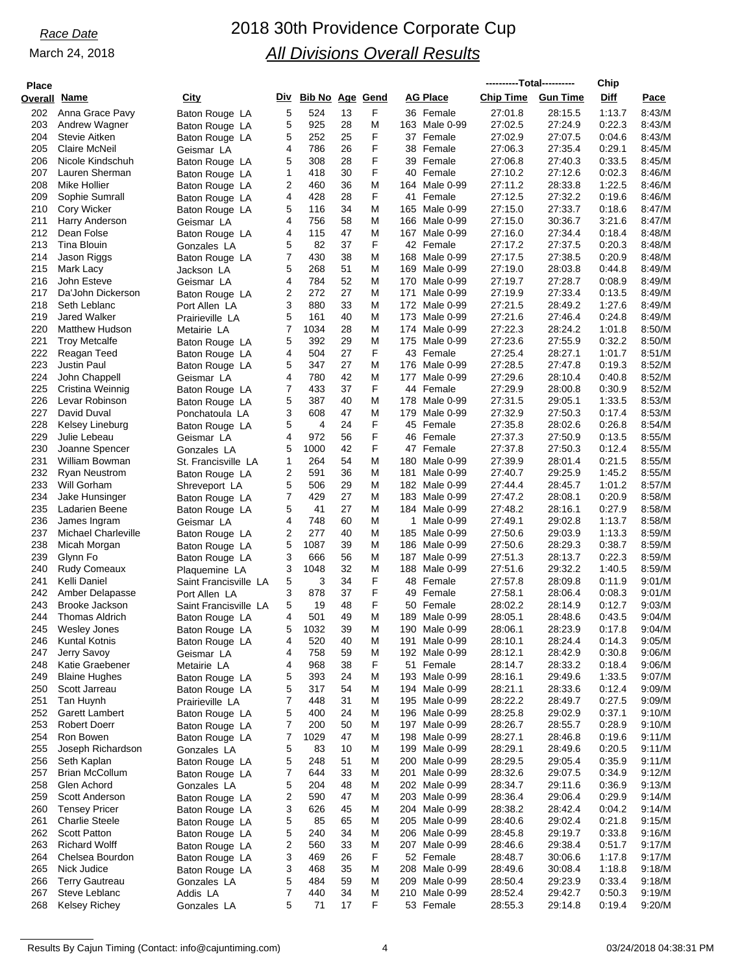| Place        |                            |                       |     |                        |    |        |                 |           | ----------Total---------- |                 | Chip   |        |
|--------------|----------------------------|-----------------------|-----|------------------------|----|--------|-----------------|-----------|---------------------------|-----------------|--------|--------|
| Overall Name |                            | <u>City</u>           | Div | <b>Bib No Age Gend</b> |    |        | <b>AG Place</b> |           | <b>Chip Time</b>          | <b>Gun Time</b> | Diff   | Pace   |
| 202          | Anna Grace Pavy            |                       | 5   | 524                    | 13 | F      | 36 Female       |           | 27:01.8                   | 28:15.5         | 1:13.7 | 8:43/M |
| 203          |                            | Baton Rouge LA        | 5   | 925                    | 28 | M      | 163 Male 0-99   |           | 27:02.5                   | 27:24.9         | 0:22.3 | 8:43/M |
| 204          | Andrew Wagner              | Baton Rouge LA        | 5   | 252                    | 25 | F      | 37 Female       |           | 27:02.9                   | 27:07.5         | 0.04.6 |        |
|              | Stevie Aitken              | Baton Rouge LA        |     |                        |    | F      | 38 Female       |           |                           |                 |        | 8.43/M |
| 205          | Claire McNeil              | Geismar LA            | 4   | 786                    | 26 | F      |                 |           | 27:06.3                   | 27:35.4         | 0:29.1 | 8:45/M |
| 206          | Nicole Kindschuh           | Baton Rouge LA        | 5   | 308                    | 28 |        | 39 Female       |           | 27:06.8                   | 27:40.3         | 0:33.5 | 8:45/M |
| 207          | Lauren Sherman             | Baton Rouge LA        | 1   | 418                    | 30 | F      | Female<br>40    |           | 27:10.2                   | 27:12.6         | 0:02.3 | 8:46/M |
| 208          | Mike Hollier               | Baton Rouge LA        | 2   | 460                    | 36 | M      | 164 Male 0-99   |           | 27:11.2                   | 28:33.8         | 1:22.5 | 8.46/M |
| 209          | Sophie Sumrall             | Baton Rouge LA        | 4   | 428                    | 28 | F      | 41              | Female    | 27:12.5                   | 27:32.2         | 0.19.6 | 8:46/M |
| 210          | Cory Wicker                | Baton Rouge LA        | 5   | 116                    | 34 | M      | 165 Male 0-99   |           | 27:15.0                   | 27:33.7         | 0.18.6 | 8.47/M |
| 211          | Harry Anderson             | Geismar LA            | 4   | 756                    | 58 | M      | 166 Male 0-99   |           | 27:15.0                   | 30:36.7         | 3:21.6 | 8:47/M |
| 212          | Dean Folse                 | Baton Rouge LA        | 4   | 115                    | 47 | M      | 167             | Male 0-99 | 27:16.0                   | 27:34.4         | 0.18.4 | 8:48/M |
| 213          | Tina Blouin                | Gonzales LA           | 5   | 82                     | 37 | F      | 42 Female       |           | 27:17.2                   | 27:37.5         | 0:20.3 | 8:48/M |
| 214          | Jason Riggs                | Baton Rouge LA        | 7   | 430                    | 38 | M      | 168 Male 0-99   |           | 27:17.5                   | 27:38.5         | 0.20.9 | 8:48/M |
| 215          | Mark Lacy                  | Jackson LA            | 5   | 268                    | 51 | M      | 169             | Male 0-99 | 27:19.0                   | 28:03.8         | 0.44.8 | 8:49/M |
| 216          | John Esteve                | Geismar LA            | 4   | 784                    | 52 | M      | 170 Male 0-99   |           | 27:19.7                   | 27:28.7         | 0.08.9 | 8.49/M |
| 217          | Da'John Dickerson          | Baton Rouge LA        | 2   | 272                    | 27 | M      | 171             | Male 0-99 | 27:19.9                   | 27:33.4         | 0:13.5 | 8:49/M |
| 218          | Seth Leblanc               | Port Allen LA         | 3   | 880                    | 33 | м      | 172 Male 0-99   |           | 27:21.5                   | 28:49.2         | 1:27.6 | 8:49/M |
| 219          | <b>Jared Walker</b>        | Prairieville LA       | 5   | 161                    | 40 | M      | 173 Male 0-99   |           | 27:21.6                   | 27:46.4         | 0.24.8 | 8:49/M |
| 220          | <b>Matthew Hudson</b>      | Metairie LA           | 7   | 1034                   | 28 | M      | 174 Male 0-99   |           | 27:22.3                   | 28:24.2         | 1:01.8 | 8:50/M |
| 221          | <b>Troy Metcalfe</b>       | Baton Rouge LA        | 5   | 392                    | 29 | M      | 175 Male 0-99   |           | 27:23.6                   | 27:55.9         | 0:32.2 | 8:50/M |
| 222          | Reagan Teed                | Baton Rouge LA        | 4   | 504                    | 27 | F      | 43 Female       |           | 27:25.4                   | 28:27.1         | 1:01.7 | 8:51/M |
| 223          | Justin Paul                | Baton Rouge LA        | 5   | 347                    | 27 | M      | 176             | Male 0-99 | 27:28.5                   | 27:47.8         | 0:19.3 | 8:52/M |
| 224          | John Chappell              | Geismar LA            | 4   | 780                    | 42 | M      | 177 Male 0-99   |           | 27:29.6                   | 28:10.4         | 0:40.8 | 8:52/M |
| 225          | Cristina Weinnig           | Baton Rouge LA        | 7   | 433                    | 37 | F      | 44 Female       |           | 27:29.9                   | 28:00.8         | 0:30.9 | 8:52/M |
| 226          | Levar Robinson             | Baton Rouge LA        | 5   | 387                    | 40 | M      | 178             | Male 0-99 | 27:31.5                   | 29:05.1         | 1:33.5 | 8:53/M |
| 227          | David Duval                | Ponchatoula LA        | 3   | 608                    | 47 | M      | 179             | Male 0-99 | 27:32.9                   | 27:50.3         | 0:17.4 | 8:53/M |
| 228          | Kelsey Lineburg            | Baton Rouge LA        | 5   | 4                      | 24 | F      | 45 Female       |           | 27:35.8                   | 28:02.6         | 0.26.8 | 8:54/M |
| 229          | Julie Lebeau               | Geismar LA            | 4   | 972                    | 56 | F      | 46 Female       |           | 27:37.3                   | 27:50.9         | 0:13.5 | 8:55/M |
| 230          | Joanne Spencer             | Gonzales LA           | 5   | 1000                   | 42 | F      | 47 Female       |           | 27:37.8                   | 27:50.3         | 0:12.4 | 8:55/M |
| 231          | William Bowman             | St. Francisville LA   | 1   | 264                    | 54 | M      | 180             | Male 0-99 | 27:39.9                   | 28:01.4         | 0:21.5 | 8:55/M |
| 232          | <b>Ryan Neustrom</b>       | Baton Rouge LA        | 2   | 591                    | 36 | M      | 181             | Male 0-99 | 27:40.7                   | 29:25.9         | 1:45.2 | 8:55/M |
| 233          | Will Gorham                | Shreveport LA         | 5   | 506                    | 29 | M      | 182 Male 0-99   |           | 27:44.4                   | 28:45.7         | 1:01.2 | 8:57/M |
| 234          | Jake Hunsinger             | Baton Rouge LA        | 7   | 429                    | 27 | M      | 183 Male 0-99   |           | 27:47.2                   | 28:08.1         | 0.20.9 | 8:58/M |
| 235          | Ladarien Beene             | Baton Rouge LA        | 5   | 41                     | 27 | M      | 184 Male 0-99   |           | 27:48.2                   | 28:16.1         | 0.27.9 | 8:58/M |
| 236          | James Ingram               | Geismar LA            | 4   | 748                    | 60 | M      | 1               | Male 0-99 | 27:49.1                   | 29:02.8         | 1:13.7 | 8:58/M |
| 237          | <b>Michael Charleville</b> | Baton Rouge LA        | 2   | 277                    | 40 | M      | 185 Male 0-99   |           | 27:50.6                   | 29:03.9         | 1:13.3 | 8:59/M |
| 238          | Micah Morgan               |                       | 5   | 1087                   | 39 | M      | 186 Male 0-99   |           | 27:50.6                   | 28:29.3         | 0:38.7 | 8.59/M |
| 239          | Glynn Fo                   | Baton Rouge LA        | 3   | 666                    | 56 | M      | 187             | Male 0-99 | 27:51.3                   | 28:13.7         | 0:22.3 | 8:59/M |
| 240          | Rudy Comeaux               | Baton Rouge LA        | 3   | 1048                   | 32 | M      | 188 Male 0-99   |           | 27:51.6                   | 29:32.2         | 1:40.5 | 8:59/M |
| 241          | Kelli Daniel               | Plaquemine LA         | 5   | 3                      | 34 | F      | 48 Female       |           | 27:57.8                   | 28:09.8         | 0:11.9 | 9:01/M |
|              | Amber Delapasse            | Saint Francisville LA | 3   | 878                    | 37 | F      | 49 Female       |           | 27:58.1                   | 28:06.4         | 0:08.3 | 9:01/M |
| 242          |                            | Port Allen LA         |     |                        |    |        |                 |           |                           |                 |        |        |
| 243          | Brooke Jackson             | Saint Francisville LA | 5   | 19                     | 48 | F<br>M | 50 Female       |           | 28:02.2                   | 28:14.9         | 0:12.7 | 9:03/M |
| 244          | Thomas Aldrich             | Baton Rouge LA        | 4   | 501                    | 49 |        | 189 Male 0-99   |           | 28:05.1                   | 28:48.6         | 0:43.5 | 9:04/M |
| 245          | Wesley Jones               | Baton Rouge LA        | 5   | 1032                   | 39 | Μ      | 190 Male 0-99   |           | 28:06.1                   | 28:23.9         | 0:17.8 | 9:04/M |
| 246          | <b>Kuntal Kotnis</b>       | Baton Rouge LA        | 4   | 520                    | 40 | M      | 191 Male 0-99   |           | 28:10.1                   | 28:24.4         | 0:14.3 | 9:05/M |
| 247          | Jerry Savoy                | Geismar LA            | 4   | 758                    | 59 | M      | 192 Male 0-99   |           | 28:12.1                   | 28:42.9         | 0:30.8 | 9:06/M |
| 248          | Katie Graebener            | Metairie LA           | 4   | 968                    | 38 | F      | 51 Female       |           | 28:14.7                   | 28:33.2         | 0:18.4 | 9:06/M |
| 249          | <b>Blaine Hughes</b>       | Baton Rouge LA        | 5   | 393                    | 24 | M      | 193 Male 0-99   |           | 28:16.1                   | 29:49.6         | 1:33.5 | 9:07/M |
| 250          | Scott Jarreau              | Baton Rouge LA        | 5   | 317                    | 54 | M      | 194 Male 0-99   |           | 28:21.1                   | 28:33.6         | 0:12.4 | 9:09/M |
| 251          | Tan Huynh                  | Prairieville LA       | 7   | 448                    | 31 | M      | 195 Male 0-99   |           | 28:22.2                   | 28:49.7         | 0:27.5 | 9:09/M |
| 252          | Garett Lambert             | Baton Rouge LA        | 5   | 400                    | 24 | M      | 196 Male 0-99   |           | 28:25.8                   | 29:02.9         | 0:37.1 | 9:10/M |
| 253          | <b>Robert Doerr</b>        | Baton Rouge LA        | 7   | 200                    | 50 | M      | 197 Male 0-99   |           | 28:26.7                   | 28:55.7         | 0.28.9 | 9:10/M |
| 254          | Ron Bowen                  | Baton Rouge LA        | 7   | 1029                   | 47 | M      | 198 Male 0-99   |           | 28:27.1                   | 28:46.8         | 0:19.6 | 9:11/M |
| 255          | Joseph Richardson          | Gonzales LA           | 5   | 83                     | 10 | M      | 199 Male 0-99   |           | 28:29.1                   | 28:49.6         | 0:20.5 | 9:11/M |
| 256          | Seth Kaplan                | Baton Rouge LA        | 5   | 248                    | 51 | M      | 200 Male 0-99   |           | 28:29.5                   | 29:05.4         | 0:35.9 | 9:11/M |
| 257          | <b>Brian McCollum</b>      | Baton Rouge LA        | 7   | 644                    | 33 | M      | 201 Male 0-99   |           | 28:32.6                   | 29:07.5         | 0:34.9 | 9:12/M |
| 258          | Glen Achord                | Gonzales LA           | 5   | 204                    | 48 | M      | 202 Male 0-99   |           | 28:34.7                   | 29:11.6         | 0:36.9 | 9:13/M |
| 259          | Scott Anderson             | Baton Rouge LA        | 2   | 590                    | 47 | M      | 203 Male 0-99   |           | 28:36.4                   | 29:06.4         | 0.29.9 | 9:14/M |
| 260          | <b>Tensey Pricer</b>       | Baton Rouge LA        | 3   | 626                    | 45 | M      | 204 Male 0-99   |           | 28:38.2                   | 28:42.4         | 0:04.2 | 9:14/M |
| 261          | <b>Charlie Steele</b>      | Baton Rouge LA        | 5   | 85                     | 65 | M      | 205 Male 0-99   |           | 28:40.6                   | 29:02.4         | 0:21.8 | 9:15/M |
| 262          | <b>Scott Patton</b>        | Baton Rouge LA        | 5   | 240                    | 34 | M      | 206 Male 0-99   |           | 28:45.8                   | 29:19.7         | 0:33.8 | 9:16/M |
| 263          | <b>Richard Wolff</b>       | Baton Rouge LA        | 2   | 560                    | 33 | M      | 207 Male 0-99   |           | 28:46.6                   | 29:38.4         | 0:51.7 | 9:17/M |
| 264          | Chelsea Bourdon            | Baton Rouge LA        | 3   | 469                    | 26 | F      | 52 Female       |           | 28:48.7                   | 30:06.6         | 1:17.8 | 9:17/M |
| 265          | Nick Judice                | Baton Rouge LA        | 3   | 468                    | 35 | M      | 208 Male 0-99   |           | 28:49.6                   | 30:08.4         | 1:18.8 | 9:18/M |
| 266          | <b>Terry Gautreau</b>      | Gonzales LA           | 5   | 484                    | 59 | M      | 209 Male 0-99   |           | 28.50.4                   | 29:23.9         | 0:33.4 | 9:18/M |
| 267          | Steve Leblanc              | Addis LA              | 7   | 440                    | 34 | M      | 210 Male 0-99   |           | 28:52.4                   | 29:42.7         | 0:50.3 | 9:19/M |
| 268          | <b>Kelsey Richey</b>       | Gonzales LA           | 5   | 71                     | 17 | F      | 53 Female       |           | 28:55.3                   | 29:14.8         | 0:19.4 | 9:20/M |
|              |                            |                       |     |                        |    |        |                 |           |                           |                 |        |        |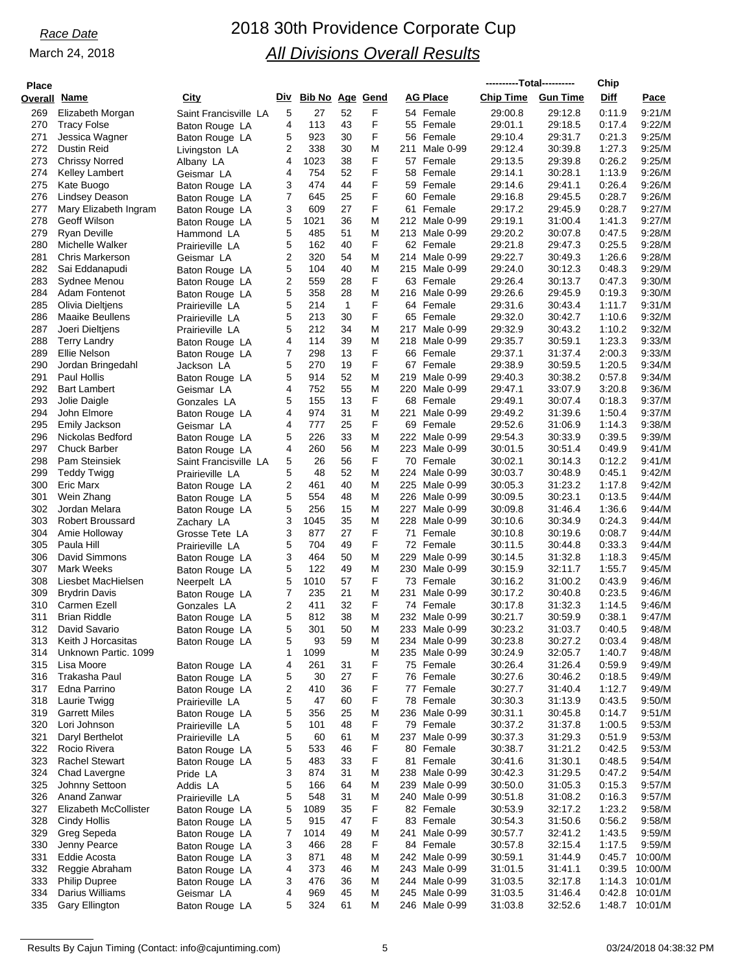# *Race Date* 2018 30th Providence Corporate Cup *All Divisions Overall Results*

| <b>Place</b> |                                            |                                    |        |                        |                    |        |           |                                | ----------Total---------- |                    | Chip             |                    |
|--------------|--------------------------------------------|------------------------------------|--------|------------------------|--------------------|--------|-----------|--------------------------------|---------------------------|--------------------|------------------|--------------------|
| Overall      | <u>Name</u>                                | City                               | Div    | <b>Bib No Age Gend</b> |                    |        |           | <b>AG Place</b>                | <b>Chip Time</b>          | <b>Gun Time</b>    | Diff             | Pace               |
| 269          | Elizabeth Morgan                           | Saint Francisville LA              | 5      | 27                     | 52                 | F      |           | 54 Female                      | 29:00.8                   | 29:12.8            | 0:11.9           | 9:21/M             |
| 270          | <b>Tracy Folse</b>                         | Baton Rouge LA                     | 4      | 113                    | 43                 | F      |           | 55 Female                      | 29:01.1                   | 29:18.5            | 0.17.4           | 9:22/M             |
| 271          | Jessica Wagner                             | Baton Rouge LA                     | 5      | 923                    | 30                 | F      |           | 56 Female                      | 29:10.4                   | 29:31.7            | 0:21.3           | 9:25/M             |
| 272<br>273   | Dustin Reid<br><b>Chrissy Norred</b>       | Livingston LA                      | 2<br>4 | 338<br>1023            | 30<br>38           | M<br>F | 211<br>57 | Male 0-99<br>Female            | 29:12.4<br>29:13.5        | 30:39.8<br>29:39.8 | 1:27.3<br>0:26.2 | 9:25/M<br>9:25/M   |
| 274          | <b>Kelley Lambert</b>                      | Albany LA<br>Geismar LA            | 4      | 754                    | 52                 | F      |           | 58 Female                      | 29:14.1                   | 30:28.1            | 1:13.9           | 9:26/M             |
| 275          | Kate Buogo                                 | Baton Rouge LA                     | 3      | 474                    | 44                 | F      |           | 59 Female                      | 29:14.6                   | 29:41.1            | 0:26.4           | 9:26/M             |
| 276          | Lindsey Deason                             | Baton Rouge LA                     | 7      | 645                    | 25                 | F      | 60        | Female                         | 29:16.8                   | 29:45.5            | 0:28.7           | 9:26/M             |
| 277          | Mary Elizabeth Ingram                      | Baton Rouge LA                     | 3      | 609                    | 27                 | F      |           | 61 Female                      | 29:17.2                   | 29:45.9            | 0:28.7           | 9:27/M             |
| 278          | Geoff Wilson                               | Baton Rouge LA                     | 5      | 1021                   | 36                 | M      |           | 212 Male 0-99                  | 29:19.1                   | 31:00.4            | 1:41.3           | 9:27/M             |
| 279<br>280   | Ryan Deville<br>Michelle Walker            | Hammond LA<br>Prairieville LA      | 5<br>5 | 485<br>162             | 51<br>40           | M<br>F |           | 213 Male 0-99<br>62 Female     | 29:20.2<br>29:21.8        | 30:07.8<br>29:47.3 | 0:47.5<br>0:25.5 | 9:28/M<br>9:28/M   |
| 281          | <b>Chris Markerson</b>                     | Geismar LA                         | 2      | 320                    | 54                 | M      |           | 214 Male 0-99                  | 29:22.7                   | 30:49.3            | 1:26.6           | 9:28/M             |
| 282          | Sai Eddanapudi                             | Baton Rouge LA                     | 5      | 104                    | 40                 | M      |           | 215 Male 0-99                  | 29:24.0                   | 30:12.3            | 0:48.3           | 9:29/M             |
| 283          | Sydnee Menou                               | Baton Rouge LA                     | 2      | 559                    | 28                 | F      |           | 63 Female                      | 29:26.4                   | 30:13.7            | 0:47.3           | 9:30/M             |
| 284          | Adam Fontenot                              | Baton Rouge LA                     | 5      | 358                    | 28                 | M      |           | 216 Male 0-99                  | 29:26.6                   | 29:45.9            | 0:19.3           | 9:30/M             |
| 285<br>286   | Olivia Dieltjens<br><b>Maaike Beullens</b> | Prairieville LA                    | 5<br>5 | 214<br>213             | $\mathbf{1}$<br>30 | F<br>F |           | 64 Female<br>65 Female         | 29:31.6<br>29:32.0        | 30:43.4<br>30:42.7 | 1:11.7<br>1:10.6 | 9.31/M<br>9:32/M   |
| 287          | Joeri Dieltjens                            | Prairieville LA<br>Prairieville LA | 5      | 212                    | 34                 | M      | 217       | Male 0-99                      | 29:32.9                   | 30:43.2            | 1:10.2           | 9:32/M             |
| 288          | <b>Terry Landry</b>                        | Baton Rouge LA                     | 4      | 114                    | 39                 | M      |           | 218 Male 0-99                  | 29:35.7                   | 30:59.1            | 1:23.3           | 9:33/M             |
| 289          | <b>Ellie Nelson</b>                        | Baton Rouge LA                     | 7      | 298                    | 13                 | F      |           | 66 Female                      | 29:37.1                   | 31:37.4            | 2:00.3           | 9:33/M             |
| 290          | Jordan Bringedahl                          | Jackson LA                         | 5      | 270                    | 19                 | F      |           | 67 Female                      | 29:38.9                   | 30:59.5            | 1:20.5           | 9:34/M             |
| 291          | Paul Hollis                                | Baton Rouge LA                     | 5      | 914                    | 52                 | M      | 219       | Male 0-99                      | 29:40.3                   | 30:38.2            | 0:57.8           | 9:34/M             |
| 292<br>293   | <b>Bart Lambert</b><br>Jolie Daigle        | Geismar LA                         | 4<br>5 | 752<br>155             | 55<br>13           | M<br>F | 220       | Male 0-99<br>68 Female         | 29:47.1<br>29:49.1        | 33:07.9<br>30:07.4 | 3:20.8<br>0:18.3 | 9:36/M<br>9:37/M   |
| 294          | John Elmore                                | Gonzales LA<br>Baton Rouge LA      | 4      | 974                    | 31                 | M      | 221       | Male 0-99                      | 29:49.2                   | 31:39.6            | 1:50.4           | 9:37/M             |
| 295          | Emily Jackson                              | Geismar LA                         | 4      | 777                    | 25                 | F      |           | 69 Female                      | 29:52.6                   | 31:06.9            | 1:14.3           | 9:38/M             |
| 296          | Nickolas Bedford                           | Baton Rouge LA                     | 5      | 226                    | 33                 | M      |           | 222 Male 0-99                  | 29:54.3                   | 30:33.9            | 0:39.5           | 9:39/M             |
| 297          | <b>Chuck Barber</b>                        | Baton Rouge LA                     | 4      | 260                    | 56                 | M      | 223       | Male 0-99                      | 30:01.5                   | 30:51.4            | 0:49.9           | 9:41/M             |
| 298          | Pam Steinsiek                              | Saint Francisville LA              | 5      | 26                     | 56                 | F      |           | 70 Female                      | 30:02.1                   | 30:14.3            | 0:12.2           | 9:41/M             |
| 299<br>300   | <b>Teddy Twigg</b><br>Eric Marx            | Prairieville LA                    | 5<br>2 | 48<br>461              | 52<br>40           | M<br>M |           | 224 Male 0-99<br>225 Male 0-99 | 30:03.7<br>30:05.3        | 30:48.9<br>31:23.2 | 0:45.1<br>1:17.8 | 9:42/M<br>9:42/M   |
| 301          | Wein Zhang                                 | Baton Rouge LA<br>Baton Rouge LA   | 5      | 554                    | 48                 | M      |           | 226 Male 0-99                  | 30:09.5                   | 30:23.1            | 0:13.5           | 9:44/M             |
| 302          | Jordan Melara                              | Baton Rouge LA                     | 5      | 256                    | 15                 | M      | 227       | Male 0-99                      | 30:09.8                   | 31:46.4            | 1:36.6           | 9:44/M             |
| 303          | <b>Robert Broussard</b>                    | Zachary LA                         | 3      | 1045                   | 35                 | M      |           | 228 Male 0-99                  | 30:10.6                   | 30:34.9            | 0:24.3           | 9:44/M             |
| 304          | Amie Holloway                              | Grosse Tete LA                     | 3      | 877                    | 27                 | F      |           | 71 Female                      | 30:10.8                   | 30:19.6            | 0:08.7           | 9:44/M             |
| 305          | Paula Hill                                 | Prairieville LA                    | 5      | 704                    | 49                 | F      |           | 72 Female                      | 30:11.5                   | 30:44.8            | 0.33.3           | 9:44/M             |
| 306<br>307   | David Simmons<br>Mark Weeks                | Baton Rouge LA                     | 3<br>5 | 464<br>122             | 50<br>49           | M<br>M | 229       | Male 0-99<br>230 Male 0-99     | 30:14.5<br>30:15.9        | 31:32.8<br>32:11.7 | 1:18.3<br>1:55.7 | 9:45/M<br>9:45/M   |
| 308          | Liesbet MacHielsen                         | Baton Rouge LA<br>Neerpelt LA      | 5      | 1010                   | 57                 | F      |           | 73 Female                      | 30:16.2                   | 31:00.2            | 0:43.9           | 9:46/M             |
| 309          | <b>Brydrin Davis</b>                       | Baton Rouge LA                     | 7      | 235                    | 21                 | M      |           | 231 Male 0-99                  | 30:17.2                   | 30:40.8            | 0.23.5           | 9:46/M             |
| 310          | Carmen Ezell                               | Gonzales LA                        | 2      | 411                    | 32                 | F      |           | 74 Female                      | 30:17.8                   | 31:32.3            | 1:14.5           | 9:46/M             |
| 311          | <b>Brian Riddle</b>                        | Baton Rouge LA                     | 5      | 812                    | 38                 | M      |           | 232 Male 0-99                  | 30:21.7                   | 30:59.9            | 0:38.1           | 9:47/M             |
| 312          | David Savario                              | Baton Rouge LA                     | 5      | 301                    | 50                 | M      |           | 233 Male 0-99                  | 30:23.2                   | 31:03.7            | 0:40.5           | 9:48/M             |
| 313<br>314   | Keith J Horcasitas<br>Unknown Partic. 1099 | Baton Rouge LA                     | 5<br>1 | 93<br>1099             | 59                 | M<br>M |           | 234 Male 0-99<br>235 Male 0-99 | 30:23.8<br>30:24.9        | 30:27.2<br>32:05.7 | 0:03.4<br>1:40.7 | 9:48/M<br>9:48/M   |
| 315          | Lisa Moore                                 | Baton Rouge LA                     | 4      | 261                    | 31                 | F      |           | 75 Female                      | 30:26.4                   | 31:26.4            | 0:59.9           | 9:49/M             |
| 316          | Trakasha Paul                              | Baton Rouge LA                     | 5      | 30                     | 27                 | F      |           | 76 Female                      | 30:27.6                   | 30:46.2            | 0:18.5           | 9:49/M             |
| 317          | Edna Parrino                               | Baton Rouge LA                     | 2      | 410                    | 36                 | F      |           | 77 Female                      | 30:27.7                   | 31:40.4            | 1:12.7           | 9:49/M             |
| 318          | Laurie Twigg                               | Prairieville LA                    | 5      | 47                     | 60                 | F      |           | 78 Female                      | 30:30.3                   | 31:13.9            | 0:43.5           | 9:50/M             |
| 319<br>320   | <b>Garrett Miles</b><br>Lori Johnson       | Baton Rouge LA                     | 5<br>5 | 356                    | 25<br>48           | M<br>F |           | 236 Male 0-99<br>79 Female     | 30:31.1<br>30:37.2        | 30:45.8<br>31:37.8 | 0.14.7<br>1:00.5 | 9:51/M<br>9:53/M   |
| 321          | Daryl Berthelot                            | Prairieville LA<br>Prairieville LA | 5      | 101<br>60              | 61                 | M      |           | 237 Male 0-99                  | 30:37.3                   | 31:29.3            | 0:51.9           | 9:53/M             |
| 322          | Rocio Rivera                               | Baton Rouge LA                     | 5      | 533                    | 46                 | F      |           | 80 Female                      | 30:38.7                   | 31:21.2            | 0:42.5           | 9.53/M             |
| 323          | <b>Rachel Stewart</b>                      | Baton Rouge LA                     | 5      | 483                    | 33                 | F      |           | 81 Female                      | 30:41.6                   | 31:30.1            | 0:48.5           | 9:54/M             |
| 324          | Chad Lavergne                              | Pride LA                           | 3      | 874                    | 31                 | M      |           | 238 Male 0-99                  | 30:42.3                   | 31:29.5            | 0:47.2           | 9:54/M             |
| 325          | Johnny Settoon                             | Addis LA                           | 5      | 166                    | 64                 | M      |           | 239 Male 0-99                  | 30:50.0                   | 31:05.3            | 0:15.3           | 9:57/M             |
| 326          | Anand Zanwar                               | Prairieville LA                    | 5      | 548                    | 31                 | M      |           | 240 Male 0-99                  | 30:51.8                   | 31:08.2            | 0:16.3           | 9:57/M             |
| 327<br>328   | Elizabeth McCollister<br>Cindy Hollis      | Baton Rouge LA<br>Baton Rouge LA   | 5<br>5 | 1089<br>915            | 35<br>47           | F<br>F |           | 82 Female<br>83 Female         | 30:53.9<br>30:54.3        | 32:17.2<br>31:50.6 | 1:23.2<br>0:56.2 | 9:58/M<br>9:58/M   |
| 329          | Greg Sepeda                                | Baton Rouge LA                     | 7      | 1014                   | 49                 | M      | 241       | Male 0-99                      | 30:57.7                   | 32:41.2            | 1:43.5           | 9:59/M             |
| 330          | Jenny Pearce                               | Baton Rouge LA                     | 3      | 466                    | 28                 | F      |           | 84 Female                      | 30:57.8                   | 32:15.4            | 1:17.5           | 9:59/M             |
| 331          | Eddie Acosta                               | Baton Rouge LA                     | 3      | 871                    | 48                 | M      |           | 242 Male 0-99                  | 30:59.1                   | 31:44.9            | 0.45.7           | 10:00/M            |
| 332          | Reggie Abraham                             | Baton Rouge LA                     | 4      | 373                    | 46                 | M      |           | 243 Male 0-99                  | 31:01.5                   | 31:41.1            | 0:39.5           | 10:00/M            |
| 333<br>334   | <b>Philip Dupree</b><br>Darius Williams    | Baton Rouge LA                     | 3<br>4 | 476<br>969             | 36<br>45           | M<br>M |           | 244 Male 0-99<br>245 Male 0-99 | 31:03.5                   | 32:17.8            | 1:14.3<br>0.42.8 | 10:01/M<br>10:01/M |
| 335          | Gary Ellington                             | Geismar LA<br>Baton Rouge LA       | 5      | 324                    | 61                 | M      |           | 246 Male 0-99                  | 31:03.5<br>31:03.8        | 31:46.4<br>32:52.6 | 1:48.7           | 10:01/M            |
|              |                                            |                                    |        |                        |                    |        |           |                                |                           |                    |                  |                    |

Results By Cajun Timing (Contact: info@cajuntiming.com) 6 03/24/2018 04:38:32 PM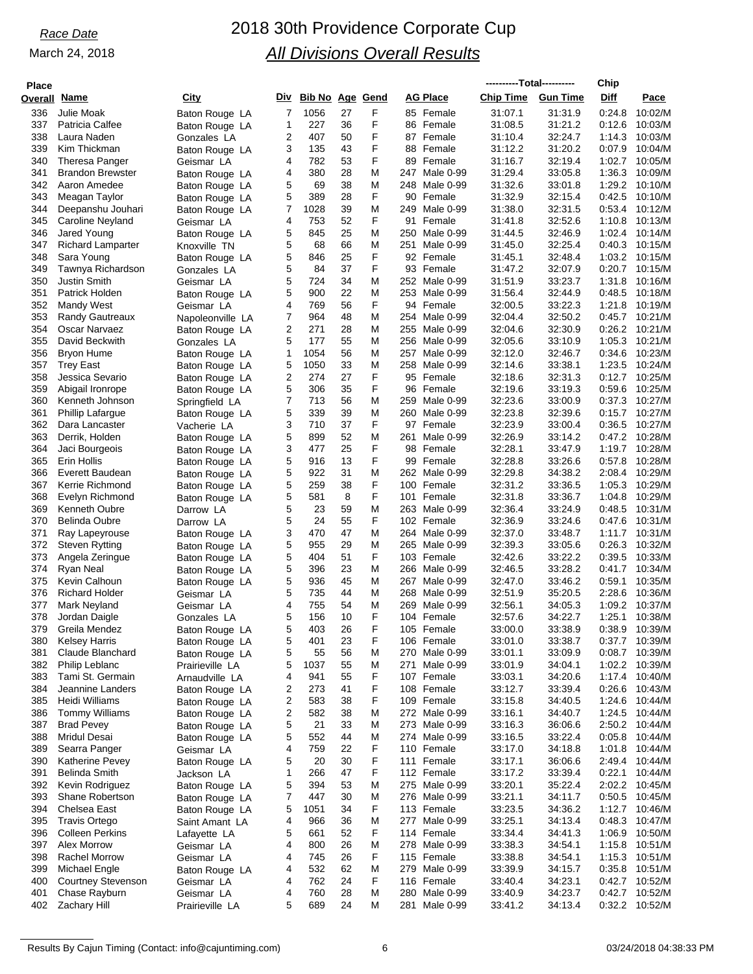| <b>Place</b> |                                                  |                                  |        |                        |          |        |                                   | ----------Total---------- |                    | Chip             |                    |
|--------------|--------------------------------------------------|----------------------------------|--------|------------------------|----------|--------|-----------------------------------|---------------------------|--------------------|------------------|--------------------|
| Overall      | <u>Name</u>                                      | City                             | Div    | <b>Bib No Age Gend</b> |          |        | <b>AG Place</b>                   | <b>Chip Time</b>          | <b>Gun Time</b>    | Diff             | Pace               |
| 336          | Julie Moak                                       | Baton Rouge LA                   | 7      | 1056                   | 27       | F      | 85 Female                         | 31:07.1                   | 31:31.9            | 0:24.8           | 10:02/M            |
| 337          | Patricia Calfee                                  | Baton Rouge LA                   | 1      | 227                    | 36       | F      | 86 Female                         | 31:08.5                   | 31:21.2            | 0:12.6           | 10:03/M            |
| 338          | Laura Naden                                      | Gonzales LA                      | 2      | 407                    | 50       | F      | 87 Female                         | 31:10.4                   | 32:24.7            | 1:14.3           | 10:03/M            |
| 339          | Kim Thickman                                     | Baton Rouge LA                   | 3      | 135                    | 43       | F      | 88 Female                         | 31:12.2                   | 31:20.2            | 0:07.9           | 10:04/M            |
| 340<br>341   | <b>Theresa Panger</b><br><b>Brandon Brewster</b> | Geismar LA                       | 4<br>4 | 782<br>380             | 53<br>28 | F<br>M | 89<br>Female<br>247<br>Male 0-99  | 31:16.7<br>31:29.4        | 32:19.4<br>33:05.8 | 1:02.7<br>1:36.3 | 10:05/M<br>10:09/M |
| 342          | Aaron Amedee                                     | Baton Rouge LA<br>Baton Rouge LA | 5      | 69                     | 38       | M      | 248<br>Male 0-99                  | 31:32.6                   | 33:01.8            | 1:29.2           | 10:10/M            |
| 343          | Meagan Taylor                                    | Baton Rouge LA                   | 5      | 389                    | 28       | F      | 90 Female                         | 31:32.9                   | 32:15.4            | 0:42.5           | 10:10/M            |
| 344          | Deepanshu Jouhari                                | Baton Rouge LA                   | 7      | 1028                   | 39       | M      | 249<br>Male 0-99                  | 31:38.0                   | 32:31.5            | 0.53.4           | 10:12/M            |
| 345          | Caroline Neyland                                 | Geismar LA                       | 4      | 753                    | 52       | F      | 91<br>Female                      | 31:41.8                   | 32:52.6            | 1:10.8           | 10:13/M            |
| 346          | Jared Young                                      | Baton Rouge LA                   | 5      | 845                    | 25       | M      | 250<br>Male 0-99                  | 31:44.5                   | 32:46.9            | 1:02.4           | 10:14/M            |
| 347          | <b>Richard Lamparter</b>                         | Knoxville TN                     | 5      | 68                     | 66       | M      | 251<br>Male 0-99                  | 31:45.0                   | 32:25.4            | 0:40.3           | 10:15/M            |
| 348          | Sara Young                                       | Baton Rouge LA                   | 5      | 846                    | 25       | F      | 92 Female                         | 31:45.1                   | 32:48.4            | 1:03.2           | 10:15/M            |
| 349<br>350   | Tawnya Richardson<br><b>Justin Smith</b>         | Gonzales LA                      | 5<br>5 | 84<br>724              | 37<br>34 | F<br>M | 93 Female<br>252 Male 0-99        | 31:47.2<br>31:51.9        | 32:07.9<br>33:23.7 | 0:20.7<br>1:31.8 | 10:15/M<br>10:16/M |
| 351          | Patrick Holden                                   | Geismar LA<br>Baton Rouge LA     | 5      | 900                    | 22       | M      | 253<br>Male 0-99                  | 31:56.4                   | 32:44.9            | 0:48.5           | 10:18/M            |
| 352          | Mandy West                                       | Geismar LA                       | 4      | 769                    | 56       | F      | 94 Female                         | 32:00.5                   | 33:22.3            | 1:21.8           | 10:19/M            |
| 353          | <b>Randy Gautreaux</b>                           | Napoleonville LA                 | 7      | 964                    | 48       | M      | 254 Male 0-99                     | 32:04.4                   | 32:50.2            | 0:45.7           | 10:21/M            |
| 354          | Oscar Narvaez                                    | Baton Rouge LA                   | 2      | 271                    | 28       | M      | 255<br>Male 0-99                  | 32:04.6                   | 32:30.9            | 0:26.2           | 10:21/M            |
| 355          | David Beckwith                                   | Gonzales LA                      | 5      | 177                    | 55       | M      | 256<br>Male 0-99                  | 32:05.6                   | 33:10.9            | 1:05.3           | 10:21/M            |
| 356          | Bryon Hume                                       | Baton Rouge LA                   | 1      | 1054                   | 56       | M      | 257<br>Male 0-99                  | 32:12.0                   | 32:46.7            | 0:34.6           | 10:23/M            |
| 357          | <b>Trey East</b>                                 | Baton Rouge LA                   | 5      | 1050                   | 33       | M      | 258 Male 0-99                     | 32:14.6                   | 33:38.1            | 1:23.5           | 10:24/M            |
| 358<br>359   | Jessica Sevario<br>Abigail Ironrope              | Baton Rouge LA                   | 2<br>5 | 274<br>306             | 27<br>35 | F<br>F | 95 Female<br>Female<br>96         | 32:18.6<br>32:19.6        | 32:31.3<br>33:19.3 | 0:12.7<br>0:59.6 | 10:25/M<br>10:25/M |
| 360          | Kenneth Johnson                                  | Baton Rouge LA<br>Springfield LA | 7      | 713                    | 56       | M      | 259<br>Male 0-99                  | 32:23.6                   | 33:00.9            | 0:37.3           | 10:27/M            |
| 361          | <b>Phillip Lafarque</b>                          | Baton Rouge LA                   | 5      | 339                    | 39       | M      | 260 Male 0-99                     | 32:23.8                   | 32:39.6            | 0:15.7           | 10:27/M            |
| 362          | Dara Lancaster                                   | Vacherie LA                      | 3      | 710                    | 37       | F      | 97 Female                         | 32:23.9                   | 33:00.4            | 0:36.5           | 10:27/M            |
| 363          | Derrik, Holden                                   | Baton Rouge LA                   | 5      | 899                    | 52       | M      | 261<br>Male 0-99                  | 32:26.9                   | 33:14.2            | 0:47.2           | 10:28/M            |
| 364          | Jaci Bourgeois                                   | Baton Rouge LA                   | 3      | 477                    | 25       | F      | 98<br>Female                      | 32:28.1                   | 33:47.9            | 1:19.7           | 10:28/M            |
| 365          | Erin Hollis                                      | Baton Rouge LA                   | 5      | 916                    | 13       | F      | 99 Female                         | 32:28.8                   | 33:26.6            | 0.57.8           | 10:28/M            |
| 366          | Everett Baudean                                  | Baton Rouge LA                   | 5<br>5 | 922                    | 31       | M<br>F | 262 Male 0-99                     | 32:29.8                   | 34:38.2            | 2:08.4           | 10:29/M            |
| 367<br>368   | Kerrie Richmond<br>Evelyn Richmond               | Baton Rouge LA<br>Baton Rouge LA | 5      | 259<br>581             | 38<br>8  | F      | 100<br>Female<br>101<br>Female    | 32:31.2<br>32:31.8        | 33:36.5<br>33:36.7 | 1:05.3<br>1:04.8 | 10:29/M<br>10:29/M |
| 369          | Kenneth Oubre                                    | Darrow LA                        | 5      | 23                     | 59       | M      | 263<br>Male 0-99                  | 32:36.4                   | 33:24.9            | 0:48.5           | 10:31/M            |
| 370          | <b>Belinda Oubre</b>                             | Darrow LA                        | 5      | 24                     | 55       | F      | 102 Female                        | 32:36.9                   | 33.24.6            | 0:47.6           | 10:31/M            |
| 371          | Ray Lapeyrouse                                   | Baton Rouge LA                   | 3      | 470                    | 47       | M      | 264 Male 0-99                     | 32:37.0                   | 33:48.7            | 1:11.7           | 10:31/M            |
| 372          | Steven Rytting                                   | Baton Rouge LA                   | 5      | 955                    | 29       | M      | 265<br>Male 0-99                  | 32:39.3                   | 33:05.6            | 0:26.3           | 10:32/M            |
| 373          | Angela Zeringue                                  | Baton Rouge LA                   | 5      | 404                    | 51       | F      | 103 Female                        | 32:42.6                   | 33:22.2            | 0:39.5           | 10:33/M            |
| 374          | Ryan Neal                                        | Baton Rouge LA                   | 5      | 396                    | 23       | M      | 266 Male 0-99                     | 32:46.5                   | 33:28.2            | 0:41.7           | 10:34/M            |
| 375<br>376   | Kevin Calhoun<br><b>Richard Holder</b>           | Baton Rouge LA                   | 5<br>5 | 936<br>735             | 45<br>44 | M<br>M | 267<br>Male 0-99<br>268 Male 0-99 | 32:47.0<br>32:51.9        | 33:46.2<br>35:20.5 | 0:59.1<br>2:28.6 | 10:35/M<br>10:36/M |
| 377          | Mark Neyland                                     | Geismar LA<br>Geismar LA         | 4      | 755                    | 54       | M      | 269<br>Male 0-99                  | 32:56.1                   | 34:05.3            | 1:09.2           | 10:37/M            |
| 378          | Jordan Daigle                                    | Gonzales LA                      | 5      | 156                    | 10       | F      | 104 Female                        | 32:57.6                   | 34:22.7            | 1:25.1           | 10:38/M            |
| 379          | Greila Mendez                                    | Baton Rouge LA                   | 5      | 403                    | 26       | F      | 105 Female                        | 33:00.0                   | 33:38.9            | 0.38.9           | 10:39/M            |
| 380          | <b>Kelsey Harris</b>                             | Baton Rouge LA                   | 5      | 401                    | 23       | F      | 106 Female                        | 33:01.0                   | 33:38.7            | 0:37.7           | 10:39/M            |
| 381          | Claude Blanchard                                 | Baton Rouge LA                   | 5      | 55                     | 56       | M      | 270 Male 0-99                     | 33:01.1                   | 33:09.9            | 0:08.7           | 10:39/M            |
| 382          | Philip Leblanc                                   | Prairieville LA                  | 5      | 1037                   | 55       | M      | 271<br>Male 0-99                  | 33:01.9                   | 34:04.1            | 1:02.2           | 10:39/M            |
| 383          | Tami St. Germain                                 | Arnaudville LA                   | 4      | 941                    | 55       | F      | 107 Female                        | 33:03.1                   | 34:20.6            | 1:17.4           | 10:40/M            |
| 384<br>385   | Jeannine Landers<br>Heidi Williams               | Baton Rouge LA                   | 2<br>2 | 273<br>583             | 41<br>38 | F<br>F | 108 Female<br>109 Female          | 33:12.7<br>33:15.8        | 33.39.4<br>34:40.5 | 0.26.6<br>1:24.6 | 10:43/M<br>10:44/M |
| 386          | <b>Tommy Williams</b>                            | Baton Rouge LA<br>Baton Rouge LA | 2      | 582                    | 38       | M      | 272 Male 0-99                     | 33:16.1                   | 34:40.7            | 1:24.5           | 10:44/M            |
| 387          | <b>Brad Pevey</b>                                | Baton Rouge LA                   | 5      | 21                     | 33       | M      | 273 Male 0-99                     | 33:16.3                   | 36:06.6            |                  | 2:50.2 10:44/M     |
| 388          | <b>Mridul Desai</b>                              | Baton Rouge LA                   | 5      | 552                    | 44       | M      | 274 Male 0-99                     | 33:16.5                   | 33.22.4            | 0:05.8           | 10:44/M            |
| 389          | Searra Panger                                    | Geismar LA                       | 4      | 759                    | 22       | F      | 110 Female                        | 33:17.0                   | 34:18.8            | 1:01.8           | 10:44/M            |
| 390          | Katherine Pevey                                  | Baton Rouge LA                   | 5      | 20                     | 30       | F      | 111 Female                        | 33:17.1                   | 36:06.6            | 2:49.4           | 10:44/M            |
| 391          | <b>Belinda Smith</b>                             | Jackson LA                       | 1      | 266                    | 47       | F      | 112 Female                        | 33:17.2                   | 33.39.4            | 0:22.1           | 10:44/M            |
| 392          | Kevin Rodriguez                                  | Baton Rouge LA                   | 5      | 394                    | 53       | M      | 275 Male 0-99                     | 33:20.1                   | 35:22.4            |                  | 2:02.2 10:45/M     |
| 393<br>394   | Shane Robertson<br>Chelsea East                  | Baton Rouge LA                   | 7<br>5 | 447<br>1051            | 30<br>34 | M<br>F | 276 Male 0-99<br>113 Female       | 33:21.1<br>33.23.5        | 34:11.7<br>34:36.2 | 0:50.5<br>1:12.7 | 10:45/M<br>10:46/M |
| 395          | <b>Travis Ortego</b>                             | Baton Rouge LA<br>Saint Amant LA | 4      | 966                    | 36       | M      | 277 Male 0-99                     | 33:25.1                   | 34:13.4            | 0:48.3           | 10:47/M            |
| 396          | <b>Colleen Perkins</b>                           | Lafayette LA                     | 5      | 661                    | 52       | F      | 114 Female                        | 33.34.4                   | 34:41.3            | 1:06.9           | 10:50/M            |
| 397          | Alex Morrow                                      | Geismar LA                       | 4      | 800                    | 26       | M      | 278 Male 0-99                     | 33:38.3                   | 34:54.1            | 1:15.8           | 10:51/M            |
| 398          | <b>Rachel Morrow</b>                             | Geismar LA                       | 4      | 745                    | 26       | F      | 115 Female                        | 33:38.8                   | 34:54.1            | 1:15.3           | 10:51/M            |
| 399          | Michael Engle                                    | Baton Rouge LA                   | 4      | 532                    | 62       | M      | 279 Male 0-99                     | 33.39.9                   | 34:15.7            | 0:35.8           | 10:51/M            |
| 400          | <b>Courtney Stevenson</b>                        | Geismar LA                       | 4      | 762                    | 24       | F      | 116 Female                        | 33.40.4                   | 34:23.1            |                  | 0:42.7 10:52/M     |
| 401          | Chase Rayburn                                    | Geismar LA                       | 4<br>5 | 760<br>689             | 28<br>24 | M<br>M | 280 Male 0-99                     | 33:40.9                   | 34.23.7<br>34:13.4 | 0:42.7<br>0:32.2 | 10:52/M<br>10:52/M |
| 402          | Zachary Hill                                     | Prairieville LA                  |        |                        |          |        | 281<br>Male 0-99                  | 33:41.2                   |                    |                  |                    |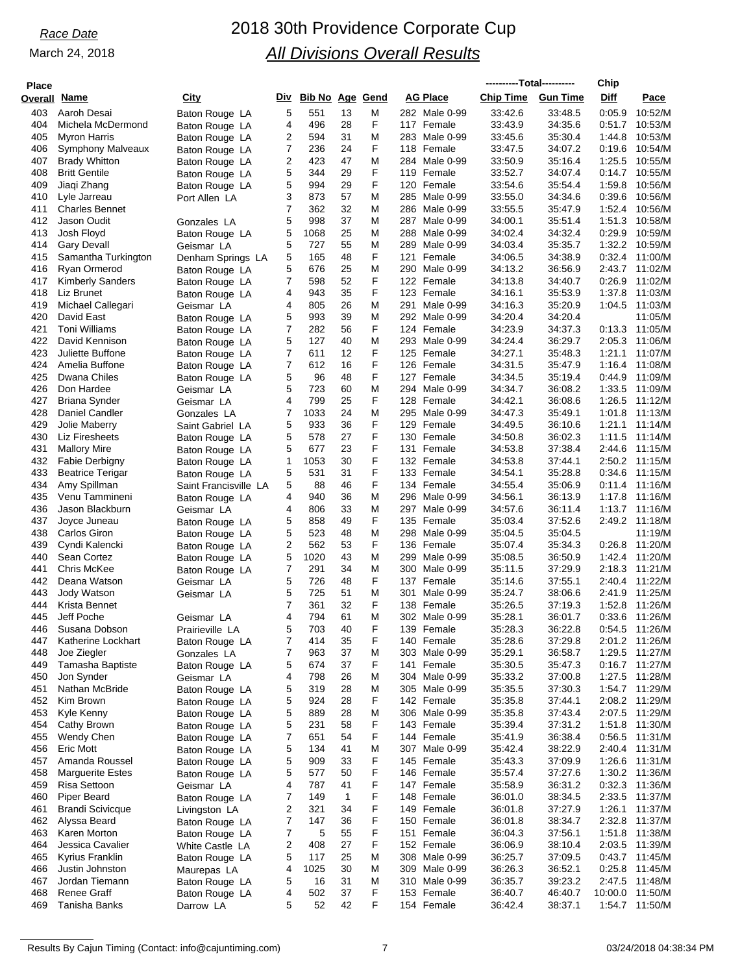## *Race Date* 2018 30th Providence Corporate Cup *All Divisions Overall Results*

| <b>Place</b> |                                 |                                         |        |                     |          |        |                          | ----------Total---------- |                    | Chip             |                    |
|--------------|---------------------------------|-----------------------------------------|--------|---------------------|----------|--------|--------------------------|---------------------------|--------------------|------------------|--------------------|
| Overall Name |                                 | <u>City</u>                             |        | Div Bib No Age Gend |          |        | <b>AG Place</b>          | <b>Chip Time</b>          | <b>Gun Time</b>    | Diff             | Pace               |
| 403          | Aaroh Desai                     | Baton Rouge LA                          | 5      | 551                 | 13       | M      | 282 Male 0-99            | 33:42.6                   | 33:48.5            | 0:05.9           | 10:52/M            |
| 404          | Michela McDermond               | Baton Rouge LA                          | 4      | 496                 | 28       | F      | 117 Female               | 33:43.9                   | 34:35.6            | 0:51.7           | 10:53/M            |
| 405          | <b>Myron Harris</b>             | Baton Rouge LA                          | 2      | 594                 | 31       | M      | 283 Male 0-99            | 33:45.6                   | 35:30.4            | 1:44.8           | 10:53/M            |
| 406          | <b>Symphony Malveaux</b>        | Baton Rouge LA                          | 7      | 236                 | 24       | F      | 118 Female               | 33:47.5                   | 34:07.2            | 0:19.6           | 10:54/M            |
| 407          | <b>Brady Whitton</b>            | Baton Rouge LA                          | 2      | 423                 | 47       | M      | 284 Male 0-99            | 33:50.9                   | 35:16.4            | 1:25.5           | 10:55/M            |
| 408          | <b>Britt Gentile</b>            | Baton Rouge LA                          | 5      | 344                 | 29       | F      | 119 Female               | 33:52.7                   | 34:07.4            | 0:14.7           | 10:55/M            |
| 409          | Jiaqi Zhang                     | Baton Rouge LA                          | 5      | 994                 | 29       | F      | 120 Female               | 33.54.6                   | 35:54.4            | 1:59.8           | 10:56/M            |
| 410          | Lyle Jarreau                    | Port Allen LA                           | 3      | 873                 | 57       | M      | 285 Male 0-99            | 33:55.0                   | 34:34.6            | 0:39.6           | 10:56/M            |
| 411          | <b>Charles Bennet</b>           |                                         | 7      | 362                 | 32       | M      | 286 Male 0-99            | 33:55.5                   | 35:47.9            | 1:52.4           | 10:56/M            |
| 412          | Jason Oudit                     | Gonzales LA                             | 5      | 998                 | 37       | M      | 287 Male 0-99            | 34:00.1                   | 35:51.4            | 1:51.3           | 10:58/M            |
| 413          | Josh Floyd                      | Baton Rouge LA                          | 5      | 1068                | 25       | M      | 288 Male 0-99            | 34:02.4                   | 34.32.4            | 0:29.9           | 10:59/M            |
| 414          | <b>Gary Devall</b>              | Geismar LA                              | 5      | 727                 | 55       | M      | 289 Male 0-99            | 34:03.4                   | 35:35.7            | 1:32.2           | 10:59/M            |
| 415          | Samantha Turkington             | Denham Springs LA                       | 5      | 165                 | 48       | F      | 121 Female               | 34:06.5                   | 34:38.9            | 0:32.4           | 11:00/M            |
| 416          | Ryan Ormerod                    | Baton Rouge LA                          | 5      | 676                 | 25       | M      | 290 Male 0-99            | 34:13.2                   | 36:56.9            | 2:43.7           | 11:02/M            |
| 417          | <b>Kimberly Sanders</b>         | Baton Rouge LA                          | 7      | 598                 | 52       | F      | 122 Female               | 34:13.8                   | 34:40.7            | 0.26.9           | 11:02/M            |
| 418          | Liz Brunet                      | Baton Rouge LA                          | 4      | 943                 | 35       | F      | 123 Female               | 34:16.1                   | 35:53.9            | 1:37.8           | 11:03/M            |
| 419          | Michael Callegari               | Geismar LA                              | 4      | 805                 | 26       | M      | 291<br>Male 0-99         | 34:16.3                   | 35:20.9            | 1:04.5           | 11:03/M            |
| 420          | David East                      | Baton Rouge LA                          | 5      | 993                 | 39       | M      | 292 Male 0-99            | 34:20.4                   | 34:20.4            |                  | 11:05/M            |
| 421          | <b>Toni Williams</b>            | Baton Rouge LA                          | 7      | 282                 | 56       | F      | 124 Female               | 34.23.9                   | 34:37.3            | 0:13.3           | 11:05/M            |
| 422          | David Kennison                  | Baton Rouge LA                          | 5      | 127                 | 40       | M      | 293 Male 0-99            | 34:24.4                   | 36:29.7            | 2:05.3           | 11:06/M            |
| 423          | Juliette Buffone                | Baton Rouge LA                          | 7      | 611                 | 12       | F      | 125 Female               | 34:27.1                   | 35:48.3            | 1:21.1           | 11:07/M            |
| 424          | Amelia Buffone                  | Baton Rouge LA                          | 7      | 612                 | 16       | F      | 126 Female               | 34:31.5                   | 35:47.9            | 1:16.4           | 11:08/M            |
| 425          | Dwana Chiles                    | Baton Rouge LA                          | 5      | 96                  | 48       | F      | 127 Female               | 34:34.5                   | 35:19.4            | 0:44.9           | 11:09/M            |
| 426          | Don Hardee                      | Geismar LA                              | 5      | 723                 | 60       | M      | 294 Male 0-99            | 34:34.7                   | 36:08.2            | 1:33.5           | 11:09/M            |
| 427          | <b>Briana Synder</b>            | Geismar LA                              | 4      | 799                 | 25       | F      | 128 Female               | 34:42.1                   | 36:08.6            | 1:26.5           | 11:12/M            |
| 428          | Daniel Candler                  | Gonzales LA                             | 7      | 1033                | 24       | M<br>F | 295 Male 0-99            | 34:47.3                   | 35:49.1            | 1:01.8           | 11:13/M            |
| 429<br>430   | Jolie Maberry<br>Liz Firesheets | Saint Gabriel LA                        | 5<br>5 | 933<br>578          | 36<br>27 | F      | 129 Female<br>130 Female | 34:49.5                   | 36:10.6<br>36:02.3 | 1:21.1<br>1:11.5 | 11:14/M<br>11:14/M |
| 431          | <b>Mallory Mire</b>             | Baton Rouge LA                          | 5      | 677                 | 23       | F      | 131 Female               | 34:50.8<br>34:53.8        | 37:38.4            | 2:44.6           | 11:15/M            |
| 432          | <b>Fabie Derbigny</b>           | Baton Rouge LA                          | 1      | 1053                | 30       | F      | 132 Female               | 34:53.8                   | 37:44.1            | 2:50.2           | 11:15/M            |
| 433          | <b>Beatrice Terigar</b>         | Baton Rouge LA                          | 5      | 531                 | 31       | F      | 133 Female               | 34:54.1                   | 35:28.8            | 0:34.6           | 11:15/M            |
| 434          | Amy Spillman                    | Baton Rouge LA<br>Saint Francisville LA | 5      | 88                  | 46       | F      | 134 Female               | 34:55.4                   | 35:06.9            | 0:11.4           | 11:16/M            |
| 435          | Venu Tammineni                  | Baton Rouge LA                          | 4      | 940                 | 36       | M      | 296 Male 0-99            | 34:56.1                   | 36:13.9            | 1:17.8           | 11:16/M            |
| 436          | Jason Blackburn                 | Geismar LA                              | 4      | 806                 | 33       | M      | 297 Male 0-99            | 34:57.6                   | 36:11.4            |                  | 1:13.7 11:16/M     |
| 437          | Joyce Juneau                    | Baton Rouge LA                          | 5      | 858                 | 49       | F      | 135 Female               | 35:03.4                   | 37.52.6            | 2:49.2           | 11:18/M            |
| 438          | Carlos Giron                    | Baton Rouge LA                          | 5      | 523                 | 48       | M      | 298 Male 0-99            | 35:04.5                   | 35:04.5            |                  | 11:19/M            |
| 439          | Cyndi Kalencki                  | Baton Rouge LA                          | 2      | 562                 | 53       | F      | 136 Female               | 35:07.4                   | 35:34.3            | 0:26.8           | 11:20/M            |
| 440          | Sean Cortez                     | Baton Rouge LA                          | 5      | 1020                | 43       | M      | 299 Male 0-99            | 35:08.5                   | 36:50.9            | 1:42.4           | 11:20/M            |
| 441          | Chris McKee                     | Baton Rouge LA                          | 7      | 291                 | 34       | M      | 300 Male 0-99            | 35:11.5                   | 37:29.9            | 2:18.3           | 11:21/M            |
| 442          | Deana Watson                    | Geismar LA                              | 5      | 726                 | 48       | F      | 137 Female               | 35:14.6                   | 37:55.1            | 2:40.4           | 11:22/M            |
| 443          | Jody Watson                     | Geismar LA                              | 5      | 725                 | 51       | M      | 301<br>Male 0-99         | 35:24.7                   | 38:06.6            | 2:41.9           | 11:25/M            |
| 444          | Krista Bennet                   |                                         | 7      | 361                 | 32       | F      | 138 Female               | 35:26.5                   | 37:19.3            | 1:52.8           | 11:26/M            |
| 445          | Jeff Poche                      | Geismar LA                              | 4      | 794                 | 61       | M      | 302 Male 0-99            | 35:28.1                   | 36:01.7            | 0:33.6           | 11:26/M            |
| 446          | Susana Dobson                   | Prairieville LA                         | 5      | 703                 | 40       | F      | 139 Female               | 35:28.3                   | 36:22.8            |                  | 0:54.5 11:26/M     |
| 447          | Katherine Lockhart              | Baton Rouge LA                          | 7      | 414                 | 35       | F      | 140 Female               | 35:28.6                   | 37:29.8            |                  | 2:01.2 11:26/M     |
| 448          | Joe Ziegler                     | Gonzales LA                             | 7      | 963                 | 37       | M      | 303 Male 0-99            | 35:29.1                   | 36:58.7            | 1:29.5           | 11:27/M            |
| 449          | Tamasha Baptiste                | Baton Rouge LA                          | 5      | 674                 | 37       | F      | 141 Female               | 35:30.5                   | 35:47.3            |                  | 0:16.7 11:27/M     |
| 450          | Jon Synder                      | Geismar LA                              | 4      | 798                 | 26       | M      | 304 Male 0-99            | 35:33.2                   | 37:00.8            | 1:27.5           | 11:28/M            |
| 451          | Nathan McBride                  | Baton Rouge LA                          | 5      | 319                 | 28       | M      | 305 Male 0-99            | 35:35.5                   | 37:30.3            |                  | 1:54.7 11:29/M     |
| 452          | Kim Brown                       | Baton Rouge LA                          | 5      | 924                 | 28       | F      | 142 Female               | 35:35.8                   | 37:44.1            |                  | 2:08.2 11:29/M     |
| 453          | Kyle Kenny                      | Baton Rouge LA                          | 5      | 889                 | 28       | M      | 306 Male 0-99            | 35:35.8                   | 37:43.4            | 2:07.5           | 11:29/M            |
| 454          | Cathy Brown                     | Baton Rouge LA                          | 5      | 231                 | 58       | F      | 143 Female               | 35:39.4                   | 37:31.2            |                  | 1:51.8 11:30/M     |
| 455          | Wendy Chen                      | Baton Rouge LA                          | 7      | 651                 | 54       | F      | 144 Female               | 35:41.9                   | 36:38.4            |                  | $0:56.5$ 11:31/M   |
| 456          | <b>Eric Mott</b>                | Baton Rouge LA                          | 5      | 134                 | 41       | M      | 307 Male 0-99            | 35:42.4                   | 38:22.9            | 2:40.4           | 11:31/M            |
| 457          | Amanda Roussel                  | Baton Rouge LA                          | 5      | 909                 | 33       | F      | 145 Female               | 35:43.3                   | 37:09.9            |                  | 1:26.6 11:31/M     |
| 458          | <b>Marguerite Estes</b>         | Baton Rouge LA                          | 5      | 577                 | 50       | F      | 146 Female               | 35:57.4                   | 37:27.6            |                  | 1:30.2 11:36/M     |
| 459          | Risa Settoon                    | Geismar LA                              | 4      | 787                 | 41       | F      | 147 Female               | 35:58.9                   | 36:31.2            | 0:32.3           | 11:36/M            |
| 460          | Piper Beard                     | Baton Rouge LA                          | 7      | 149                 | 1        | F      | 148 Female               | 36:01.0                   | 38:34.5            |                  | 2:33.5 11:37/M     |
| 461          | <b>Brandi Scivicque</b>         | Livingston LA                           | 2      | 321                 | 34       | F      | 149 Female               | 36:01.8                   | 37:27.9            | 1:26.1           | 11:37/M            |
| 462          | Alyssa Beard                    | Baton Rouge LA                          | 7      | 147                 | 36       | F      | 150 Female               | 36:01.8                   | 38:34.7            | 2:32.8           | 11:37/M            |
| 463          | Karen Morton                    | Baton Rouge LA                          | 7      | 5                   | 55       | F      | 151 Female               | 36:04.3                   | 37:56.1            | 1:51.8           | 11:38/M            |
| 464          | Jessica Cavalier                | White Castle LA                         | 2      | 408                 | 27       | F      | 152 Female               | 36:06.9                   | 38:10.4            | 2:03.5           | 11:39/M            |
| 465          | Kyrius Franklin                 | Baton Rouge LA                          | 5      | 117                 | 25       | M      | 308 Male 0-99            | 36:25.7                   | 37:09.5            |                  | 0:43.7 11:45/M     |
| 466          | Justin Johnston                 | Maurepas LA                             | 4      | 1025                | 30       | M      | 309 Male 0-99            | 36:26.3                   | 36:52.1            | 0:25.8           | 11:45/M            |
| 467          | Jordan Tiemann                  | Baton Rouge LA                          | 5      | 16                  | 31       | M<br>F | 310 Male 0-99            | 36:35.7                   | 39:23.2            | 2:47.5           | 11:48/M<br>11:50/M |
| 468<br>469   | Renee Graff<br>Tanisha Banks    | Baton Rouge LA                          | 4<br>5 | 502<br>52           | 37<br>42 | F      | 153 Female<br>154 Female | 36:40.7<br>36:42.4        | 46:40.7<br>38:37.1 | 10:00.0          | 1:54.7 11:50/M     |
|              |                                 | Darrow LA                               |        |                     |          |        |                          |                           |                    |                  |                    |

Results By Cajun Timing (Contact: info@cajuntiming.com) 7 7 03/24/2018 04:38:34 PM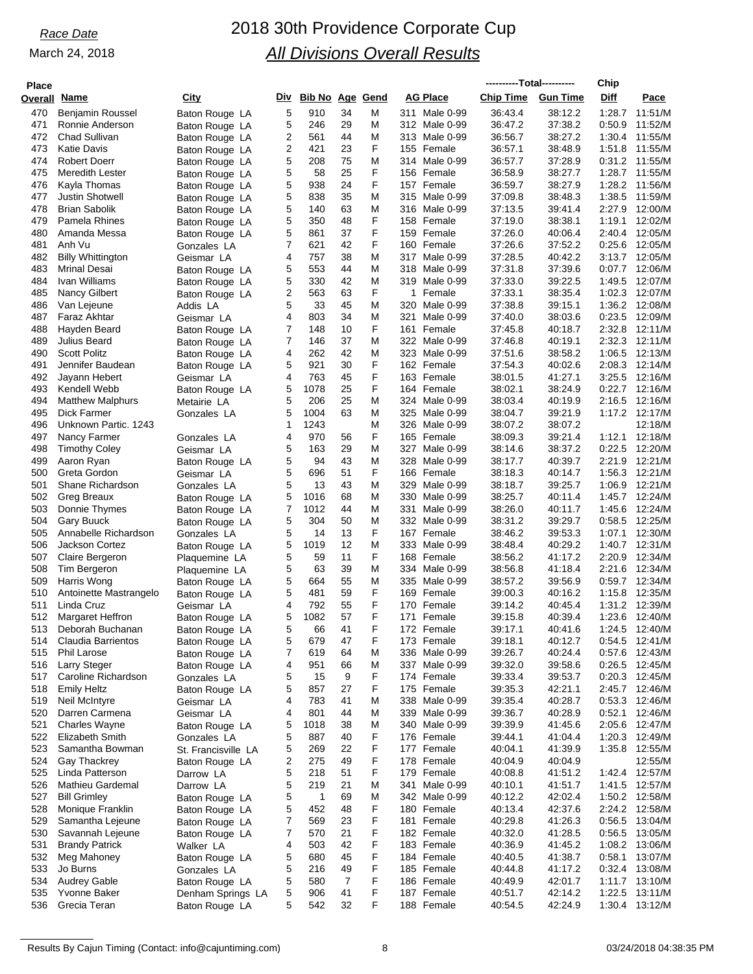| <b>Place</b> |                                                |                                  |        |                   |          |             |                                   | ----------Total---------- |                    | Chip             |                                  |
|--------------|------------------------------------------------|----------------------------------|--------|-------------------|----------|-------------|-----------------------------------|---------------------------|--------------------|------------------|----------------------------------|
| Overall      | Name                                           | City                             | Div    | <b>Bib No Age</b> |          | <b>Gend</b> | <b>AG Place</b>                   | <b>Chip Time</b>          | <b>Gun Time</b>    | Diff             | Pace                             |
| 470          | Benjamin Roussel                               | Baton Rouge LA                   | 5      | 910               | 34       | M           | 311 Male 0-99                     | 36:43.4                   | 38:12.2            | 1:28.7           | 11:51/M                          |
| 471          | Ronnie Anderson                                | Baton Rouge LA                   | 5      | 246               | 29       | M           | 312 Male 0-99                     | 36:47.2                   | 37:38.2            | 0:50.9           | 11:52/M                          |
| 472          | Chad Sullivan                                  | Baton Rouge LA                   | 2      | 561               | 44       | M           | 313 Male 0-99                     | 36:56.7                   | 38:27.2            | 1:30.4           | 11:55/M                          |
| 473          | <b>Katie Davis</b>                             | Baton Rouge LA                   | 2      | 421               | 23       | F           | 155 Female                        | 36:57.1                   | 38:48.9            | 1:51.8           | 11:55/M                          |
| 474          | <b>Robert Doerr</b>                            | Baton Rouge LA                   | 5      | 208               | 75       | M<br>F      | 314 Male 0-99                     | 36:57.7                   | 37:28.9            | 0:31.2           | 11:55/M                          |
| 475<br>476   | <b>Meredith Lester</b><br>Kayla Thomas         | Baton Rouge LA                   | 5<br>5 | 58<br>938         | 25<br>24 | F           | 156 Female<br>157 Female          | 36:58.9<br>36:59.7        | 38:27.7<br>38:27.9 | 1:28.7<br>1:28.2 | 11:55/M<br>11:56/M               |
| 477          | <b>Justin Shotwell</b>                         | Baton Rouge LA<br>Baton Rouge LA | 5      | 838               | 35       | M           | 315<br>Male 0-99                  | 37:09.8                   | 38:48.3            | 1:38.5           | 11:59/M                          |
| 478          | <b>Brian Sabolik</b>                           | Baton Rouge LA                   | 5      | 140               | 63       | M           | 316 Male 0-99                     | 37:13.5                   | 39:41.4            | 2:27.9           | 12:00/M                          |
| 479          | Pamela Rhines                                  | Baton Rouge LA                   | 5      | 350               | 48       | F           | 158 Female                        | 37:19.0                   | 38:38.1            | 1:19.1           | 12:02/M                          |
| 480          | Amanda Messa                                   | Baton Rouge LA                   | 5      | 861               | 37       | F           | 159 Female                        | 37:26.0                   | 40:06.4            | 2:40.4           | 12:05/M                          |
| 481          | Anh Vu                                         | Gonzales LA                      | 7      | 621               | 42       | F           | 160 Female                        | 37:26.6                   | 37:52.2            | 0:25.6           | 12:05/M                          |
| 482          | <b>Billy Whittington</b>                       | Geismar LA                       | 4      | 757               | 38       | M           | 317<br>Male 0-99                  | 37:28.5                   | 40:42.2            | 3:13.7           | 12:05/M                          |
| 483          | <b>Mrinal Desai</b>                            | Baton Rouge LA                   | 5      | 553               | 44<br>42 | M           | 318 Male 0-99                     | 37:31.8                   | 37:39.6            | 0:07.7           | 12:06/M                          |
| 484<br>485   | Ivan Williams<br><b>Nancy Gilbert</b>          | Baton Rouge LA                   | 5<br>2 | 330<br>563        | 63       | M<br>F      | 319 Male 0-99<br>1<br>Female      | 37:33.0<br>37:33.1        | 39:22.5<br>38:35.4 | 1:49.5<br>1:02.3 | 12:07/M<br>12:07/M               |
| 486          | Van Lejeune                                    | Baton Rouge LA<br>Addis LA       | 5      | 33                | 45       | M           | 320 Male 0-99                     | 37:38.8                   | 39:15.1            | 1:36.2           | 12:08/M                          |
| 487          | Faraz Akhtar                                   | Geismar LA                       | 4      | 803               | 34       | M           | 321<br>Male 0-99                  | 37:40.0                   | 38:03.6            | 0:23.5           | 12:09/M                          |
| 488          | Hayden Beard                                   | Baton Rouge LA                   | 7      | 148               | 10       | F           | 161<br>Female                     | 37:45.8                   | 40:18.7            | 2:32.8           | 12:11/M                          |
| 489          | <b>Julius Beard</b>                            | Baton Rouge LA                   | 7      | 146               | 37       | M           | 322 Male 0-99                     | 37:46.8                   | 40:19.1            | 2:32.3           | 12:11/M                          |
| 490          | <b>Scott Politz</b>                            | Baton Rouge LA                   | 4      | 262               | 42       | M           | 323 Male 0-99                     | 37.51.6                   | 38:58.2            | 1:06.5           | 12:13/M                          |
| 491          | Jennifer Baudean                               | Baton Rouge LA                   | 5      | 921               | 30       | F           | 162 Female                        | 37:54.3                   | 40:02.6            | 2:08.3           | 12:14/M                          |
| 492          | Jayann Hebert                                  | Geismar LA                       | 4      | 763               | 45       | F           | 163 Female                        | 38:01.5                   | 41:27.1            | 3:25.5           | 12:16/M                          |
| 493<br>494   | Kendell Webb<br><b>Matthew Malphurs</b>        | Baton Rouge LA                   | 5<br>5 | 1078<br>206       | 25<br>25 | F<br>M      | 164 Female<br>324 Male 0-99       | 38:02.1<br>38.03.4        | 38:24.9<br>40:19.9 | 0:22.7<br>2:16.5 | 12:16/M<br>12:16/M               |
| 495          | <b>Dick Farmer</b>                             | Metairie LA<br>Gonzales LA       | 5      | 1004              | 63       | M           | 325 Male 0-99                     | 38:04.7                   | 39:21.9            | 1:17.2           | 12:17/M                          |
| 496          | Unknown Partic, 1243                           |                                  | 1      | 1243              |          | M           | 326 Male 0-99                     | 38:07.2                   | 38:07.2            |                  | 12:18/M                          |
| 497          | Nancy Farmer                                   | Gonzales LA                      | 4      | 970               | 56       | F           | 165 Female                        | 38:09.3                   | 39:21.4            | 1:12.1           | 12:18/M                          |
| 498          | <b>Timothy Coley</b>                           | Geismar LA                       | 5      | 163               | 29       | M           | 327<br>Male 0-99                  | 38:14.6                   | 38:37.2            | 0:22.5           | 12:20/M                          |
| 499          | Aaron Ryan                                     | Baton Rouge LA                   | 5      | 94                | 43       | M           | 328 Male 0-99                     | 38:17.7                   | 40:39.7            | 2:21.9           | 12:21/M                          |
| 500          | Greta Gordon                                   | Geismar LA                       | 5      | 696               | 51       | F           | 166 Female                        | 38:18.3                   | 40:14.7            | 1:56.3           | 12:21/M                          |
| 501          | Shane Richardson                               | Gonzales LA                      | 5      | 13                | 43       | M           | 329 Male 0-99                     | 38:18.7                   | 39:25.7            | 1:06.9           | 12:21/M                          |
| 502<br>503   | Greg Breaux                                    | Baton Rouge LA                   | 5<br>7 | 1016<br>1012      | 68<br>44 | M<br>M      | 330 Male 0-99<br>331<br>Male 0-99 | 38.25.7<br>38:26.0        | 40:11.4<br>40:11.7 | 1:45.7<br>1:45.6 | 12:24/M<br>12:24/M               |
| 504          | Donnie Thymes<br><b>Gary Buuck</b>             | Baton Rouge LA<br>Baton Rouge LA | 5      | 304               | 50       | M           | 332 Male 0-99                     | 38:31.2                   | 39:29.7            | 0:58.5           | 12:25/M                          |
| 505          | Annabelle Richardson                           | Gonzales LA                      | 5      | 14                | 13       | F           | 167 Female                        | 38:46.2                   | 39:53.3            | 1:07.1           | 12:30/M                          |
| 506          | Jackson Cortez                                 | Baton Rouge LA                   | 5      | 1019              | 12       | M           | 333 Male 0-99                     | 38:48.4                   | 40:29.2            | 1:40.7           | 12:31/M                          |
| 507          | Claire Bergeron                                | Plaquemine LA                    | 5      | 59                | 11       | F           | 168 Female                        | 38:56.2                   | 41:17.2            | 2:20.9           | 12:34/M                          |
| 508          | Tim Bergeron                                   | Plaquemine LA                    | 5      | 63                | 39       | M           | 334 Male 0-99                     | 38:56.8                   | 41:18.4            | 2:21.6           | 12:34/M                          |
| 509          | Harris Wong                                    | Baton Rouge LA                   | 5      | 664               | 55       | M           | 335 Male 0-99                     | 38:57.2                   | 39:56.9            | 0:59.7           | 12:34/M                          |
| 510          | Antoinette Mastrangelo                         | Baton Rouge LA                   | 5      | 481               | 59       | F           | 169 Female                        | 39:00.3                   | 40:16.2            | 1:15.8           | 12:35/M                          |
| 511<br>512   | Linda Cruz<br>Margaret Heffron                 | Geismar LA                       | 4<br>5 | 792<br>1082       | 55<br>57 | F<br>F      | 170<br>Female<br>171 Female       | 39:14.2<br>39:15.8        | 40:45.4<br>40:39.4 | 1:31.2<br>1:23.6 | 12:39/M<br>12:40/M               |
| 513          | Deborah Buchanan                               | Baton Rouge LA<br>Baton Rouge LA | 5      | 66                | 41       | F           | 172 Female                        | 39:17.1                   | 40:41.6            | 1:24.5           | 12:40/M                          |
| 514          | <b>Claudia Barrientos</b>                      | Baton Rouge LA                   | 5      | 679               | 47       | F           | 173 Female                        | 39:18.1                   | 40:12.7            | 0.54.5           | 12:41/M                          |
| 515          | Phil Larose                                    | Baton Rouge LA                   | 7      | 619               | 64       | M           | 336 Male 0-99                     | 39:26.7                   | 40.24.4            | 0.57.6           | 12:43/M                          |
| 516          | Larry Steger                                   | Baton Rouge LA                   | 4      | 951               | 66       | M           | 337 Male 0-99                     | 39:32.0                   | 39:58.6            |                  | 0:26.5 12:45/M                   |
| 517          | Caroline Richardson                            | Gonzales LA                      | 5      | 15                | 9        | F           | 174 Female                        | 39:33.4                   | 39.53.7            | 0:20.3           | 12:45/M                          |
| 518          | <b>Emily Heltz</b>                             | Baton Rouge LA                   | 5      | 857               | 27       | F           | 175 Female                        | 39:35.3                   | 42:21.1            |                  | 2:45.7 12:46/M                   |
| 519          | Neil McIntyre                                  | Geismar LA                       | 4      | 783               | 41       | M           | 338 Male 0-99                     | 39.35.4                   | 40:28.7            | 0:53.3           | 12:46/M                          |
| 520          | Darren Carmena                                 | Geismar LA                       | 4      | 801               | 44       | M           | 339 Male 0-99                     | 39:36.7                   | 40:28.9            | 0:52.1           | 12:46/M                          |
| 521<br>522   | <b>Charles Wayne</b><br><b>Elizabeth Smith</b> | Baton Rouge LA<br>Gonzales LA    | 5<br>5 | 1018<br>887       | 38<br>40 | M<br>F      | 340 Male 0-99<br>176 Female       | 39:39.9<br>39:44.1        | 41:45.6<br>41:04.4 | 2:05.6           | 12:47/M<br>1:20.3 12:49/M        |
| 523          | Samantha Bowman                                | St. Francisville LA              | 5      | 269               | 22       | F           | 177 Female                        | 40:04.1                   | 41:39.9            | 1:35.8           | 12:55/M                          |
| 524          | Gay Thackrey                                   | Baton Rouge LA                   | 2      | 275               | 49       | F           | 178 Female                        | 40:04.9                   | 40:04.9            |                  | 12:55/M                          |
| 525          | Linda Patterson                                | Darrow LA                        | 5      | 218               | 51       | F           | 179 Female                        | 40:08.8                   | 41:51.2            | 1:42.4           | 12:57/M                          |
| 526          | Mathieu Gardemal                               | Darrow LA                        | 5      | 219               | 21       | M           | 341<br>Male 0-99                  | 40:10.1                   | 41:51.7            |                  | 1:41.5 12:57/M                   |
| 527          | <b>Bill Grimley</b>                            | Baton Rouge LA                   | 5      | $\mathbf{1}$      | 69       | M           | 342 Male 0-99                     | 40:12.2                   | 42:02.4            |                  | 1:50.2 12:58/M                   |
| 528          | Monique Franklin                               | Baton Rouge LA                   | 5      | 452               | 48       | F           | 180 Female                        | 40:13.4                   | 42:37.6            |                  | 2:24.2 12:58/M                   |
| 529          | Samantha Lejeune                               | Baton Rouge LA                   | 7      | 569               | 23       | F           | 181 Female                        | 40:29.8                   | 41:26.3            |                  | 0:56.5 13:04/M                   |
| 530<br>531   | Savannah Lejeune<br><b>Brandy Patrick</b>      | Baton Rouge LA                   | 7<br>4 | 570<br>503        | 21<br>42 | F<br>F      | 182 Female<br>183 Female          | 40:32.0<br>40:36.9        | 41:28.5<br>41:45.2 |                  | 0:56.5 13:05/M<br>1:08.2 13:06/M |
| 532          | Meg Mahoney                                    | Walker LA<br>Baton Rouge LA      | 5      | 680               | 45       | F           | 184 Female                        | 40:40.5                   | 41:38.7            | 0:58.1           | 13:07/M                          |
| 533          | Jo Burns                                       | Gonzales LA                      | 5      | 216               | 49       | F           | 185 Female                        | 40:44.8                   | 41:17.2            | 0:32.4           | 13:08/M                          |
| 534          | <b>Audrey Gable</b>                            | Baton Rouge LA                   | 5      | 580               | 7        | F           | 186 Female                        | 40:49.9                   | 42:01.7            |                  | 1:11.7 13:10/M                   |
| 535          | Yvonne Baker                                   | Denham Springs LA                | 5      | 906               | 41       | F           | 187 Female                        | 40:51.7                   | 42:14.2            | 1:22.5           | 13:11/M                          |
| 536          | Grecia Teran                                   | Baton Rouge LA                   | 5      | 542               | 32       | F           | 188 Female                        | 40:54.5                   | 42:24.9            | 1:30.4           | 13:12/M                          |
|              |                                                |                                  |        |                   |          |             |                                   |                           |                    |                  |                                  |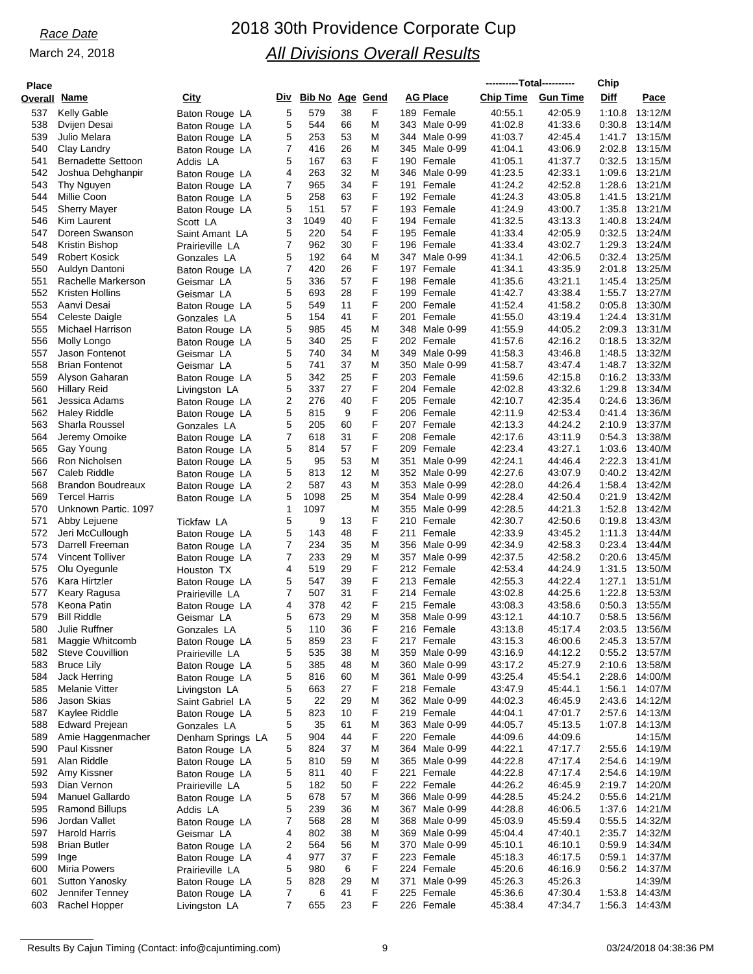# *Race Date* 2018 30th Providence Corporate Cup *All Divisions Overall Results*

| <b>Place</b> |                                                |                                   |        |                        |          |        |                                   | ----------Total---------- |                    | Chip             |                                  |
|--------------|------------------------------------------------|-----------------------------------|--------|------------------------|----------|--------|-----------------------------------|---------------------------|--------------------|------------------|----------------------------------|
| Overall      | Name                                           | City                              | Div    | <b>Bib No Age Gend</b> |          |        | <b>AG Place</b>                   | <b>Chip Time</b>          | <b>Gun Time</b>    | Diff             | Pace                             |
| 537          | Kelly Gable                                    | Baton Rouge LA                    | 5      | 579                    | 38       | F      | 189 Female                        | 40:55.1                   | 42:05.9            | 1:10.8           | 13:12/M                          |
| 538          | Dvijen Desai                                   | Baton Rouge LA                    | 5      | 544                    | 66       | M      | 343 Male 0-99                     | 41:02.8                   | 41:33.6            | 0:30.8           | 13:14/M                          |
| 539          | Julio Melara                                   | Baton Rouge LA                    | 5      | 253                    | 53       | M      | 344 Male 0-99                     | 41:03.7                   | 42:45.4            | 1:41.7           | 13:15/M                          |
| 540          | Clay Landry                                    | Baton Rouge LA                    | 7      | 416                    | 26       | M      | 345 Male 0-99                     | 41:04.1                   | 43:06.9            | 2:02.8           | 13:15/M                          |
| 541<br>542   | <b>Bernadette Settoon</b><br>Joshua Dehghanpir | Addis LA                          | 5<br>4 | 167<br>263             | 63<br>32 | F<br>M | 190<br>Female<br>346 Male 0-99    | 41:05.1<br>41:23.5        | 41:37.7<br>42:33.1 | 0:32.5<br>1:09.6 | 13:15/M<br>13:21/M               |
| 543          | Thy Nguyen                                     | Baton Rouge LA<br>Baton Rouge LA  | 7      | 965                    | 34       | F      | 191<br>Female                     | 41:24.2                   | 42:52.8            | 1:28.6           | 13:21/M                          |
| 544          | Millie Coon                                    | Baton Rouge LA                    | 5      | 258                    | 63       | F      | 192 Female                        | 41:24.3                   | 43:05.8            | 1:41.5           | 13:21/M                          |
| 545          | <b>Sherry Mayer</b>                            | Baton Rouge LA                    | 5      | 151                    | 57       | F      | 193 Female                        | 41:24.9                   | 43:00.7            | 1:35.8           | 13:21/M                          |
| 546          | Kim Laurent                                    | Scott LA                          | 3      | 1049                   | 40       | F      | 194 Female                        | 41:32.5                   | 43:13.3            | 1:40.8           | 13:24/M                          |
| 547          | Doreen Swanson                                 | Saint Amant LA                    | 5      | 220                    | 54       | F      | 195 Female                        | 41:33.4                   | 42:05.9            | 0:32.5           | 13:24/M                          |
| 548          | Kristin Bishop                                 | Prairieville LA                   | 7      | 962                    | 30       | F      | 196 Female                        | 41:33.4                   | 43:02.7            | 1:29.3           | 13:24/M                          |
| 549<br>550   | <b>Robert Kosick</b><br>Auldyn Dantoni         | Gonzales LA                       | 5<br>7 | 192<br>420             | 64<br>26 | M<br>F | 347<br>Male 0-99<br>197 Female    | 41:34.1<br>41:34.1        | 42:06.5<br>43:35.9 | 0:32.4<br>2:01.8 | 13:25/M<br>13:25/M               |
| 551          | Rachelle Markerson                             | Baton Rouge LA<br>Geismar LA      | 5      | 336                    | 57       | F      | 198 Female                        | 41:35.6                   | 43:21.1            | 1:45.4           | 13:25/M                          |
| 552          | Kristen Hollins                                | Geismar LA                        | 5      | 693                    | 28       | F      | 199<br>Female                     | 41:42.7                   | 43:38.4            | 1:55.7           | 13:27/M                          |
| 553          | Aanvi Desai                                    | Baton Rouge LA                    | 5      | 549                    | 11       | F      | 200 Female                        | 41:52.4                   | 41:58.2            | 0:05.8           | 13:30/M                          |
| 554          | Celeste Daigle                                 | Gonzales LA                       | 5      | 154                    | 41       | F      | 201<br>Female                     | 41:55.0                   | 43:19.4            | 1:24.4           | 13:31/M                          |
| 555          | Michael Harrison                               | Baton Rouge LA                    | 5      | 985                    | 45       | M      | 348 Male 0-99                     | 41:55.9                   | 44:05.2            | 2:09.3           | 13:31/M                          |
| 556          | Molly Longo                                    | Baton Rouge LA                    | 5      | 340                    | 25       | F      | 202 Female                        | 41:57.6                   | 42:16.2            | 0:18.5           | 13:32/M                          |
| 557          | Jason Fontenot                                 | Geismar LA                        | 5      | 740                    | 34       | M      | 349 Male 0-99                     | 41:58.3                   | 43:46.8            | 1:48.5           | 13:32/M                          |
| 558<br>559   | <b>Brian Fontenot</b><br>Alyson Gaharan        | Geismar LA                        | 5<br>5 | 741<br>342             | 37<br>25 | M<br>F | 350 Male 0-99<br>203 Female       | 41:58.7<br>41:59.6        | 43:47.4<br>42:15.8 | 1:48.7<br>0:16.2 | 13:32/M<br>13:33/M               |
| 560          | <b>Hillary Reid</b>                            | Baton Rouge LA<br>Livingston LA   | 5      | 337                    | 27       | F      | 204 Female                        | 42:02.8                   | 43:32.6            | 1:29.8           | 13:34/M                          |
| 561          | Jessica Adams                                  | Baton Rouge LA                    | 2      | 276                    | 40       | F      | 205 Female                        | 42:10.7                   | 42:35.4            | 0:24.6           | 13:36/M                          |
| 562          | <b>Haley Riddle</b>                            | Baton Rouge LA                    | 5      | 815                    | 9        | F      | 206 Female                        | 42:11.9                   | 42:53.4            | 0:41.4           | 13:36/M                          |
| 563          | Sharla Roussel                                 | Gonzales LA                       | 5      | 205                    | 60       | F      | 207 Female                        | 42:13.3                   | 44:24.2            | 2:10.9           | 13:37/M                          |
| 564          | Jeremy Omoike                                  | Baton Rouge LA                    | 7      | 618                    | 31       | F      | 208 Female                        | 42:17.6                   | 43:11.9            | 0:54.3           | 13:38/M                          |
| 565          | Gay Young                                      | Baton Rouge LA                    | 5      | 814                    | 57       | F      | 209<br>Female                     | 42:23.4                   | 43:27.1            | 1:03.6           | 13:40/M                          |
| 566<br>567   | Ron Nicholsen<br>Caleb Riddle                  | Baton Rouge LA                    | 5<br>5 | 95<br>813              | 53<br>12 | Μ<br>M | 351<br>Male 0-99<br>352 Male 0-99 | 42:24.1<br>42:27.6        | 44:46.4<br>43:07.9 | 2:22.3<br>0:40.2 | 13:41/M<br>13:42/M               |
| 568          | <b>Brandon Boudreaux</b>                       | Baton Rouge LA<br>Baton Rouge LA  | 2      | 587                    | 43       | M      | 353 Male 0-99                     | 42:28.0                   | 44:26.4            | 1:58.4           | 13:42/M                          |
| 569          | <b>Tercel Harris</b>                           | Baton Rouge LA                    | 5      | 1098                   | 25       | M      | 354 Male 0-99                     | 42:28.4                   | 42:50.4            | 0:21.9           | 13:42/M                          |
| 570          | Unknown Partic. 1097                           |                                   | 1      | 1097                   |          | M      | 355 Male 0-99                     | 42:28.5                   | 44:21.3            | 1:52.8           | 13:42/M                          |
| 571          | Abby Lejuene                                   | Tickfaw LA                        | 5      | 9                      | 13       | F      | 210<br>Female                     | 42:30.7                   | 42:50.6            | 0.19.8           | 13:43/M                          |
| 572          | Jeri McCullough                                | Baton Rouge LA                    | 5      | 143                    | 48       | F      | 211<br>Female                     | 42:33.9                   | 43:45.2            | 1:11.3           | 13:44/M                          |
| 573          | Darrell Freeman                                | Baton Rouge LA                    | 7      | 234                    | 35       | M      | 356 Male 0-99                     | 42:34.9                   | 42:58.3            | 0:23.4           | 13:44/M                          |
| 574<br>575   | <b>Vincent Tolliver</b><br>Olu Oyegunle        | Baton Rouge LA                    | 7<br>4 | 233<br>519             | 29<br>29 | M<br>F | 357 Male 0-99<br>212 Female       | 42:37.5<br>42:53.4        | 42:58.2<br>44:24.9 | 0:20.6<br>1:31.5 | 13:45/M<br>13:50/M               |
| 576          | Kara Hirtzler                                  | Houston TX<br>Baton Rouge LA      | 5      | 547                    | 39       | F      | 213 Female                        | 42:55.3                   | 44:22.4            | 1:27.1           | 13:51/M                          |
| 577          | Keary Ragusa                                   | Prairieville LA                   | 7      | 507                    | 31       | F      | 214 Female                        | 43:02.8                   | 44.25.6            | 1:22.8           | 13:53/M                          |
| 578          | Keona Patin                                    | Baton Rouge LA                    | 4      | 378                    | 42       | F      | 215 Female                        | 43:08.3                   | 43:58.6            | 0:50.3           | 13:55/M                          |
| 579          | <b>Bill Riddle</b>                             | Geismar LA                        | 5      | 673                    | 29       | M      | 358 Male 0-99                     | 43:12.1                   | 44:10.7            | 0:58.5           | 13:56/M                          |
| 580          | Julie Ruffner                                  | Gonzales LA                       | 5      | 110                    | 36       | F      | 216 Female                        | 43:13.8                   | 45:17.4            | 2:03.5           | 13:56/M                          |
| 581          | Maggie Whitcomb                                | Baton Rouge LA                    | 5      | 859                    | 23       | F      | 217 Female                        | 43:15.3                   | 46:00.6            | 2:45.3           | 13:57/M                          |
| 582<br>583   | <b>Steve Couvillion</b><br><b>Bruce Lily</b>   | Prairieville LA<br>Baton Rouge LA | 5<br>5 | 535<br>385             | 38<br>48 | M<br>M | 359 Male 0-99<br>360 Male 0-99    | 43:16.9<br>43:17.2        | 44:12.2<br>45:27.9 |                  | 0:55.2 13:57/M<br>2:10.6 13:58/M |
| 584          | Jack Herring                                   | Baton Rouge LA                    | 5      | 816                    | 60       | M      | Male 0-99<br>361                  | 43:25.4                   | 45:54.1            | 2:28.6           | 14:00/M                          |
| 585          | Melanie Vitter                                 | Livingston LA                     | 5      | 663                    | 27       | F      | 218 Female                        | 43:47.9                   | 45:44.1            | 1:56.1           | 14:07/M                          |
| 586          | Jason Skias                                    | Saint Gabriel LA                  | 5      | 22                     | 29       | M      | 362 Male 0-99                     | 44:02.3                   | 46:45.9            | 2:43.6           | 14:12/M                          |
| 587          | Kaylee Riddle                                  | Baton Rouge LA                    | 5      | 823                    | 10       | F      | 219 Female                        | 44:04.1                   | 47:01.7            | 2:57.6           | 14:13/M                          |
| 588          | Edward Prejean                                 | Gonzales LA                       | 5      | 35                     | 61       | M      | 363 Male 0-99                     | 44:05.7                   | 45:13.5            | 1:07.8           | 14:13/M                          |
| 589          | Amie Haggenmacher                              | Denham Springs LA                 | 5      | 904                    | 44       | F      | 220 Female                        | 44:09.6                   | 44:09.6            |                  | 14:15/M                          |
| 590<br>591   | Paul Kissner<br>Alan Riddle                    | Baton Rouge LA                    | 5      | 824                    | 37<br>59 | M<br>M | 364 Male 0-99                     | 44:22.1<br>44:22.8        | 47:17.7<br>47:17.4 | 2:55.6           | 14:19/M<br>2:54.6 14:19/M        |
| 592          | Amy Kissner                                    | Baton Rouge LA<br>Baton Rouge LA  | 5<br>5 | 810<br>811             | 40       | F      | 365 Male 0-99<br>221 Female       | 44:22.8                   | 47:17.4            | 2:54.6           | 14:19/M                          |
| 593          | Dian Vernon                                    | Prairieville LA                   | 5      | 182                    | 50       | F      | 222 Female                        | 44:26.2                   | 46:45.9            |                  | 2:19.7 14:20/M                   |
| 594          | Manuel Gallardo                                | Baton Rouge LA                    | 5      | 678                    | 57       | M      | 366 Male 0-99                     | 44:28.5                   | 45:24.2            | 0.55.6           | 14:21/M                          |
| 595          | Ramond Billups                                 | Addis LA                          | 5      | 239                    | 36       | M      | 367 Male 0-99                     | 44:28.8                   | 46:06.5            | 1:37.6           | 14:21/M                          |
| 596          | Jordan Vallet                                  | Baton Rouge LA                    | 7      | 568                    | 28       | M      | 368 Male 0-99                     | 45:03.9                   | 45:59.4            | 0:55.5           | 14:32/M                          |
| 597          | <b>Harold Harris</b>                           | Geismar LA                        | 4      | 802                    | 38       | M      | 369 Male 0-99                     | 45:04.4                   | 47:40.1            |                  | 2:35.7 14:32/M                   |
| 598          | <b>Brian Butler</b>                            | Baton Rouge LA                    | 2      | 564                    | 56       | M      | 370 Male 0-99                     | 45:10.1                   | 46:10.1            | 0:59.9           | 14:34/M                          |
| 599<br>600   | Inge<br><b>Miria Powers</b>                    | Baton Rouge LA<br>Prairieville LA | 4<br>5 | 977<br>980             | 37<br>6  | F<br>F | 223 Female<br>224 Female          | 45:18.3<br>45:20.6        | 46:17.5<br>46:16.9 | 0:59.1<br>0.56.2 | 14:37/M<br>14:37/M               |
| 601          | Sutton Yanosky                                 | Baton Rouge LA                    | 5      | 828                    | 29       | M      | Male 0-99<br>371                  | 45:26.3                   | 45:26.3            |                  | 14:39/M                          |
| 602          | Jennifer Tenney                                | Baton Rouge LA                    | 7      | 6                      | 41       | F      | 225 Female                        | 45:36.6                   | 47:30.4            | 1:53.8           | 14:43/M                          |
| 603          | Rachel Hopper                                  | Livingston LA                     | 7      | 655                    | 23       | F      | 226 Female                        | 45:38.4                   | 47:34.7            | 1:56.3           | 14:43/M                          |
|              |                                                |                                   |        |                        |          |        |                                   |                           |                    |                  |                                  |

Results By Cajun Timing (Contact: info@cajuntiming.com) 9 03/24/2018 04:38:36 PM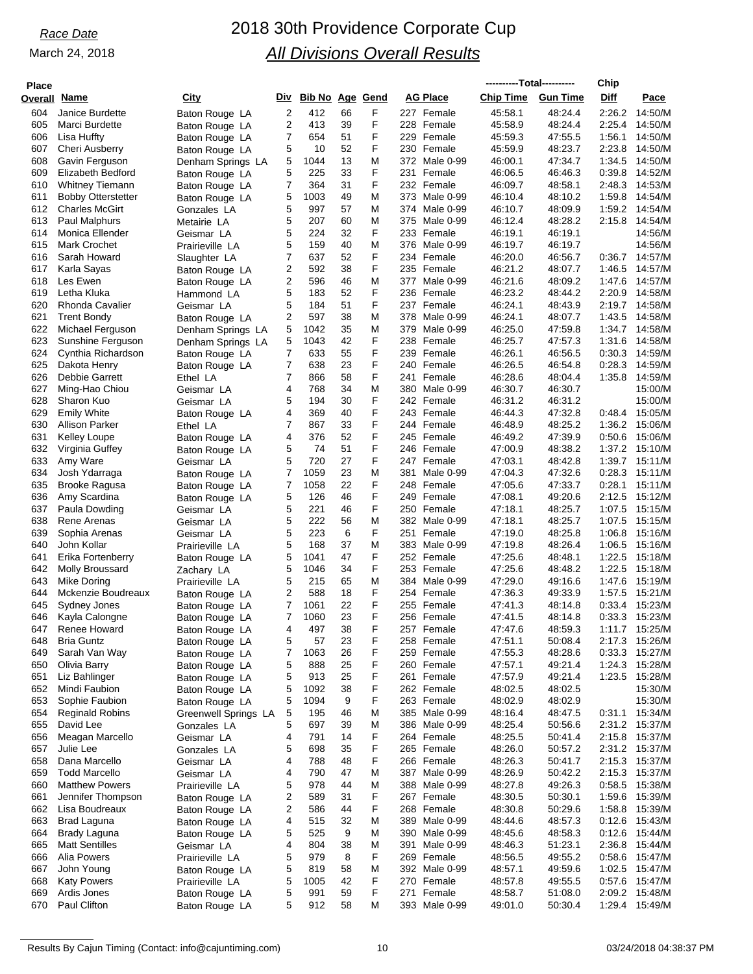## *Race Date* 2018 30th Providence Corporate Cup *All Divisions Overall Results*

| <b>Place</b> |                                        |                                  |                |                     |          |        |                             | ----------Total---------- |                    | Chip             |                                  |
|--------------|----------------------------------------|----------------------------------|----------------|---------------------|----------|--------|-----------------------------|---------------------------|--------------------|------------------|----------------------------------|
| Overall      | <u>Name</u>                            | <u>City</u>                      |                | Div Bib No Age Gend |          |        | <b>AG Place</b>             | <b>Chip Time</b>          | <b>Gun Time</b>    | Diff             | Pace                             |
| 604          | Janice Burdette                        | Baton Rouge LA                   | $\overline{2}$ | 412                 | 66       | F      | 227 Female                  | 45:58.1                   | 48:24.4            | 2:26.2           | 14:50/M                          |
| 605          | Marci Burdette                         | Baton Rouge LA                   | 2              | 413                 | 39       | F      | 228 Female                  | 45:58.9                   | 48:24.4            | 2:25.4           | 14:50/M                          |
| 606          | Lisa Huffty                            | Baton Rouge LA                   | 7              | 654                 | 51       | F      | 229 Female                  | 45:59.3                   | 47:55.5            | 1:56.1           | 14:50/M                          |
| 607          | <b>Cheri Ausberry</b>                  | Baton Rouge LA                   | 5              | 10                  | 52       | F      | 230 Female                  | 45.59.9                   | 48:23.7            | 2:23.8           | 14:50/M                          |
| 608          | Gavin Ferguson                         | Denham Springs LA                | 5              | 1044                | 13       | M      | 372 Male 0-99               | 46:00.1                   | 47:34.7            | 1:34.5           | 14:50/M                          |
| 609          | Elizabeth Bedford                      | Baton Rouge LA                   | 5              | 225                 | 33       | F      | 231<br>Female               | 46:06.5                   | 46:46.3            | 0:39.8           | 14:52/M                          |
| 610          | <b>Whitney Tiemann</b>                 | Baton Rouge LA                   | 7              | 364                 | 31       | F      | 232 Female                  | 46:09.7                   | 48:58.1            | 2:48.3           | 14:53/M                          |
| 611          | <b>Bobby Otterstetter</b>              | Baton Rouge LA                   | 5              | 1003                | 49       | M      | 373 Male 0-99               | 46:10.4                   | 48:10.2            | 1:59.8           | 14:54/M                          |
| 612          | <b>Charles McGirt</b>                  | Gonzales LA                      | 5              | 997                 | 57       | M      | 374 Male 0-99               | 46:10.7                   | 48:09.9            | 1:59.2           | 14:54/M                          |
| 613          | Paul Malphurs                          | Metairie LA                      | 5              | 207                 | 60       | M      | 375 Male 0-99               | 46:12.4                   | 48:28.2            | 2:15.8           | 14:54/M                          |
| 614          | Monica Ellender                        | Geismar LA                       | 5              | 224                 | 32       | F      | 233<br>Female               | 46:19.1                   | 46:19.1            |                  | 14:56/M                          |
| 615          | <b>Mark Crochet</b>                    | Prairieville LA                  | 5              | 159                 | 40       | M      | 376 Male 0-99               | 46:19.7                   | 46:19.7            |                  | 14:56/M                          |
| 616          | Sarah Howard                           | Slaughter LA                     | 7              | 637                 | 52       | F      | 234 Female                  | 46:20.0                   | 46:56.7            | 0:36.7           | 14:57/M                          |
| 617          | Karla Sayas                            | Baton Rouge LA                   | 2              | 592                 | 38       | F      | 235 Female                  | 46:21.2                   | 48:07.7            | 1:46.5           | 14:57/M                          |
| 618          | Les Ewen                               | Baton Rouge LA                   | 2              | 596                 | 46       | M      | 377 Male 0-99               | 46:21.6                   | 48:09.2            | 1:47.6           | 14:57/M                          |
| 619          | Letha Kluka                            | Hammond LA                       | 5              | 183                 | 52       | F      | 236 Female                  | 46:23.2                   | 48:44.2            | 2:20.9           | 14:58/M                          |
| 620          | <b>Rhonda Cavalier</b>                 | Geismar LA                       | 5              | 184                 | 51       | F      | 237 Female                  | 46:24.1                   | 48:43.9            | 2:19.7           | 14:58/M                          |
| 621          | <b>Trent Bondy</b>                     | Baton Rouge LA                   | 2              | 597                 | 38       | M      | 378 Male 0-99               | 46:24.1                   | 48:07.7            | 1:43.5           | 14:58/M                          |
| 622          | Michael Ferguson                       | Denham Springs LA                | 5              | 1042                | 35       | M      | 379 Male 0-99               | 46:25.0                   | 47:59.8            | 1:34.7           | 14:58/M                          |
| 623          | Sunshine Ferguson                      | Denham Springs LA                | 5              | 1043                | 42       | F      | 238 Female                  | 46:25.7                   | 47:57.3            | 1:31.6           | 14:58/M                          |
| 624          | Cynthia Richardson                     | Baton Rouge LA                   | 7              | 633                 | 55       | F      | 239 Female                  | 46:26.1                   | 46.56.5            | 0:30.3           | 14:59/M                          |
| 625          | Dakota Henry                           | Baton Rouge LA                   | 7              | 638                 | 23       | F      | 240<br>Female               | 46:26.5                   | 46:54.8            | 0.28.3           | 14:59/M                          |
| 626          | Debbie Garrett                         | Ethel LA                         | 7              | 866                 | 58       | F      | 241 Female                  | 46:28.6                   | 48:04.4            | 1:35.8           | 14:59/M                          |
| 627          | Ming-Hao Chiou                         | Geismar LA                       | 4              | 768                 | 34       | M      | 380 Male 0-99               | 46:30.7                   | 46:30.7            |                  | 15:00/M                          |
| 628          | Sharon Kuo                             | Geismar LA                       | 5              | 194                 | 30       | F      | 242 Female                  | 46:31.2                   | 46:31.2            |                  | 15:00/M                          |
| 629          | <b>Emily White</b>                     | Baton Rouge LA                   | 4              | 369                 | 40       | F<br>F | 243 Female                  | 46:44.3                   | 47:32.8            | 0:48.4           | 15:05/M<br>15:06/M               |
| 630<br>631   | Allison Parker                         | Ethel LA                         | 7<br>4         | 867<br>376          | 33<br>52 | F      | 244 Female<br>245 Female    | 46:48.9                   | 48:25.2<br>47:39.9 | 1:36.2<br>0:50.6 | 15:06/M                          |
| 632          | <b>Kelley Loupe</b><br>Virginia Guffey | Baton Rouge LA                   | 5              | 74                  | 51       | F      | 246 Female                  | 46:49.2<br>47:00.9        | 48:38.2            | 1:37.2           | 15:10/M                          |
| 633          | Amy Ware                               | Baton Rouge LA                   | 5              | 720                 | 27       | F      | 247 Female                  | 47:03.1                   | 48:42.8            | 1:39.7           | 15:11/M                          |
| 634          | Josh Ydarraga                          | Geismar LA                       | 7              | 1059                | 23       | M      | 381<br>Male 0-99            | 47:04.3                   | 47:32.6            | 0:28.3           | 15:11/M                          |
| 635          | <b>Brooke Ragusa</b>                   | Baton Rouge LA<br>Baton Rouge LA | 7              | 1058                | 22       | F      | 248 Female                  | 47:05.6                   | 47:33.7            | 0:28.1           | 15:11/M                          |
| 636          | Amy Scardina                           | Baton Rouge LA                   | 5              | 126                 | 46       | F      | 249 Female                  | 47:08.1                   | 49:20.6            | 2:12.5           | 15:12/M                          |
| 637          | Paula Dowding                          | Geismar LA                       | 5              | 221                 | 46       | F      | 250 Female                  | 47:18.1                   | 48:25.7            | 1:07.5           | 15:15/M                          |
| 638          | Rene Arenas                            | Geismar LA                       | 5              | 222                 | 56       | M      | 382 Male 0-99               | 47:18.1                   | 48:25.7            | 1:07.5           | 15:15/M                          |
| 639          | Sophia Arenas                          | Geismar LA                       | 5              | 223                 | 6        | F      | 251<br>Female               | 47:19.0                   | 48:25.8            | 1:06.8           | 15:16/M                          |
| 640          | John Kollar                            | Prairieville LA                  | 5              | 168                 | 37       | M      | 383 Male 0-99               | 47:19.8                   | 48:26.4            | 1:06.5           | 15:16/M                          |
| 641          | Erika Fortenberry                      | Baton Rouge LA                   | 5              | 1041                | 47       | F      | 252 Female                  | 47:25.6                   | 48:48.1            | 1:22.5           | 15:18/M                          |
| 642          | Molly Broussard                        | Zachary LA                       | 5              | 1046                | 34       | F      | 253 Female                  | 47:25.6                   | 48:48.2            | 1:22.5           | 15:18/M                          |
| 643          | Mike Doring                            | Prairieville LA                  | 5              | 215                 | 65       | M      | 384 Male 0-99               | 47:29.0                   | 49:16.6            | 1:47.6           | 15:19/M                          |
| 644          | Mckenzie Boudreaux                     | Baton Rouge LA                   | 2              | 588                 | 18       | F      | 254 Female                  | 47:36.3                   | 49:33.9            | 1:57.5           | 15:21/M                          |
| 645          | Sydney Jones                           | Baton Rouge LA                   | 7              | 1061                | 22       | F      | 255 Female                  | 47:41.3                   | 48:14.8            | 0:33.4           | 15:23/M                          |
| 646          | Kayla Calongne                         | Baton Rouge LA                   | 7              | 1060                | 23       | F      | 256 Female                  | 47:41.5                   | 48:14.8            | 0:33.3           | 15:23/M                          |
| 647          | Renee Howard                           | Baton Rouge LA                   | 4              | 497                 | 38       | F      | 257 Female                  | 47:47.6                   | 48:59.3            |                  | 1:11.7 15:25/M                   |
| 648          | <b>Bria Guntz</b>                      | Baton Rouge LA                   | 5              | 57                  | 23       | F      | 258 Female                  | 47:51.1                   | 50:08.4            |                  | 2:17.3 15:26/M                   |
| 649          | Sarah Van Way                          | Baton Rouge LA                   | 7              | 1063                | 26       | F      | 259 Female                  | 47:55.3                   | 48:28.6            | 0:33.3           | 15:27/M                          |
| 650          | Olivia Barry                           | Baton Rouge LA                   | 5              | 888                 | 25       | F      | 260 Female                  | 47:57.1                   | 49:21.4            |                  | 1:24.3 15:28/M                   |
| 651          | Liz Bahlinger                          | Baton Rouge LA                   | 5              | 913                 | 25       | F      | 261 Female                  | 47:57.9                   | 49:21.4            | 1:23.5           | 15:28/M                          |
| 652          | Mindi Faubion                          | Baton Rouge LA                   | 5              | 1092                | 38       | F      | 262 Female                  | 48:02.5                   | 48:02.5            |                  | 15:30/M                          |
| 653          | Sophie Faubion                         | Baton Rouge LA                   | 5              | 1094                | 9        | F      | 263 Female                  | 48:02.9                   | 48:02.9            |                  | 15:30/M                          |
| 654          | <b>Reginald Robins</b>                 | Greenwell Springs LA             | 5              | 195                 | 46       | M      | 385 Male 0-99               | 48:16.4                   | 48:47.5            | 0:31.1           | 15:34/M                          |
| 655          | David Lee                              | Gonzales LA                      | 5              | 697                 | 39       | M      | 386 Male 0-99               | 48:25.4                   | 50:56.6            |                  | 2:31.2 15:37/M                   |
| 656          | Meagan Marcello                        | Geismar LA                       | 4              | 791                 | 14       | F      | 264 Female                  | 48:25.5                   | 50:41.4            |                  | 2:15.8 15:37/M                   |
| 657          | Julie Lee                              | Gonzales LA                      | 5              | 698                 | 35       | F      | 265 Female                  | 48:26.0                   | 50:57.2            |                  | 2:31.2 15:37/M                   |
| 658          | Dana Marcello                          | Geismar LA                       | 4              | 788                 | 48       | F      | 266 Female                  | 48:26.3                   | 50:41.7            |                  | 2:15.3 15:37/M                   |
| 659          | <b>Todd Marcello</b>                   | Geismar LA                       | 4              | 790                 | 47       | M      | 387 Male 0-99               | 48:26.9                   | 50:42.2            |                  | 2:15.3 15:37/M                   |
| 660          | <b>Matthew Powers</b>                  | Prairieville LA                  | 5              | 978                 | 44       | M      | 388 Male 0-99               | 48:27.8                   | 49:26.3            |                  | 0:58.5 15:38/M                   |
| 661          | Jennifer Thompson                      | Baton Rouge LA                   | 2              | 589                 | 31       | F      | 267 Female                  | 48:30.5                   | 50:30.1            |                  | 1:59.6 15:39/M                   |
| 662          | Lisa Boudreaux                         | Baton Rouge LA                   | 2              | 586                 | 44       | F      | 268 Female                  | 48:30.8                   | 50:29.6            |                  | 1:58.8 15:39/M                   |
| 663          | <b>Brad Laguna</b>                     | Baton Rouge LA                   | 4              | 515                 | 32       | M      | 389 Male 0-99               | 48:44.6                   | 48:57.3            |                  | $0:12.6$ 15:43/M                 |
| 664          | Brady Laguna                           | Baton Rouge LA                   | 5              | 525                 | 9        | M      | 390 Male 0-99               | 48:45.6                   | 48:58.3            |                  | 0:12.6 15:44/M                   |
| 665          | <b>Matt Sentilles</b>                  | Geismar LA                       | 4              | 804                 | 38       | M      | 391 Male 0-99               | 48:46.3                   | 51:23.1            | 2:36.8           | 15:44/M                          |
| 666          | Alia Powers                            | Prairieville LA                  | 5              | 979                 | 8        | F      | 269 Female                  | 48:56.5                   | 49:55.2            |                  | 0:58.6 15:47/M                   |
| 667          | John Young                             | Baton Rouge LA                   | 5              | 819                 | 58       | M      | 392 Male 0-99               | 48:57.1                   | 49:59.6            |                  | 1:02.5 15:47/M                   |
| 668          | <b>Katy Powers</b>                     | Prairieville LA                  | 5              | 1005                | 42       | F      | 270 Female                  | 48:57.8                   | 49:55.5            |                  | 0:57.6 15:47/M                   |
| 669<br>670   | Ardis Jones<br>Paul Clifton            | Baton Rouge LA                   | 5<br>5         | 991<br>912          | 59<br>58 | F<br>М | 271 Female<br>393 Male 0-99 | 48:58.7<br>49:01.0        | 51:08.0<br>50:30.4 |                  | 2:09.2 15:48/M<br>1:29.4 15:49/M |
|              |                                        | Baton Rouge LA                   |                |                     |          |        |                             |                           |                    |                  |                                  |

Results By Cajun Timing (Contact: info@cajuntiming.com) 10 10 03/24/2018 03/24/2018 04:38:37 PM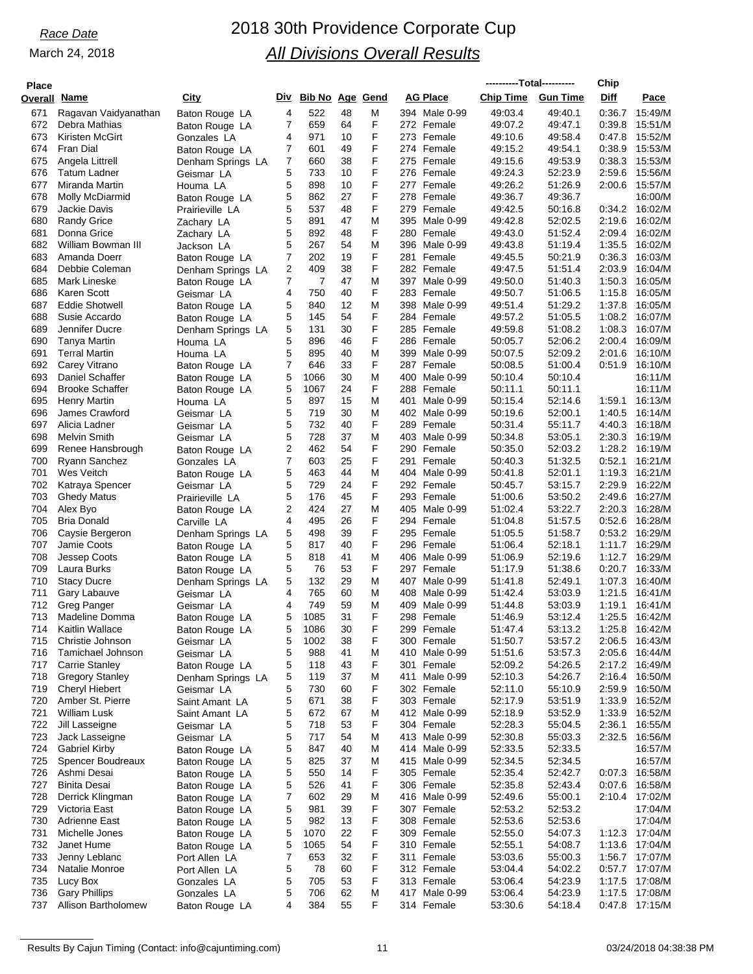## *Race Date* 2018 30th Providence Corporate Cup *All Divisions Overall Results*

| <b>Place</b> |                                             |                                     |                     |                        |          |        |                                | ----------Total---------- |                    | Chip             |                           |
|--------------|---------------------------------------------|-------------------------------------|---------------------|------------------------|----------|--------|--------------------------------|---------------------------|--------------------|------------------|---------------------------|
| Overall      | Name                                        | City                                | Div                 | <b>Bib No Age Gend</b> |          |        | <b>AG Place</b>                | <b>Chip Time</b>          | <b>Gun Time</b>    | Diff             | Pace                      |
| 671          | Ragavan Vaidyanathan                        | Baton Rouge LA                      | 4                   | 522                    | 48       | Μ      | 394 Male 0-99                  | 49:03.4                   | 49:40.1            | 0:36.7           | 15:49/M                   |
| 672          | Debra Mathias                               | Baton Rouge LA                      | 7                   | 659                    | 64       | F      | 272 Female                     | 49:07.2                   | 49:47.1            | 0:39.8           | 15:51/M                   |
| 673<br>674   | Kiristen McGirt<br>Fran Dial                | Gonzales LA                         | 4<br>7              | 971<br>601             | 10<br>49 | F<br>F | 273 Female<br>274 Female       | 49:10.6<br>49:15.2        | 49:58.4<br>49:54.1 | 0.47.8<br>0.38.9 | 15:52/M<br>15:53/M        |
| 675          | Angela Littrell                             | Baton Rouge LA<br>Denham Springs LA | 7                   | 660                    | 38       | F      | 275 Female                     | 49:15.6                   | 49.53.9            | 0.38.3           | 15:53/M                   |
| 676          | <b>Tatum Ladner</b>                         | Geismar LA                          | 5                   | 733                    | 10       | F      | 276 Female                     | 49.24.3                   | 52:23.9            | 2:59.6           | 15:56/M                   |
| 677          | Miranda Martin                              | Houma LA                            | 5                   | 898                    | 10       | F      | 277 Female                     | 49:26.2                   | 51:26.9            | 2:00.6           | 15:57/M                   |
| 678<br>679   | Molly McDiarmid<br>Jackie Davis             | Baton Rouge LA                      | 5<br>5              | 862<br>537             | 27<br>48 | F<br>F | 278 Female<br>279 Female       | 49:36.7                   | 49:36.7<br>50:16.8 | 0.34.2           | 16:00/M<br>16:02/M        |
| 680          | <b>Randy Grice</b>                          | Prairieville LA<br>Zachary LA       | 5                   | 891                    | 47       | M      | 395 Male 0-99                  | 49:42.5<br>49:42.8        | 52:02.5            | 2:19.6           | 16:02/M                   |
| 681          | Donna Grice                                 | Zachary LA                          | 5                   | 892                    | 48       | F      | 280 Female                     | 49.43.0                   | 51:52.4            | 2:09.4           | 16:02/M                   |
| 682          | William Bowman III                          | Jackson LA                          | 5                   | 267                    | 54       | M      | 396 Male 0-99                  | 49:43.8                   | 51:19.4            | 1:35.5           | 16:02/M                   |
| 683          | Amanda Doerr                                | Baton Rouge LA                      | 7                   | 202                    | 19       | F<br>F | 281<br>Female                  | 49:45.5                   | 50:21.9            | 0.36.3           | 16:03/M                   |
| 684<br>685   | Debbie Coleman<br>Mark Lineske              | Denham Springs LA<br>Baton Rouge LA | 2<br>7              | 409<br>7               | 38<br>47 | M      | 282 Female<br>397 Male 0-99    | 49:47.5<br>49:50.0        | 51:51.4<br>51:40.3 | 2:03.9<br>1:50.3 | 16:04/M<br>16:05/M        |
| 686          | Karen Scott                                 | Geismar LA                          | 4                   | 750                    | 40       | F      | 283 Female                     | 49:50.7                   | 51:06.5            | 1:15.8           | 16:05/M                   |
| 687          | <b>Eddie Shotwell</b>                       | Baton Rouge LA                      | 5                   | 840                    | 12       | M      | 398 Male 0-99                  | 49:51.4                   | 51:29.2            | 1:37.8           | 16:05/M                   |
| 688          | Susie Accardo                               | Baton Rouge LA                      | 5                   | 145                    | 54       | F      | 284 Female                     | 49:57.2                   | 51:05.5            | 1:08.2           | 16:07/M                   |
| 689<br>690   | Jennifer Ducre<br>Tanya Martin              | Denham Springs LA<br>Houma LA       | 5<br>5              | 131<br>896             | 30<br>46 | F<br>F | 285 Female<br>286 Female       | 49:59.8<br>50:05.7        | 51:08.2<br>52:06.2 | 1:08.3<br>2:00.4 | 16:07/M<br>16:09/M        |
| 691          | <b>Terral Martin</b>                        | Houma LA                            | 5                   | 895                    | 40       | M      | 399 Male 0-99                  | 50:07.5                   | 52:09.2            | 2:01.6           | 16:10/M                   |
| 692          | Carey Vitrano                               | Baton Rouge LA                      | 7                   | 646                    | 33       | F      | 287 Female                     | 50:08.5                   | 51:00.4            | 0.51.9           | 16:10/M                   |
| 693          | Daniel Schaffer                             | Baton Rouge LA                      | 5                   | 1066                   | 30       | M      | 400 Male 0-99                  | 50:10.4                   | 50:10.4            |                  | 16:11/M                   |
| 694<br>695   | <b>Brooke Schaffer</b><br>Henry Martin      | Baton Rouge LA<br>Houma LA          | 5<br>5              | 1067<br>897            | 24<br>15 | F<br>Μ | 288 Female<br>401<br>Male 0-99 | 50:11.1<br>50:15.4        | 50:11.1<br>52:14.6 | 1:59.1           | 16:11/M<br>16:13/M        |
| 696          | James Crawford                              | Geismar LA                          | 5                   | 719                    | 30       | M      | 402 Male 0-99                  | 50:19.6                   | 52:00.1            | 1:40.5           | 16:14/M                   |
| 697          | Alicia Ladner                               | Geismar LA                          | 5                   | 732                    | 40       | F      | 289 Female                     | 50:31.4                   | 55:11.7            | 4:40.3           | 16:18/M                   |
| 698          | Melvin Smith                                | Geismar LA                          | 5                   | 728                    | 37       | M      | 403 Male 0-99                  | 50:34.8                   | 53:05.1            | 2:30.3           | 16:19/M                   |
| 699<br>700   | Renee Hansbrough<br><b>Ryann Sanchez</b>    | Baton Rouge LA                      | 2<br>$\overline{7}$ | 462<br>603             | 54<br>25 | F<br>F | 290 Female<br>291 Female       | 50:35.0<br>50:40.3        | 52:03.2<br>51:32.5 | 1:28.2<br>0:52.1 | 16:19/M<br>16:21/M        |
| 701          | Wes Veitch                                  | Gonzales LA<br>Baton Rouge LA       | 5                   | 463                    | 44       | M      | 404 Male 0-99                  | 50:41.8                   | 52:01.1            | 1:19.3           | 16:21/M                   |
| 702          | Katraya Spencer                             | Geismar LA                          | 5                   | 729                    | 24       | F      | 292 Female                     | 50:45.7                   | 53:15.7            | 2:29.9           | 16:22/M                   |
| 703          | <b>Ghedy Matus</b>                          | Prairieville LA                     | 5                   | 176                    | 45       | F      | 293 Female                     | 51:00.6                   | 53:50.2            | 2:49.6           | 16:27/M                   |
| 704<br>705   | Alex Byo<br><b>Bria Donald</b>              | Baton Rouge LA                      | 2<br>4              | 424<br>495             | 27<br>26 | M<br>F | 405 Male 0-99<br>294 Female    | 51:02.4<br>51:04.8        | 53:22.7<br>51:57.5 | 2:20.3<br>0.52.6 | 16:28/M<br>16:28/M        |
| 706          | Caysie Bergeron                             | Carville LA<br>Denham Springs LA    | 5                   | 498                    | 39       | F      | 295 Female                     | 51:05.5                   | 51:58.7            | 0.53.2           | 16:29/M                   |
| 707          | <b>Jamie Coots</b>                          | Baton Rouge LA                      | 5                   | 817                    | 40       | F      | 296 Female                     | 51:06.4                   | 52:18.1            | 1:11.7           | 16:29/M                   |
| 708          | Jessep Coots                                | Baton Rouge LA                      | 5                   | 818                    | 41       | Μ      | 406 Male 0-99                  | 51:06.9                   | 52:19.6            | 1:12.7           | 16:29/M                   |
| 709          | Laura Burks                                 | Baton Rouge LA                      | 5<br>5              | 76                     | 53<br>29 | F<br>M | 297 Female                     | 51:17.9                   | 51:38.6            | 0.20.7<br>1:07.3 | 16:33/M<br>16:40/M        |
| 710<br>711   | <b>Stacy Ducre</b><br>Gary Labauve          | Denham Springs LA<br>Geismar LA     | 4                   | 132<br>765             | 60       | Μ      | 407 Male 0-99<br>408 Male 0-99 | 51:41.8<br>51:42.4        | 52:49.1<br>53:03.9 | 1:21.5           | 16:41/M                   |
| 712          | Greg Panger                                 | Geismar LA                          | 4                   | 749                    | 59       | M      | 409<br>Male 0-99               | 51:44.8                   | 53:03.9            | 1:19.1           | 16:41/M                   |
| 713          | Madeline Domma                              | Baton Rouge LA                      | 5                   | 1085                   | 31       | F      | 298 Female                     | 51:46.9                   | 53:12.4            | 1:25.5           | 16:42/M                   |
| 714          | Kaitlin Wallace                             | Baton Rouge LA                      | 5                   | 1086                   | 30       | F      | 299 Female                     | 51:47.4                   | 53:13.2            | 1:25.8           | 16:42/M                   |
| 715<br>716   | Christie Johnson<br>Tamichael Johnson       | Geismar LA<br>Geismar LA            | 5<br>5              | 1002<br>988            | 38<br>41 | F<br>M | 300 Female<br>410 Male 0-99    | 51:50.7<br>51:51.6        | 53:57.2<br>53.57.3 | 2:06.5<br>2:05.6 | 16:43/M<br>16:44/M        |
| 717          | <b>Carrie Stanley</b>                       | Baton Rouge LA                      | 5                   | 118                    | 43       | F      | 301 Female                     | 52:09.2                   | 54:26.5            | 2:17.2           | 16:49/M                   |
| 718          | <b>Gregory Stanley</b>                      | Denham Springs LA                   | 5                   | 119                    | 37       | M      | 411<br>Male 0-99               | 52:10.3                   | 54:26.7            | 2:16.4           | 16:50/M                   |
| 719          | <b>Cheryl Hiebert</b>                       | Geismar LA                          | 5                   | 730                    | 60       | F      | 302 Female                     | 52:11.0                   | 55:10.9            | 2:59.9           | 16:50/M                   |
| 720<br>721   | Amber St. Pierre<br>William Lusk            | Saint Amant LA<br>Saint Amant LA    | 5<br>5              | 671<br>672             | 38<br>67 | F<br>M | 303 Female<br>412 Male 0-99    | 52:17.9<br>52:18.9        | 53.51.9<br>53.52.9 | 1:33.9<br>1:33.9 | 16:52/M<br>16:52/M        |
| 722          | Jill Lasseigne                              | Geismar LA                          | 5                   | 718                    | 53       | F      | 304 Female                     | 52:28.3                   | 55:04.5            | 2:36.1           | 16:55/M                   |
| 723          | Jack Lasseigne                              | Geismar LA                          | 5                   | 717                    | 54       | M      | 413 Male 0-99                  | 52:30.8                   | 55:03.3            | 2:32.5           | 16:56/M                   |
| 724          | <b>Gabriel Kirby</b>                        | Baton Rouge LA                      | 5                   | 847                    | 40       | M      | 414 Male 0-99                  | 52:33.5                   | 52:33.5            |                  | 16:57/M                   |
| 725<br>726   | Spencer Boudreaux<br>Ashmi Desai            | Baton Rouge LA                      | 5<br>5              | 825<br>550             | 37<br>14 | M<br>F | 415 Male 0-99<br>305 Female    | 52:34.5<br>52:35.4        | 52:34.5            | 0:07.3           | 16:57/M<br>16:58/M        |
| 727          | <b>Binita Desai</b>                         | Baton Rouge LA<br>Baton Rouge LA    | 5                   | 526                    | 41       | F      | 306 Female                     | 52:35.8                   | 52:42.7<br>52.43.4 | 0.07.6           | 16:58/M                   |
| 728          | Derrick Klingman                            | Baton Rouge LA                      | 7                   | 602                    | 29       | M      | 416 Male 0-99                  | 52:49.6                   | 55:00.1            |                  | 2:10.4 17:02/M            |
| 729          | Victoria East                               | Baton Rouge LA                      | 5                   | 981                    | 39       | F      | 307 Female                     | 52:53.2                   | 52:53.2            |                  | 17:04/M                   |
| 730          | <b>Adrienne East</b>                        | Baton Rouge LA                      | 5                   | 982                    | 13       | F<br>F | 308 Female                     | 52:53.6                   | 52.53.6            |                  | 17:04/M                   |
| 731<br>732   | Michelle Jones<br>Janet Hume                | Baton Rouge LA<br>Baton Rouge LA    | 5<br>5              | 1070<br>1065           | 22<br>54 | F      | 309 Female<br>310 Female       | 52:55.0<br>52:55.1        | 54:07.3<br>54:08.7 | 1:12.3           | 17:04/M<br>1:13.6 17:04/M |
| 733          | Jenny Leblanc                               | Port Allen LA                       | 7                   | 653                    | 32       | F      | 311 Female                     | 53:03.6                   | 55:00.3            |                  | 1:56.7 17:07/M            |
| 734          | Natalie Monroe                              | Port Allen LA                       | 5                   | 78                     | 60       | F      | 312 Female                     | 53.04.4                   | 54:02.2            |                  | 0:57.7 17:07/M            |
| 735          | Lucy Box                                    | Gonzales LA                         | 5                   | 705                    | 53       | F      | 313 Female                     | 53.06.4                   | 54.23.9            | 1:17.5           | 17:08/M                   |
| 736<br>737   | <b>Gary Phillips</b><br>Allison Bartholomew | Gonzales LA<br>Baton Rouge LA       | 5<br>4              | 706<br>384             | 62<br>55 | M<br>F | 417 Male 0-99<br>314 Female    | 53.06.4<br>53:30.6        | 54.23.9<br>54:18.4 | 1:17.5<br>0.47.8 | 17:08/M<br>17:15/M        |
|              |                                             |                                     |                     |                        |          |        |                                |                           |                    |                  |                           |

Results By Cajun Timing (Contact: info@cajuntiming.com) 11 1 1 200 03/24/2018 04:38:38 PM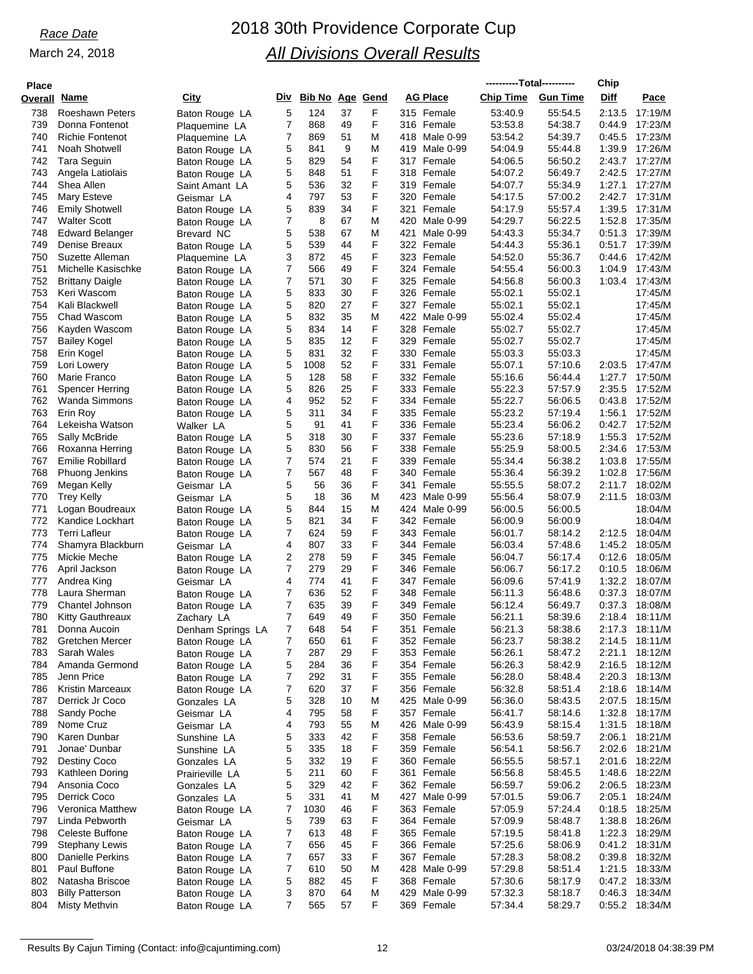| <b>Place</b>        |                                         |                              |                |                     |    |        |                  | ----------Total---------- |                 | Chip   |                |
|---------------------|-----------------------------------------|------------------------------|----------------|---------------------|----|--------|------------------|---------------------------|-----------------|--------|----------------|
| <b>Overall Name</b> |                                         | City                         |                | Div Bib No Age Gend |    |        | <b>AG Place</b>  | <b>Chip Time</b>          | <b>Gun Time</b> | Diff   | Pace           |
| 738                 | <b>Roeshawn Peters</b>                  |                              | 5              | 124                 | 37 | F      | 315 Female       | 53:40.9                   | 55:54.5         | 2:13.5 | 17:19/M        |
| 739                 | Donna Fontenot                          | Baton Rouge LA               | 7              | 868                 | 49 | F      | 316 Female       | 53.53.8                   | 54:38.7         |        | 17:23/M        |
| 740                 | <b>Richie Fontenot</b>                  | Plaquemine LA                | 7              | 869                 | 51 | M      |                  | 53:54.2                   | 54:39.7         | 0.44.9 | 17:23/M        |
| 741                 |                                         | Plaquemine LA                |                |                     | 9  |        | 418 Male 0-99    |                           |                 | 0:45.5 |                |
|                     | Noah Shotwell                           | Baton Rouge LA               | 5              | 841                 |    | M<br>F | 419 Male 0-99    | 54:04.9                   | 55:44.8         | 1:39.9 | 17:26/M        |
| 742                 | Tara Seguin                             | Baton Rouge LA               | 5              | 829                 | 54 |        | 317 Female       | 54:06.5                   | 56:50.2         | 2:43.7 | 17:27/M        |
| 743                 | Angela Latiolais                        | Baton Rouge LA               | 5              | 848                 | 51 | F      | 318 Female       | 54:07.2                   | 56:49.7         | 2:42.5 | 17:27/M        |
| 744                 | Shea Allen                              | Saint Amant LA               | 5              | 536                 | 32 | F      | 319 Female       | 54:07.7                   | 55:34.9         | 1:27.1 | 17:27/M        |
| 745                 | Mary Esteve                             | Geismar LA                   | 4              | 797                 | 53 | F      | 320 Female       | 54:17.5                   | 57:00.2         | 2:42.7 | 17:31/M        |
| 746                 | <b>Emily Shotwell</b>                   | Baton Rouge LA               | 5              | 839                 | 34 | F      | 321 Female       | 54:17.9                   | 55:57.4         | 1:39.5 | 17:31/M        |
| 747                 | <b>Walter Scott</b>                     | Baton Rouge LA               | 7              | 8                   | 67 | M      | 420 Male 0-99    | 54:29.7                   | 56:22.5         | 1:52.8 | 17:35/M        |
| 748                 | <b>Edward Belanger</b>                  | Brevard NC                   | 5              | 538                 | 67 | M      | 421<br>Male 0-99 | 54:43.3                   | 55:34.7         | 0.51.3 | 17:39/M        |
| 749                 | Denise Breaux                           | Baton Rouge LA               | 5              | 539                 | 44 | F      | 322 Female       | 54:44.3                   | 55:36.1         |        | 0:51.7 17:39/M |
| 750                 | Suzette Alleman                         | Plaquemine LA                | 3              | 872                 | 45 | F      | 323 Female       | 54.52.0                   | 55:36.7         | 0.44.6 | 17:42/M        |
| 751                 | Michelle Kasischke                      | Baton Rouge LA               | 7              | 566                 | 49 | F      | 324 Female       | 54.55.4                   | 56:00.3         | 1:04.9 | 17:43/M        |
| 752                 | <b>Brittany Daigle</b>                  | Baton Rouge LA               | 7              | 571                 | 30 | F      | 325 Female       | 54:56.8                   | 56:00.3         | 1:03.4 | 17:43/M        |
| 753                 | Keri Wascom                             | Baton Rouge LA               | 5              | 833                 | 30 | F      | 326 Female       | 55:02.1                   | 55:02.1         |        | 17:45/M        |
| 754                 | Kali Blackwell                          | Baton Rouge LA               | 5              | 820                 | 27 | F      | 327 Female       | 55:02.1                   | 55:02.1         |        | 17:45/M        |
| 755                 | Chad Wascom                             | Baton Rouge LA               | 5              | 832                 | 35 | M      | 422 Male 0-99    | 55:02.4                   | 55:02.4         |        | 17:45/M        |
| 756                 | Kayden Wascom                           | Baton Rouge LA               | 5              | 834                 | 14 | F      | 328 Female       | 55:02.7                   | 55:02.7         |        | 17:45/M        |
| 757                 | <b>Bailey Kogel</b>                     | Baton Rouge LA               | 5              | 835                 | 12 | F      | 329 Female       | 55:02.7                   | 55:02.7         |        | 17:45/M        |
| 758                 | Erin Kogel                              | Baton Rouge LA               | 5              | 831                 | 32 | F      | 330 Female       | 55:03.3                   | 55:03.3         |        | 17:45/M        |
| 759                 | Lori Lowery                             | Baton Rouge LA               | 5              | 1008                | 52 | F      | 331 Female       | 55:07.1                   | 57:10.6         | 2:03.5 | 17:47/M        |
| 760                 | Marie Franco                            | Baton Rouge LA               | 5              | 128                 | 58 | F      | 332 Female       | 55:16.6                   | 56:44.4         | 1:27.7 | 17:50/M        |
| 761                 | Spencer Herring                         | Baton Rouge LA               | 5              | 826                 | 25 | F      | 333 Female       | 55:22.3                   | 57:57.9         | 2:35.5 | 17:52/M        |
| 762                 | Wanda Simmons                           | Baton Rouge LA               | 4              | 952                 | 52 | F      | 334 Female       | 55:22.7                   | 56:06.5         | 0.43.8 | 17:52/M        |
| 763                 | Erin Roy                                | Baton Rouge LA               | 5              | 311                 | 34 | F      | 335 Female       | 55:23.2                   | 57:19.4         | 1:56.1 | 17:52/M        |
| 764                 | Lekeisha Watson                         | Walker LA                    | 5              | 91                  | 41 | F      | 336 Female       | 55:23.4                   | 56:06.2         | 0:42.7 | 17:52/M        |
| 765                 | Sally McBride                           | Baton Rouge LA               | 5              | 318                 | 30 | F      | 337 Female       | 55:23.6                   | 57:18.9         | 1:55.3 | 17:52/M        |
| 766                 | Roxanna Herring                         | Baton Rouge LA               | 5              | 830                 | 56 | F      | 338 Female       | 55:25.9                   | 58:00.5         | 2:34.6 | 17:53/M        |
| 767                 | <b>Emilie Robillard</b>                 | Baton Rouge LA               | 7              | 574                 | 21 | F      | 339 Female       | 55:34.4                   | 56:38.2         | 1:03.8 | 17:55/M        |
| 768                 | Phuong Jenkins                          | Baton Rouge LA               | 7              | 567                 | 48 | F      | 340 Female       | 55:36.4                   | 56:39.2         | 1:02.8 | 17:56/M        |
| 769                 | Megan Kelly                             | Geismar LA                   | 5              | 56                  | 36 | F      | 341 Female       | 55:55.5                   | 58:07.2         | 2:11.7 | 18:02/M        |
| 770                 | <b>Trey Kelly</b>                       | Geismar LA                   | 5              | 18                  | 36 | M      | 423 Male 0-99    | 55:56.4                   | 58:07.9         | 2:11.5 | 18:03/M        |
| 771                 | Logan Boudreaux                         | Baton Rouge LA               | 5              | 844                 | 15 | M      | 424 Male 0-99    | 56:00.5                   | 56:00.5         |        | 18:04/M        |
| 772                 | Kandice Lockhart                        | Baton Rouge LA               | 5              | 821                 | 34 | F      | 342 Female       | 56:00.9                   | 56:00.9         |        | 18:04/M        |
| 773                 | Terri Lafleur                           | Baton Rouge LA               | 7              | 624                 | 59 | F      | 343 Female       | 56:01.7                   | 58:14.2         | 2:12.5 | 18:04/M        |
| 774                 | Shamyra Blackburn                       | Geismar LA                   | 4              | 807                 | 33 | F      | 344 Female       | 56:03.4                   | 57:48.6         | 1:45.2 | 18:05/M        |
| 775                 | Mickie Meche                            | Baton Rouge LA               | 2              | 278                 | 59 | F      | 345 Female       | 56:04.7                   | 56:17.4         | 0:12.6 | 18:05/M        |
| 776                 | April Jackson                           |                              | 7              | 279                 | 29 | F      | 346 Female       | 56:06.7                   | 56:17.2         | 0:10.5 | 18:06/M        |
| 777                 | Andrea King                             | Baton Rouge LA<br>Geismar LA | 4              | 774                 | 41 | F      | 347 Female       | 56:09.6                   | 57:41.9         | 1:32.2 | 18:07/M        |
| 778                 | Laura Sherman                           |                              | 7              | 636                 | 52 | F      | 348 Female       | 56:11.3                   | 56:48.6         | 0:37.3 | 18:07/M        |
| 779                 | Chantel Johnson                         | Baton Rouge LA               | 7              | 635                 | 39 | F      | 349 Female       | 56:12.4                   | 56:49.7         | 0.37.3 | 18:08/M        |
| 780                 |                                         | Baton Rouge LA               | $\overline{7}$ | 649                 | 49 | F      | 350 Female       | 56:21.1                   | 58:39.6         | 2:18.4 | 18:11/M        |
| 781                 | <b>Kitty Gauthreaux</b><br>Donna Aucoin | Zachary LA                   |                | 648                 | 54 | F      | 351 Female       | 56:21.3                   | 58:38.6         |        |                |
|                     |                                         | Denham Springs LA            | 7              |                     |    |        |                  |                           |                 |        | 2:17.3 18:11/M |
| 782                 | Gretchen Mercer                         | Baton Rouge LA               | 7              | 650                 | 61 | F      | 352 Female       | 56:23.7                   | 58:38.2         |        | 2:14.5 18:11/M |
| 783                 | Sarah Wales                             | Baton Rouge LA               | 7              | 287                 | 29 | F      | 353 Female       | 56:26.1                   | 58:47.2         | 2:21.1 | 18:12/M        |
| 784                 | Amanda Germond                          | Baton Rouge LA               | 5              | 284                 | 36 | F      | 354 Female       | 56:26.3                   | 58:42.9         | 2:16.5 | 18:12/M        |
| 785                 | Jenn Price                              | Baton Rouge LA               | 7              | 292                 | 31 | F      | 355 Female       | 56:28.0                   | 58:48.4         | 2:20.3 | 18:13/M        |
| 786                 | Kristin Marceaux                        | Baton Rouge LA               | 7              | 620                 | 37 | F      | 356 Female       | 56:32.8                   | 58.51.4         | 2:18.6 | 18:14/M        |
| 787                 | Derrick Jr Coco                         | Gonzales LA                  | 5              | 328                 | 10 | M      | 425 Male 0-99    | 56:36.0                   | 58:43.5         | 2:07.5 | 18:15/M        |
| 788                 | Sandy Poche                             | Geismar LA                   | 4              | 795                 | 58 | F      | 357 Female       | 56:41.7                   | 58:14.6         | 1:32.8 | 18:17/M        |
| 789                 | Nome Cruz                               | Geismar LA                   | 4              | 793                 | 55 | M      | 426 Male 0-99    | 56:43.9                   | 58:15.4         |        | 1:31.5 18:18/M |
| 790                 | Karen Dunbar                            | Sunshine LA                  | 5              | 333                 | 42 | F      | 358 Female       | 56:53.6                   | 58:59.7         | 2:06.1 | 18:21/M        |
| 791                 | Jonae' Dunbar                           | Sunshine LA                  | 5              | 335                 | 18 | F      | 359 Female       | 56:54.1                   | 58:56.7         | 2:02.6 | 18:21/M        |
| 792                 | Destiny Coco                            | Gonzales LA                  | 5              | 332                 | 19 | F      | 360 Female       | 56:55.5                   | 58:57.1         | 2:01.6 | 18:22/M        |
| 793                 | Kathleen Doring                         | Prairieville LA              | 5              | 211                 | 60 | F      | 361 Female       | 56:56.8                   | 58:45.5         | 1:48.6 | 18:22/M        |
| 794                 | Ansonia Coco                            | Gonzales LA                  | 5              | 329                 | 42 | F      | 362 Female       | 56:59.7                   | 59:06.2         | 2:06.5 | 18:23/M        |
| 795                 | Derrick Coco                            | Gonzales LA                  | 5              | 331                 | 41 | M      | 427 Male 0-99    | 57:01.5                   | 59:06.7         | 2:05.1 | 18:24/M        |
| 796                 | Veronica Matthew                        | Baton Rouge LA               | 7              | 1030                | 46 | F      | 363 Female       | 57:05.9                   | 57:24.4         | 0:18.5 | 18:25/M        |
| 797                 | Linda Pebworth                          | Geismar LA                   | 5              | 739                 | 63 | F      | 364 Female       | 57:09.9                   | 58:48.7         |        | 1:38.8 18:26/M |
| 798                 | Celeste Buffone                         | Baton Rouge LA               | 7              | 613                 | 48 | F      | 365 Female       | 57:19.5                   | 58:41.8         | 1:22.3 | 18:29/M        |
| 799                 | <b>Stephany Lewis</b>                   | Baton Rouge LA               | 7              | 656                 | 45 | F      | 366 Female       | 57:25.6                   | 58:06.9         | 0:41.2 | 18:31/M        |
| 800                 | Danielle Perkins                        | Baton Rouge LA               | 7              | 657                 | 33 | F      | 367 Female       | 57:28.3                   | 58:08.2         | 0:39.8 | 18:32/M        |
| 801                 | Paul Buffone                            | Baton Rouge LA               | 7              | 610                 | 50 | M      | 428 Male 0-99    | 57:29.8                   | 58:51.4         | 1:21.5 | 18:33/M        |
| 802                 | Natasha Briscoe                         | Baton Rouge LA               | 5              | 882                 | 45 | F      | 368 Female       | 57:30.6                   | 58:17.9         | 0:47.2 | 18:33/M        |
| 803                 | <b>Billy Patterson</b>                  | Baton Rouge LA               | 3              | 870                 | 64 | M      | 429 Male 0-99    | 57:32.3                   | 58:18.7         | 0:46.3 | 18:34/M        |
| 804                 | <b>Misty Methvin</b>                    | Baton Rouge LA               | 7              | 565                 | 57 | F      | 369 Female       | 57:34.4                   | 58:29.7         | 0:55.2 | 18:34/M        |
|                     |                                         |                              |                |                     |    |        |                  |                           |                 |        |                |